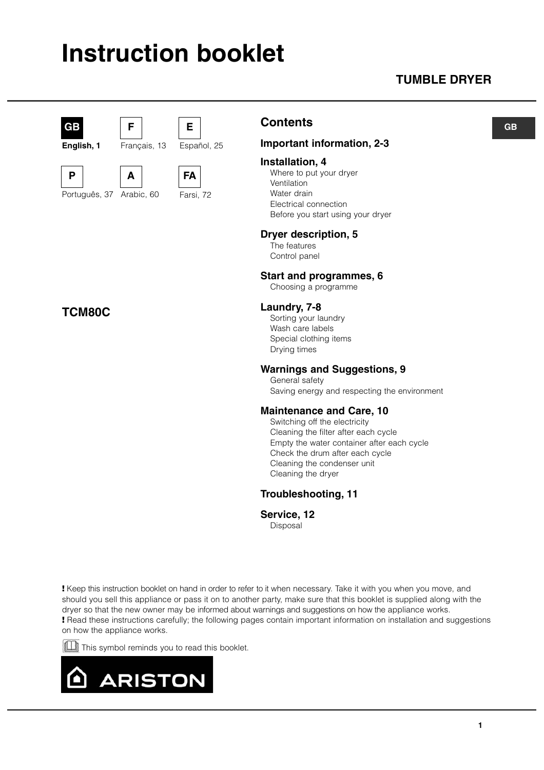## **Instruction booklet**

### **TUMBLE DRYER**



**English, 1**

Português, 37

**TCM80C**

**P** 



**A**

**F**

Arabic, 60

Français, 13



**FA** Farsi, 72

Español, 25

**E**

### **Contents**

#### **Important information, 2-3**

#### **Installation, 4**

Where to put your dryer Ventilation Water drain Electrical connection Before you start using your dryer

#### **Dryer description, 5**

The features Control panel

#### **Start and programmes, 6**

Choosing a programme

#### **Laundry, 7-8**

Sorting your laundry Wash care labels Special clothing items Drying times

#### **Warnings and Suggestions, 9**

General safety

Saving energy and respecting the environment

#### **Maintenance and Care, 10**

Switching off the electricity Cleaning the filter after each cycle Empty the water container after each cycle Check the drum after each cycle Cleaning the condenser unit Cleaning the dryer

#### **Troubleshooting, 11**

#### **Service, 12**

Disposal

**!** Keep this instruction booklet on hand in order to refer to it when necessary. Take it with you when you move, and should you sell this appliance or pass it on to another party, make sure that this booklet is supplied along with the dryer so that the new owner may be informed about warnings and suggestions on how the appliance works. **!** Read these instructions carefully; the following pages contain important information on installation and suggestions on how the appliance works.

This symbol reminds you to read this booklet.



**GB**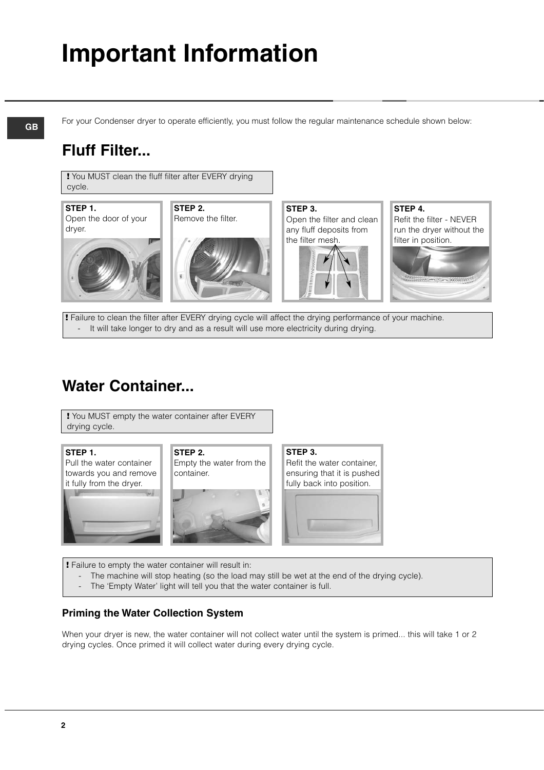# **Important Information**

**GB**

For your Condenser dryer to operate efficiently, you must follow the regular maintenance schedule shown below:

### **Fluff Filter...**

**!** You MUST clean the fluff filter after EVERY drying cycle.

**STEP 1.** Open the door of your dryer.

**STEP 2.** Remove the filter.





**STEP 3.** Open the filter and clean any fluff deposits from the filter mesh.



**STEP 4.** Refit the filter - NEVER run the dryer without the filter in position.



**!** Failure to clean the filter after EVERY drying cycle will affect the drying performance of your machine. It will take longer to dry and as a result will use more electricity during drying.

### **Water Container...**

**!** You MUST empty the water container after EVERY drying cycle.

#### **STEP 1.**



**STEP 2.** Empty the water from the container.



**STEP 3.** Refit the water container, ensuring that it is pushed fully back into position.



**!** Failure to empty the water container will result in:

- The machine will stop heating (so the load may still be wet at the end of the drying cycle).
- The 'Empty Water' light will tell you that the water container is full.

#### **Priming the Water Collection System**

When your dryer is new, the water container will not collect water until the system is primed... this will take 1 or 2 drying cycles. Once primed it will collect water during every drying cycle.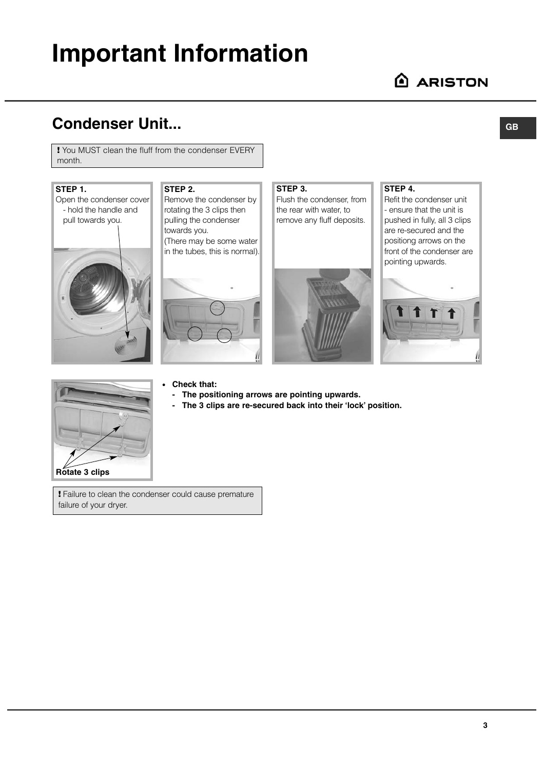## **Important Information**

### **Condenser Unit...**

**!** You MUST clean the fluff from the condenser EVERY month.

#### **STEP 1.**



#### **STEP 2.** Remove the condenser by

rotating the 3 clips then pulling the condenser towards you. (There may be some water in the tubes, this is normal).



#### **STEP 3.** Flush the condenser, from

the rear with water, to remove any fluff deposits.



#### **STEP 4.**

Refit the condenser unit - ensure that the unit is pushed in fully, all 3 clips are re-secured and the positiong arrows on the front of the condenser are pointing upwards.





#### ● **Check that:**

- **The positioning arrows are pointing upwards.**
- **The 3 clips are re-secured back into their 'lock' position.**
- **!** Failure to clean the condenser could cause premature failure of your dryer.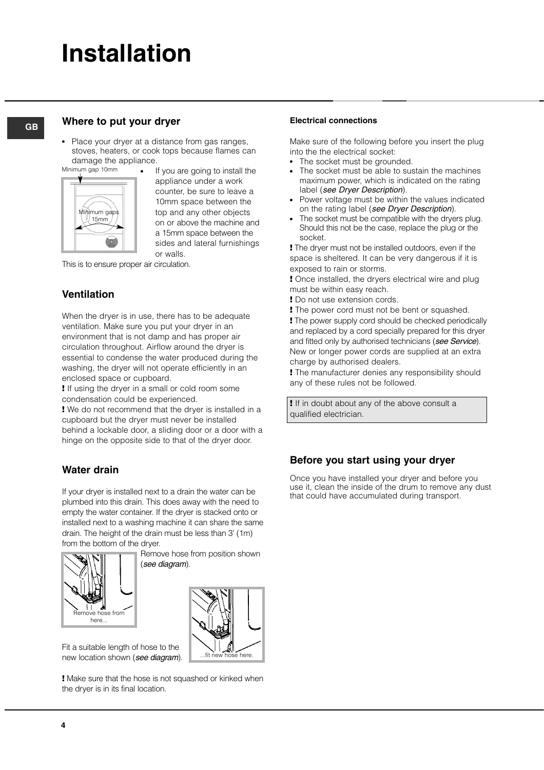## **Installation**

#### **Where to put your dryer**

**GB**

• Place your dryer at a distance from gas ranges. stoves, heaters, or cook tops because flames can damage the appliance.



If you are going to install the appliance under a work counter, be sure to leave a 10mm space between the top and any other objects on or above the machine and a 15mm space between the sides and lateral furnishings or walls.

This is to ensure proper air circulation.

#### **Ventilation**

When the dryer is in use, there has to be adequate ventilation. Make sure you put your dryer in an environment that is not damp and has proper air circulation throughout. Airflow around the dryer is essential to condense the water produced during the washing, the dryer will not operate efficiently in an enclosed space or cupboard.

**!** If using the dryer in a small or cold room some condensation could be experienced.

**!** We do not recommend that the dryer is installed in a cupboard but the dryer must never be installed behind a lockable door, a sliding door or a door with a hinge on the opposite side to that of the dryer door.

#### **Water drain**

If your dryer is installed next to a drain the water can be plumbed into this drain. This does away with the need to empty the water container. If the dryer is stacked onto or installed next to a washing machine it can share the same drain. The height of the drain must be less than 3' (1m) from the bottom of the dryer.



Remove hose from position shown (see diagram).



Fit a suitable length of hose to the new location shown (see diagram).

**!** Make sure that the hose is not squashed or kinked when the dryer is in its final location.

#### **Electrical connections**

Make sure of the following before you insert the plug into the the electrical socket:

- The socket must be grounded.
- The socket must be able to sustain the machines maximum power, which is indicated on the rating label (see Dryer Description).
- Power voltage must be within the values indicated on the rating label (see Dryer Description).
- The socket must be compatible with the dryers plug. Should this not be the case, replace the plug or the socket.

**!** The dryer must not be installed outdoors, even if the space is sheltered. It can be very dangerous if it is exposed to rain or storms.

**!** Once installed, the dryers electrical wire and plug must be within easy reach.

**!** Do not use extension cords.

**!** The power cord must not be bent or squashed. **!** The power supply cord should be checked periodically and replaced by a cord specially prepared for this dryer and fitted only by authorised technicians (see Service). New or longer power cords are supplied at an extra charge by authorised dealers.

**!** The manufacturer denies any responsibility should any of these rules not be followed.

**!** If in doubt about any of the above consult a qualified electrician.

#### **Before you start using your dryer**

Once you have installed your dryer and before you use it, clean the inside of the drum to remove any dust that could have accumulated during transport.

**4**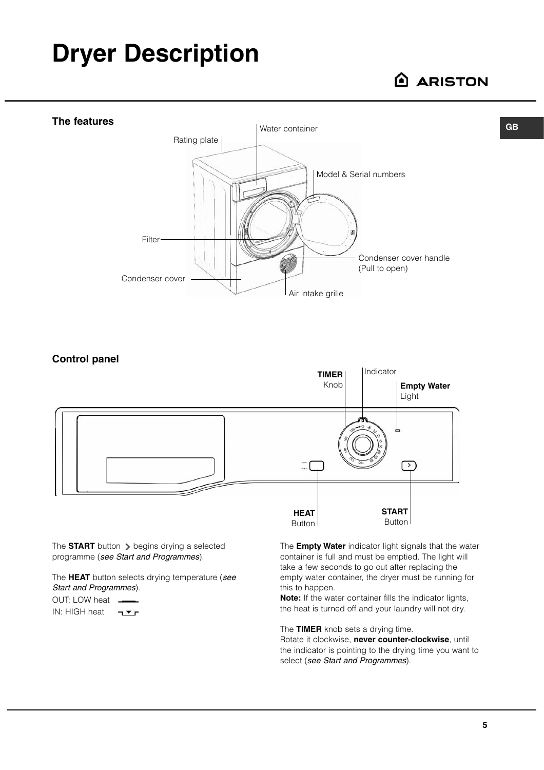## **Dryer Description**

### **ARISTON**

**GB**



**Control panel** Indicator **TIMER** Knob **Empty Water** Light  $\sqrt{2}$  $\frac{1}{2}$ **START HEAT** Button Button

The **START** button  $\triangleright$  begins drying a selected programme (see Start and Programmes).

The **HEAT** button selects drying temperature (see Start and Programmes).

OUT: LOW heat . IN: HIGH heat The **Empty Water** indicator light signals that the water container is full and must be emptied. The light will take a few seconds to go out after replacing the empty water container, the dryer must be running for this to happen.

**Note:** If the water container fills the indicator lights, the heat is turned off and your laundry will not dry.

The **TIMER** knob sets a drying time.

Rotate it clockwise, **never counter-clockwise**, until the indicator is pointing to the drying time you want to select (see Start and Programmes).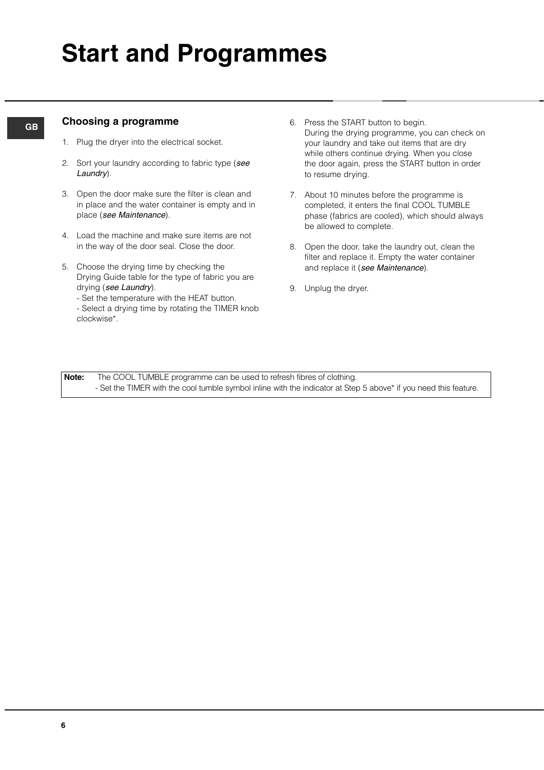#### **Choosing a programme**

- 1. Plug the dryer into the electrical socket.
- 2. Sort your laundry according to fabric type (see Laundry).
- 3. Open the door make sure the filter is clean and in place and the water container is empty and in place (see Maintenance).
- 4. Load the machine and make sure items are not in the way of the door seal. Close the door.
- 5. Choose the drying time by checking the Drying Guide table for the type of fabric you are drying (see Laundry).
	- Set the temperature with the HEAT button.
	- Select a drying time by rotating the TIMER knob clockwise\*.
- 6. Press the START button to begin. During the drying programme, you can check on your laundry and take out items that are dry while others continue drying. When you close the door again, press the START button in order to resume drying.
- 7. About 10 minutes before the programme is completed, it enters the final COOL TUMBLE phase (fabrics are cooled), which should always be allowed to complete.
- 8. Open the door, take the laundry out, clean the filter and replace it. Empty the water container and replace it (see Maintenance).
- 9. Unplug the dryer.

**Note:** The COOL TUMBLE programme can be used to refresh fibres of clothing. - Set the TIMER with the cool tumble symbol inline with the indicator at Step 5 above\* if you need this feature.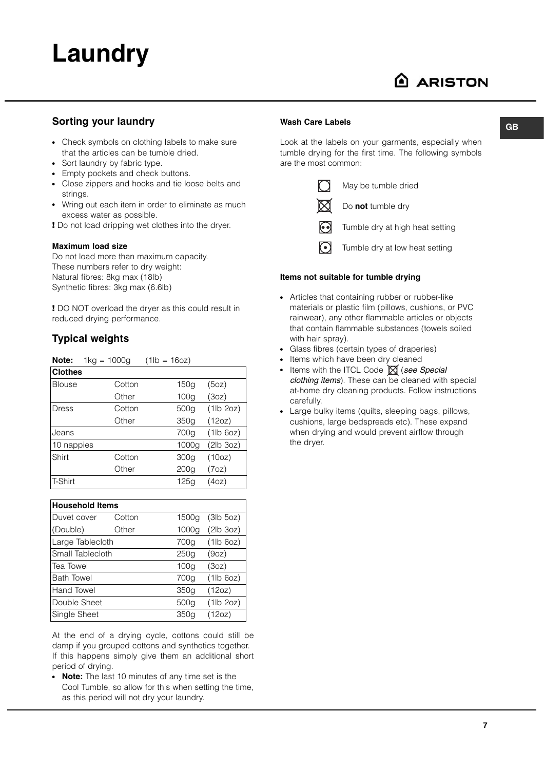

**GB**

#### **Sorting your laundry**

- Check symbols on clothing labels to make sure that the articles can be tumble dried.
- Sort laundry by fabric type.
- Empty pockets and check buttons.
- Close zippers and hooks and tie loose belts and strings.
- Wring out each item in order to eliminate as much excess water as possible.

**!** Do not load dripping wet clothes into the dryer.

#### **Maximum load size**

Do not load more than maximum capacity. These numbers refer to dry weight: Natural fibres: 8kg max (18lb) Synthetic fibres: 3kg max (6.6lb)

**!** DO NOT overload the dryer as this could result in reduced drying performance.

#### **Typical weights**

**Note:** 1kg = 1000g (1lb = 16oz)

| <b>Clothes</b> |        |                  |           |
|----------------|--------|------------------|-----------|
| <b>Blouse</b>  | Cotton | 150a             | (5oz)     |
|                | Other  | 100 <sub>q</sub> | (3oz)     |
| Dress          | Cotton | 500g             | (1lb 2oz) |
|                | Other  | 350g             | (12oz)    |
| Jeans          |        | 700g             | (1lb 6oz) |
| 10 nappies     |        | 1000g            | (2lb 3oz) |
| Shirt          | Cotton | 300g             | (10oz)    |
|                | Other  | 200 <sub>G</sub> | (7oz)     |
| <b>T-Shirt</b> |        | 125q             | (4oz)     |

| <b>Household Items</b> |        |                  |           |
|------------------------|--------|------------------|-----------|
| Duvet cover            | Cotton | 1500g            | (3lb 5oz) |
| (Double)               | Other  | 1000a            | (2lb 3oz) |
| Large Tablecloth       |        | 700g             | (1lb 6oz) |
| Small Tablecloth       |        | 250q             | (9oz)     |
| Tea Towel              |        | 100 <sub>q</sub> | (3oz)     |
| <b>Bath Towel</b>      |        | 700g             | (1lb 6oz) |
| Hand Towel             |        | 350g             | (12oz)    |
| Double Sheet           |        | 500g             | (1lb 2oz) |
| Single Sheet           |        | 350a             | (12oz)    |

At the end of a drying cycle, cottons could still be damp if you grouped cottons and synthetics together. If this happens simply give them an additional short period of drying.

**Note:** The last 10 minutes of any time set is the Cool Tumble, so allow for this when setting the time, as this period will not dry your laundry.

#### **Wash Care Labels**

Look at the labels on your garments, especially when tumble drying for the first time. The following symbols are the most common:



May be tumble dried Do **not** tumble dry

Tumble dry at high heat setting

 $\odot$ Tumble dry at low heat setting

#### **Items not suitable for tumble drying**

- Articles that containing rubber or rubber-like materials or plastic film (pillows, cushions, or PVC rainwear), any other flammable articles or objects that contain flammable substances (towels soiled with hair spray).
- Glass fibres (certain types of draperies)
- Items which have been dry cleaned
- Items with the ITCL Code  $\boxtimes$  (see Special clothing items). These can be cleaned with special at-home dry cleaning products. Follow instructions carefully.
- Large bulky items (quilts, sleeping bags, pillows, cushions, large bedspreads etc). These expand when drying and would prevent airflow through the dryer.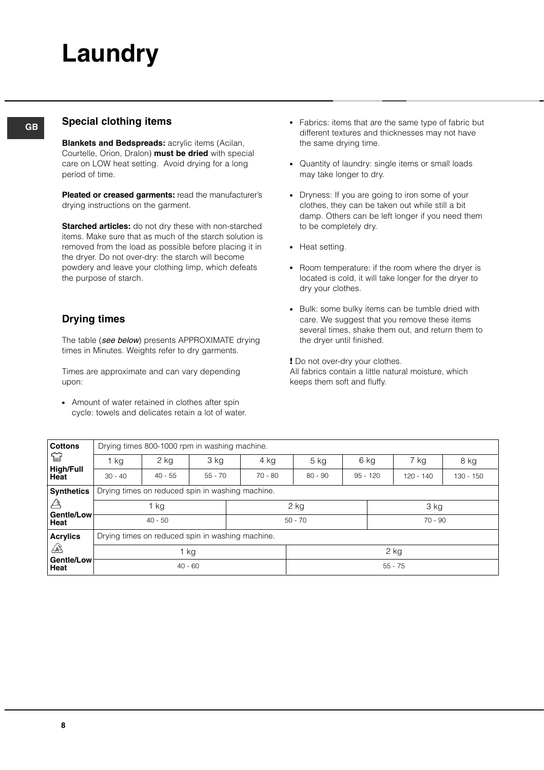# **Laundry**

#### **GB Special clothing items**

**Blankets and Bedspreads:** acrylic items (Acilan, Courtelle, Orion, Dralon) **must be dried** with special care on LOW heat setting. Avoid drying for a long period of time.

**Pleated or creased garments:** read the manufacturer's drying instructions on the garment.

**Starched articles:** do not dry these with non-starched items. Make sure that as much of the starch solution is removed from the load as possible before placing it in the dryer. Do not over-dry: the starch will become powdery and leave your clothing limp, which defeats the purpose of starch.

#### **Drying times**

The table (see below) presents APPROXIMATE drying times in Minutes. Weights refer to dry garments.

Times are approximate and can vary depending upon:

• Amount of water retained in clothes after spin cycle: towels and delicates retain a lot of water.

- Fabrics: items that are the same type of fabric but different textures and thicknesses may not have the same drying time.
- Quantity of laundry: single items or small loads may take longer to dry.
- Dryness: If you are going to iron some of your clothes, they can be taken out while still a bit damp. Others can be left longer if you need them to be completely dry.
- Heat setting.
- Room temperature: if the room where the dryer is located is cold, it will take longer for the dryer to dry your clothes.
- Bulk: some bulky items can be tumble dried with care. We suggest that you remove these items several times, shake them out, and return them to the dryer until finished.

**!** Do not over-dry your clothes. All fabrics contain a little natural moisture, which keeps them soft and fluffy.

| <b>Cottons</b>           | Drying times 800-1000 rpm in washing machine.    |                                                  |           |                        |           |            |             |           |  |
|--------------------------|--------------------------------------------------|--------------------------------------------------|-----------|------------------------|-----------|------------|-------------|-----------|--|
| 窅                        | 1 kg                                             | 2 kg                                             | 3 kg      | 4 kg                   | 5 kg      | 6 kg       | 7 kg        | 8 kg      |  |
| <b>High/Full</b><br>Heat | $30 - 40$                                        | $40 - 55$                                        | $55 - 70$ | $70 - 80$              | $80 - 90$ | $95 - 120$ | $120 - 140$ | 130 - 150 |  |
| <b>Synthetics</b>        |                                                  | Drying times on reduced spin in washing machine. |           |                        |           |            |             |           |  |
| A                        | 1 kg                                             |                                                  |           | $2$ kg                 |           |            | 3 kg        |           |  |
| Gentle/Low<br>Heat       | $40 - 50$                                        |                                                  |           | $70 - 90$<br>$50 - 70$ |           |            |             |           |  |
| <b>Acrylics</b>          | Drying times on reduced spin in washing machine. |                                                  |           |                        |           |            |             |           |  |
| $\mathbb{A}$             | 1 kg                                             |                                                  |           |                        | 2 kg      |            |             |           |  |
| Gentle/Low<br>Heat       |                                                  | $40 - 60$                                        |           |                        |           |            | $55 - 75$   |           |  |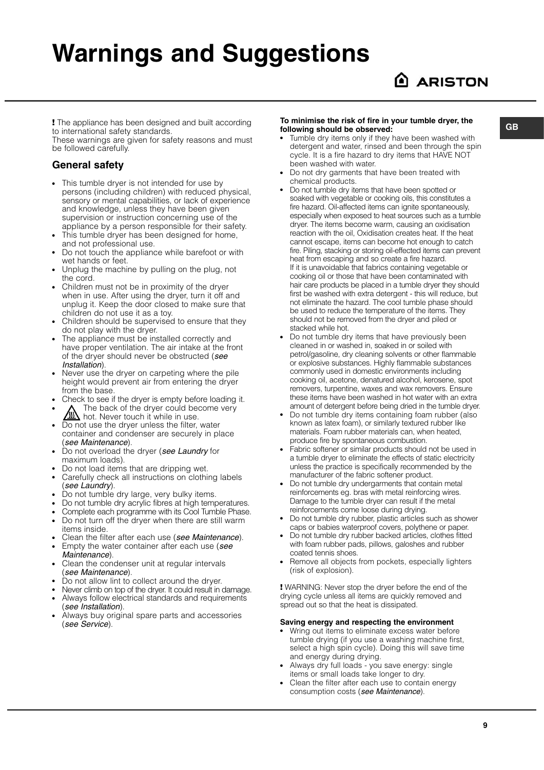## **Warnings and Suggestions**

**!** The appliance has been designed and built according to international safety standards.

These warnings are given for safety reasons and must be followed carefully.

#### **General safety**

- This tumble dryer is not intended for use by persons (including children) with reduced physical, sensory or mental capabilities, or lack of experience and knowledge, unless they have been given supervision or instruction concerning use of the appliance by a person responsible for their safety.
- This tumble dryer has been designed for home, and not professional use.
- Do not touch the appliance while barefoot or with wet hands or feet.
- Unplug the machine by pulling on the plug, not the cord.
- Children must not be in proximity of the dryer when in use. After using the dryer, turn it off and unplug it. Keep the door closed to make sure that children do not use it as a toy.
- Children should be supervised to ensure that they do not play with the dryer.
- The appliance must be installed correctly and have proper ventilation. The air intake at the front of the dryer should never be obstructed (see Installation).
- Never use the dryer on carpeting where the pile height would prevent air from entering the dryer from the base.
- Check to see if the dryer is empty before loading it.
- The back of the dryer could become very hot. Never touch it while in use.
- Do not use the dryer unless the filter, water container and condenser are securely in place (see Maintenance).
- Do not overload the dryer (see Laundry for maximum loads).
- Do not load items that are dripping wet.
- Carefully check all instructions on clothing labels (see Laundry).
- Do not tumble dry large, very bulky items.
- Do not tumble dry acrylic fibres at high temperatures.
- Complete each programme with its Cool Tumble Phase.
- Do not turn off the dryer when there are still warm items inside.
- Clean the filter after each use (see Maintenance).
- Empty the water container after each use (see Maintenance).
- Clean the condenser unit at regular intervals (see Maintenance).
- $\overrightarrow{D}$  po not allow lint to collect around the dryer.
- Never climb on top of the dryer. It could result in damage. Always follow electrical standards and requirements
- (see Installation).
- Always buy original spare parts and accessories (see Service).

#### **To minimise the risk of fire in your tumble dryer, the following should be observed:**

- Tumble dry items only if they have been washed with detergent and water, rinsed and been through the spin cycle. It is a fire hazard to dry items that HAVE NOT been washed with water.
- Do not dry garments that have been treated with chemical products.
- Do not tumble dry items that have been spotted or soaked with vegetable or cooking oils, this constitutes a fire hazard. Oil-affected items can ignite spontaneously, especially when exposed to heat sources such as a tumble dryer. The items become warm, causing an oxidisation reaction with the oil, Oxidisation creates heat. If the heat cannot escape, items can become hot enough to catch fire. Piling, stacking or storing oil-effected items can prevent heat from escaping and so create a fire hazard. If it is unavoidable that fabrics containing vegetable or cooking oil or those that have been contaminated with hair care products be placed in a tumble dryer they should first be washed with extra detergent - this will reduce, but not eliminate the hazard. The cool tumble phase should be used to reduce the temperature of the items. They should not be removed from the dryer and piled or stacked while hot.
- Do not tumble dry items that have previously been cleaned in or washed in, soaked in or soiled with petrol/gasoline, dry cleaning solvents or other flammable or explosive substances. Highly flammable substances commonly used in domestic environments including cooking oil, acetone, denatured alcohol, kerosene, spot removers, turpentine, waxes and wax removers. Ensure these items have been washed in hot water with an extra amount of detergent before being dried in the tumble dryer.
- Do not tumble dry items containing foam rubber (also known as latex foam), or similarly textured rubber like materials. Foam rubber materials can, when heated, produce fire by spontaneous combustion.
- Fabric softener or similar products should not be used in a tumble dryer to eliminate the effects of static electricity unless the practice is specifically recommended by the manufacturer of the fabric softener product.
- Do not tumble dry undergarments that contain metal reinforcements eg. bras with metal reinforcing wires. Damage to the tumble dryer can result if the metal reinforcements come loose during drying.
- Do not tumble dry rubber, plastic articles such as shower caps or babies waterproof covers, polythene or paper.
- Do not tumble dry rubber backed articles, clothes fitted with foam rubber pads, pillows, galoshes and rubber coated tennis shoes.
- Remove all objects from pockets, especially lighters (risk of explosion).

**!** WARNING: Never stop the dryer before the end of the drying cycle unless all items are quickly removed and spread out so that the heat is dissipated.

#### **Saving energy and respecting the environment**

- Wring out items to eliminate excess water before tumble drying (if you use a washing machine first, select a high spin cycle). Doing this will save time and energy during drying.
- Always dry full loads you save energy: single items or small loads take longer to dry.
- Clean the filter after each use to contain energy consumption costs (see Maintenance).

**GB**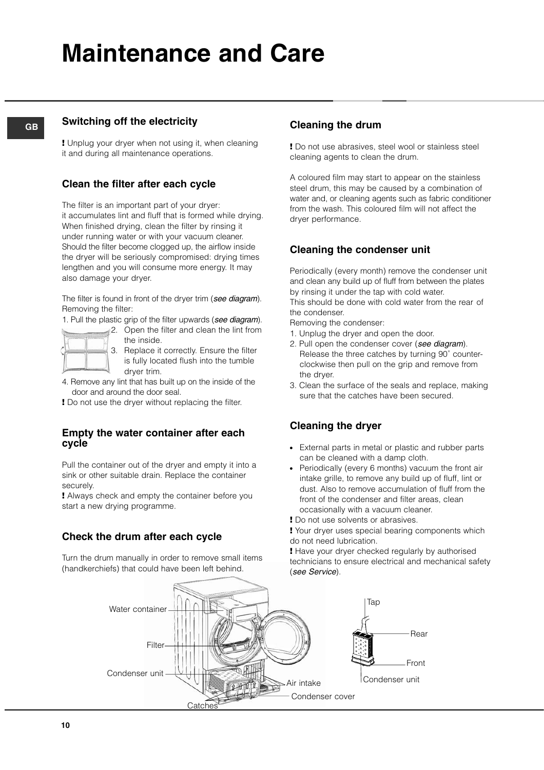## **Maintenance and Care**

#### **GB**

#### **Switching off the electricity**

**!** Unplug your dryer when not using it, when cleaning it and during all maintenance operations.

#### **Clean the filter after each cycle**

The filter is an important part of your dryer: it accumulates lint and fluff that is formed while drying. When finished drying, clean the filter by rinsing it under running water or with your vacuum cleaner. Should the filter become clogged up, the airflow inside the dryer will be seriously compromised: drying times lengthen and you will consume more energy. It may also damage your dryer.

The filter is found in front of the dryer trim (see diagram). Removing the filter:

1. Pull the plastic grip of the filter upwards (see diagram).

- 2. Open the filter and clean the lint from
	- the inside. 3. Replace it correctly. Ensure the filter is fully located flush into the tumble dryer trim.
- 4. Remove any lint that has built up on the inside of the door and around the door seal.
- **!** Do not use the dryer without replacing the filter.

#### **Empty the water container after each cycle**

Pull the container out of the dryer and empty it into a sink or other suitable drain. Replace the container securely.

**!** Always check and empty the container before you start a new drying programme.

#### **Check the drum after each cycle**

Turn the drum manually in order to remove small items (handkerchiefs) that could have been left behind.

#### **Cleaning the drum**

**!** Do not use abrasives, steel wool or stainless steel cleaning agents to clean the drum.

A coloured film may start to appear on the stainless steel drum, this may be caused by a combination of water and, or cleaning agents such as fabric conditioner from the wash. This coloured film will not affect the dryer performance.

#### **Cleaning the condenser unit**

Periodically (every month) remove the condenser unit and clean any build up of fluff from between the plates by rinsing it under the tap with cold water. This should be done with cold water from the rear of the condenser.

Removing the condenser:

- 1. Unplug the dryer and open the door.
- 2. Pull open the condenser cover (see diagram). Release the three catches by turning 90˚ counterclockwise then pull on the grip and remove from the dryer.
- 3. Clean the surface of the seals and replace, making sure that the catches have been secured.

#### **Cleaning the dryer**

- External parts in metal or plastic and rubber parts can be cleaned with a damp cloth.
- Periodically (every 6 months) vacuum the front air intake grille, to remove any build up of fluff, lint or dust. Also to remove accumulation of fluff from the front of the condenser and filter areas, clean occasionally with a vacuum cleaner.
- **!** Do not use solvents or abrasives.

**!** Your dryer uses special bearing components which do not need lubrication.

**!** Have your dryer checked regularly by authorised technicians to ensure electrical and mechanical safety (see Service).

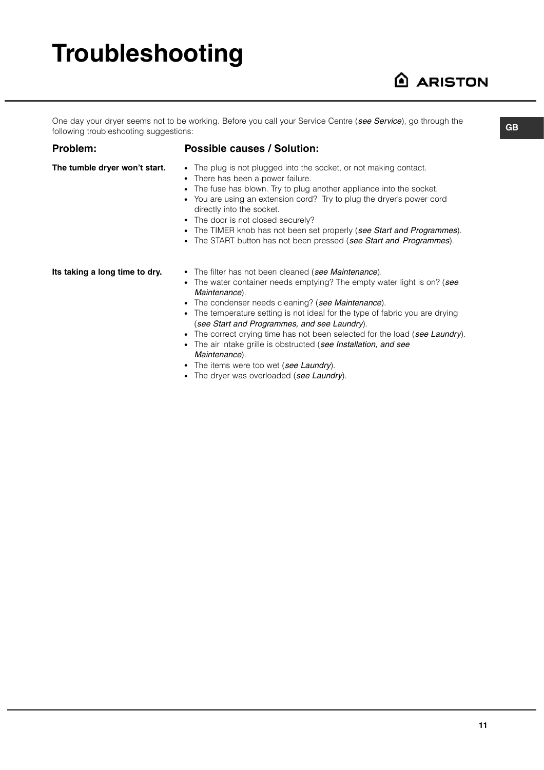# **Troubleshooting**

### **ARISTON**

One day your dryer seems not to be working. Before you call your Service Centre (see Service), go through the following troubleshooting suggestions:

#### **Problem:**

#### **Possible causes / Solution:**

**The tumble dryer won't start.**

- The plug is not plugged into the socket, or not making contact.
- There has been a power failure.
- The fuse has blown. Try to plug another appliance into the socket.
- You are using an extension cord? Try to plug the dryer's power cord directly into the socket.
- The door is not closed securely?
- The TIMER knob has not been set properly (see Start and Programmes).
- The START button has not been pressed (see Start and Programmes).

**Its taking a long time to dry.**

- The filter has not been cleaned (see Maintenance).
- The water container needs emptying? The empty water light is on? (see Maintenance).
- The condenser needs cleaning? (see Maintenance).
- The temperature setting is not ideal for the type of fabric you are drying (see Start and Programmes, and see Laundry).
- The correct drying time has not been selected for the load (see Laundry).
- The air intake grille is obstructed (see Installation, and see
- Maintenance).
- The items were too wet (see Laundry).
- The dryer was overloaded (see Laundry).

**GB**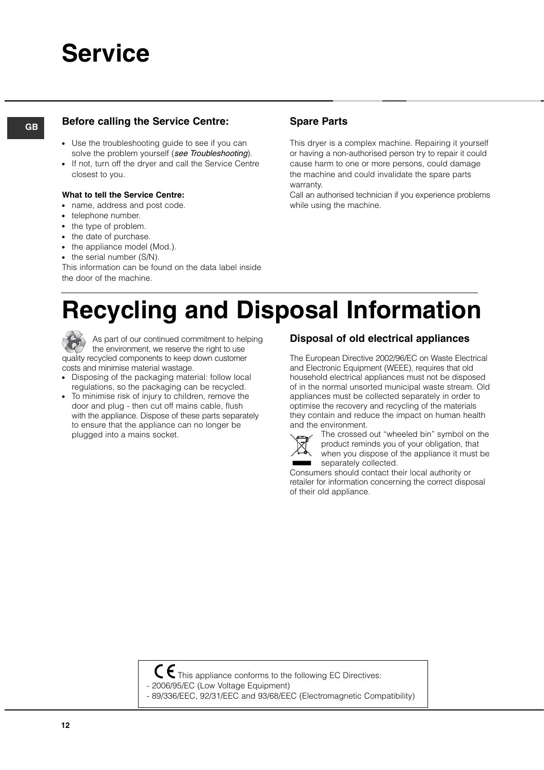### **Service**

### **GB Spare Parts Before calling the Service Centre:**

- Use the troubleshooting guide to see if you can solve the problem yourself (see Troubleshooting).
- If not, turn off the dryer and call the Service Centre closest to you.
- **What to tell the Service Centre:**
- name, address and post code.
- telephone number.
- the type of problem.
- the date of purchase.
- the appliance model (Mod.).
- the serial number (S/N).

This information can be found on the data label inside the door of the machine.

This dryer is a complex machine. Repairing it yourself or having a non-authorised person try to repair it could cause harm to one or more persons, could damage the machine and could invalidate the spare parts warranty.

Call an authorised technician if you experience problems while using the machine.

## **Recycling and Disposal Information**



As part of our continued commitment to helping the environment, we reserve the right to use quality recycled components to keep down customer costs and minimise material wastage.

- Disposing of the packaging material: follow local regulations, so the packaging can be recycled.
- To minimise risk of injury to children, remove the door and plug - then cut off mains cable, flush with the appliance. Dispose of these parts separately to ensure that the appliance can no longer be plugged into a mains socket.

#### **Disposal of old electrical appliances**

The European Directive 2002/96/EC on Waste Electrical and Electronic Equipment (WEEE), requires that old household electrical appliances must not be disposed of in the normal unsorted municipal waste stream. Old appliances must be collected separately in order to optimise the recovery and recycling of the materials they contain and reduce the impact on human health and the environment.



The crossed out "wheeled bin" symbol on the product reminds you of your obligation, that when you dispose of the appliance it must be separately collected.

Consumers should contact their local authority or retailer for information concerning the correct disposal of their old appliance.



- $C \epsilon$  This appliance conforms to the following EC Directives:
- 2006/95/EC (Low Voltage Equipment)
- 89/336/EEC, 92/31/EEC and 93/68/EEC (Electromagnetic Compatibility)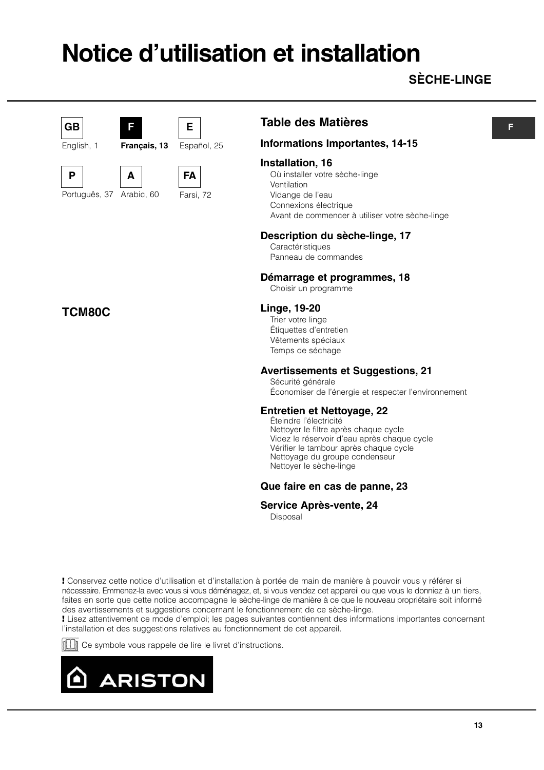## **Notice d'utilisation et installation**

### **SÈCHE-LINGE**

### **GB**

English, 1







**A** Arabic, 60 Português, 37

**F**

**Français, 13**



**E**

Español, 25

**Table des Matières**

#### **Informations Importantes, 14-15**

#### **Installation, 16**

Où installer votre sèche-linge Ventilation Vidange de l'eau Connexions électrique Avant de commencer à utiliser votre sèche-linge

#### **Description du sèche-linge, 17**

Caractéristiques Panneau de commandes

#### **Démarrage et programmes, 18**

Choisir un programme

#### **Linge, 19-20**

Trier votre linge Étiquettes d'entretien Vêtements spéciaux Temps de séchage

#### **Avertissements et Suggestions, 21**

Sécurité générale Économiser de l'énergie et respecter l'environnement

#### **Entretien et Nettoyage, 22**

Éteindre l'électricité Nettoyer le filtre après chaque cycle Videz le réservoir d'eau après chaque cycle Vérifier le tambour après chaque cycle Nettoyage du groupe condenseur Nettoyer le sèche-linge

#### **Que faire en cas de panne, 23**

#### **Service Après-vente, 24**

Disposal

**!** Conservez cette notice d'utilisation et d'installation à portée de main de manière à pouvoir vous y référer si nécessaire. Emmenez-la avec vous si vous déménagez, et, si vous vendez cet appareil ou que vous le donniez à un tiers, faites en sorte que cette notice accompagne le sèche-linge de manière à ce que le nouveau propriétaire soit informé des avertissements et suggestions concernant le fonctionnement de ce sèche-linge.

**!** Lisez attentivement ce mode d'emploi; les pages suivantes contiennent des informations importantes concernant l'installation et des suggestions relatives au fonctionnement de cet appareil.

Ce symbole vous rappele de lire le livret d'instructions.



#### **F**

**TCM80C**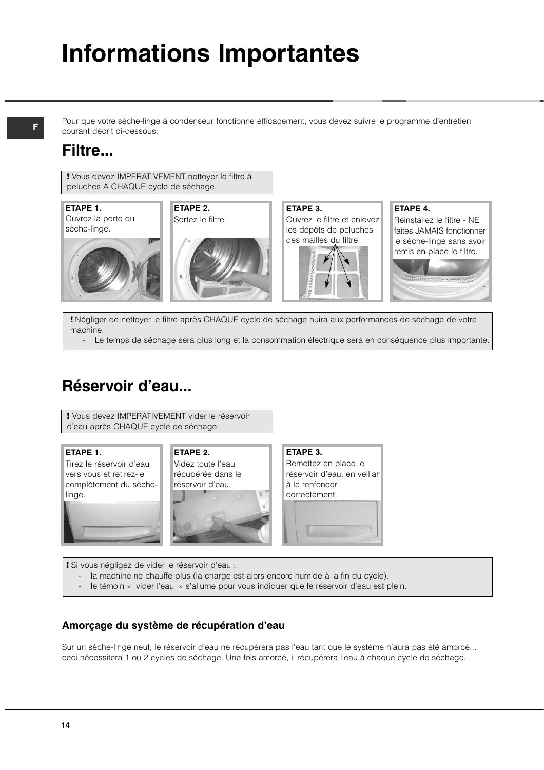## **Informations Importantes**

Pour que votre sèche-linge à condenseur fonctionne efficacement, vous devez suivre le programme d'entretien courant décrit ci-dessous:

### **Filtre...**

**!** Vous devez IMPERATIVEMENT nettoyer le filtre à peluches A CHAQUE cycle de séchage.



**!** Négliger de nettoyer le filtre après CHAQUE cycle de séchage nuira aux performances de séchage de votre machine.

- Le temps de séchage sera plus long et la consommation électrique sera en conséquence plus importante.

### **Réservoir d'eau...**

**!** Vous devez IMPERATIVEMENT vider le réservoir d'eau après CHAQUE cycle de séchage.

#### **ETAPE 1.**

Tirez le réservoir d'eau vers vous et retirez-le complètement du sèchelinge.



#### **ETAPE 2.** Videz toute l'eau

récupérée dans le réservoir d'eau.



**ETAPE 3.** Remettez en place le réservoir d'eau, en veillan à le renfoncer correctement.

#### **!** Si vous négligez de vider le réservoir d'eau :

- la machine ne chauffe plus (la charge est alors encore humide à la fin du cycle).
- le témoin « vider l'eau » s'allume pour vous indiquer que le réservoir d'eau est plein.

#### **Amorçage du système de récupération d'eau**

Sur un sèche-linge neuf, le réservoir d'eau ne récupérera pas l'eau tant que le système n'aura pas été amorcé... ceci nécessitera 1 ou 2 cycles de séchage. Une fois amorcé, il récupérera l'eau à chaque cycle de séchage.

#### **F**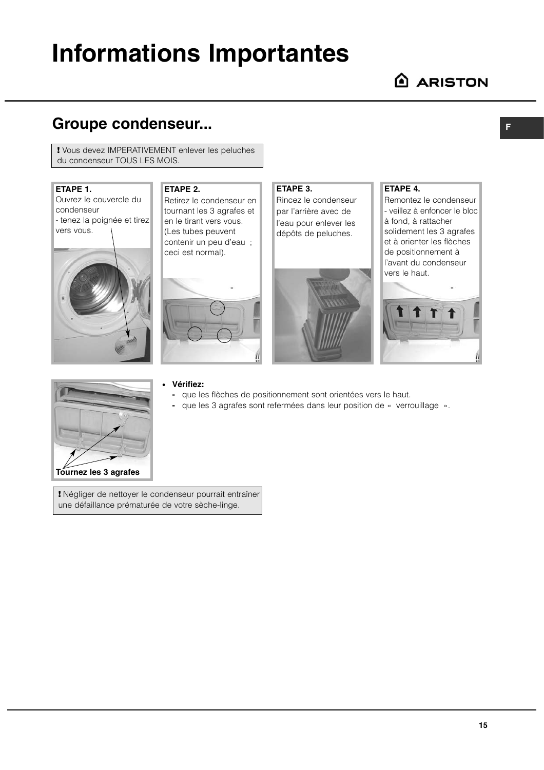## **Informations Importantes**

### **Groupe condenseur...**

**!** Vous devez IMPERATIVEMENT enlever les peluches du condenseur TOUS LES MOIS.

#### **ETAPE 1.**

Ouvrez le couvercle du condenseur - tenez la poignée et tirez vers vous.



### **ETAPE 2.**

Retirez le condenseur en tournant les 3 agrafes et en le tirant vers vous. (Les tubes peuvent contenir un peu d'eau ; ceci est normal).



### **ETAPE 3.**

Rincez le condenseur par l'arrière avec de l'eau pour enlever les dépôts de peluches.



#### **ETAPE 4.**

Remontez le condenseur - veillez à enfoncer le bloc à fond, à rattacher solidement les 3 agrafes et à orienter les flèches de positionnement à l'avant du condenseur vers le haut.





#### ● **Vérifiez:**

- **-** que les flèches de positionnement sont orientées vers le haut.
- **-** que les 3 agrafes sont refermées dans leur position de « verrouillage ».

**!** Négliger de nettoyer le condenseur pourrait entraîner une défaillance prématurée de votre sèche-linge.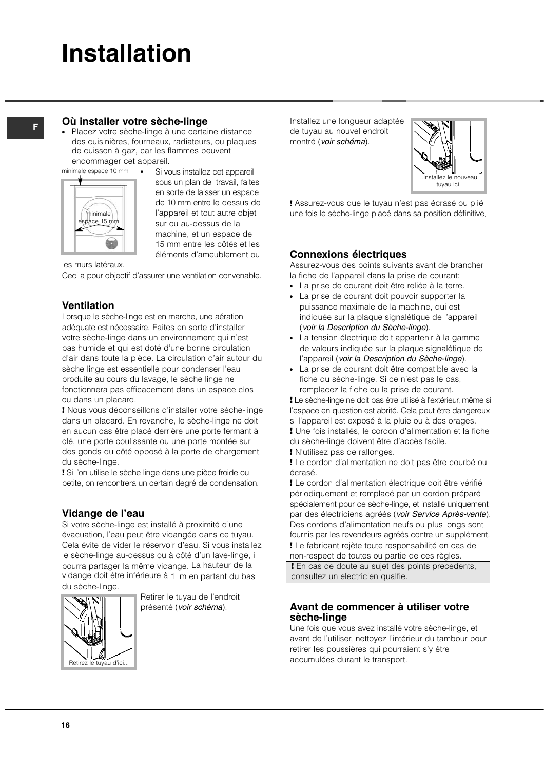## **Installation**

### **<sup>F</sup> Où installer votre sèche-linge**

Placez votre sèche-linge à une certaine distance des cuisinières, fourneaux, radiateurs, ou plaques de cuisson à gaz, car les flammes peuvent endommager cet appareil.

minimale espace 10 mm



• Si vous installez cet appareil sous un plan de travail, faites en sorte de laisser un espace de 10 mm entre le dessus de l'appareil et tout autre objet sur ou au-dessus de la machine, et un espace de 15 mm entre les côtés et les éléments d'ameublement ou

les murs latéraux.

Ceci a pour objectif d'assurer une ventilation convenable.

#### **Ventilation**

Lorsque le sèche-linge est en marche, une aération adéquate est nécessaire. Faites en sorte d'installer votre sèche-linge dans un environnement qui n'est pas humide et qui est doté d'une bonne circulation d'air dans toute la pièce. La circulation d'air autour du sèche linge est essentielle pour condenser l'eau produite au cours du lavage, le sèche linge ne fonctionnera pas efficacement dans un espace clos ou dans un placard.

**!** Nous vous déconseillons d'installer votre sèche-linge dans un placard. En revanche, le sèche-linge ne doit en aucun cas être placé derrière une porte fermant à clé, une porte coulissante ou une porte montée sur des gonds du côté opposé à la porte de chargement du sèche-linge.

**!** Si l'on utilise le sèche linge dans une pièce froide ou petite, on rencontrera un certain degré de condensation.

#### **Vidange de l'eau**

Si votre sèche-linge est installé à proximité d'une évacuation, l'eau peut être vidangée dans ce tuyau. Cela évite de vider le réservoir d'eau. Si vous installez le sèche-linge au-dessus ou à côté d'un lave-linge, il pourra partager la même vidange. La hauteur de la vidange doit être inférieure à 1 m en partant du bas du sèche-linge.



Retirer le tuyau de l'endroit présenté (voir schéma).

Installez une longueur adaptée de tuyau au nouvel endroit montré (voir schéma).



**!** Assurez-vous que le tuyau n'est pas écrasé ou plié une fois le sèche-linge placé dans sa position définitive.

#### **Connexions électriques**

Assurez-vous des points suivants avant de brancher la fiche de l'appareil dans la prise de courant:

- La prise de courant doit être reliée à la terre.
- La prise de courant doit pouvoir supporter la puissance maximale de la machine, qui est indiquée sur la plaque signalétique de l'appareil (voir la Description du Sèche-linge).
- La tension électrique doit appartenir à la gamme de valeurs indiquée sur la plaque signalétique de l'appareil (voir la Description du Sèche-linge).
- La prise de courant doit être compatible avec la fiche du sèche-linge. Si ce n'est pas le cas, remplacez la fiche ou la prise de courant.

**!** Le sèche-linge ne doit pas être utilisé à l'extérieur, même si l'espace en question est abrité. Cela peut être dangereux si l'appareil est exposé à la pluie ou à des orages.

**!** Une fois installés, le cordon d'alimentation et la fiche du sèche-linge doivent être d'accès facile.

**!** N'utilisez pas de rallonges.

**!** Le cordon d'alimentation ne doit pas être courbé ou écrasé.

**!** Le cordon d'alimentation électrique doit être vérifié périodiquement et remplacé par un cordon préparé spécialement pour ce sèche-linge, et installé uniquement par des électriciens agréés (voir Service Après-vente). Des cordons d'alimentation neufs ou plus longs sont fournis par les revendeurs agréés contre un supplément. **!** Le fabricant rejète toute responsabilité en cas de non-respect de toutes ou partie de ces règles.

**!** En cas de doute au sujet des points precedents, consultez un electricien qualfie.

#### **Avant de commencer à utiliser votre sèche-linge**

Une fois que vous avez installé votre sèche-linge, et avant de l'utiliser, nettoyez l'intérieur du tambour pour retirer les poussières qui pourraient s'y être accumulées durant le transport.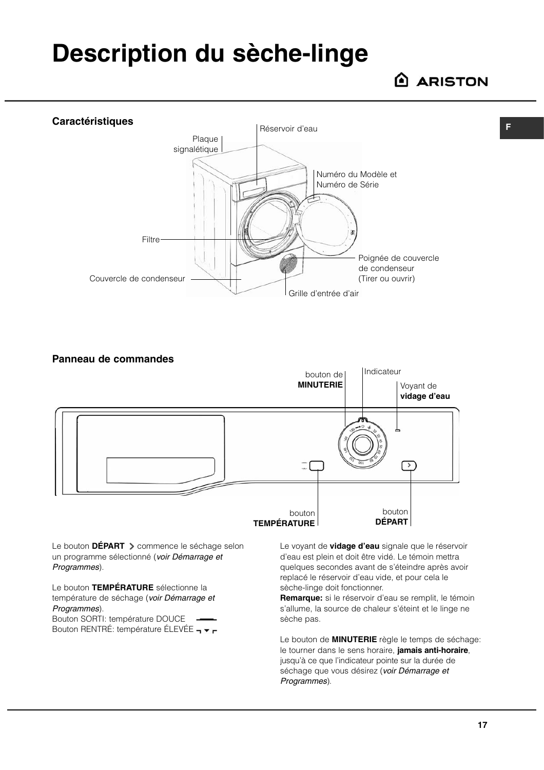## **Description du sèche-linge**

**ARISTON** 

**F**



**Panneau de commandes** 



Le bouton **DÉPART** > commence le séchage selon un programme sélectionné (voir Démarrage et Programmes).

Le bouton **TEMPÉRATURE** sélectionne la température de séchage (voir Démarrage et Programmes).

Bouton SORTI: température DOUCE Bouton RENTRÉ: température ÉLEVÉE - Le voyant de **vidage d'eau** signale que le réservoir d'eau est plein et doit être vidé. Le témoin mettra quelques secondes avant de s'éteindre après avoir replacé le réservoir d'eau vide, et pour cela le sèche-linge doit fonctionner.

**Remarque:** si le réservoir d'eau se remplit, le témoin s'allume, la source de chaleur s'éteint et le linge ne sèche pas.

Le bouton de **MINUTERIE** règle le temps de séchage: le tourner dans le sens horaire, **jamais anti-horaire**, jusqu'à ce que l'indicateur pointe sur la durée de séchage que vous désirez (voir Démarrage et Programmes).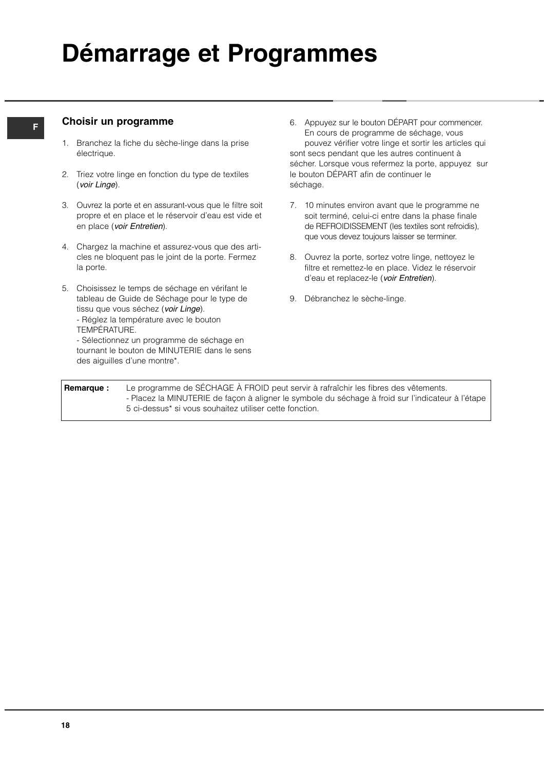## **Démarrage et Programmes**

#### **F**

#### **Choisir un programme**

- 1. Branchez la fiche du sèche-linge dans la prise électrique.
- 2. Triez votre linge en fonction du type de textiles (voir Linge).
- 3. Ouvrez la porte et en assurant-vous que le filtre soit propre et en place et le réservoir d'eau est vide et en place (voir Entretien).
- 4. Chargez la machine et assurez-vous que des articles ne bloquent pas le joint de la porte. Fermez la porte.
- 5. Choisissez le temps de séchage en vérifant le tableau de Guide de Séchage pour le type de tissu que vous séchez (voir Linge).
	- Réglez la température avec le bouton TEMPÉRATURE.
	- Sélectionnez un programme de séchage en tournant le bouton de MINUTERIE dans le sens des aiguilles d'une montre\*.
- 6. Appuyez sur le bouton DÉPART pour commencer. En cours de programme de séchage, vous pouvez vérifier votre linge et sortir les articles qui sont secs pendant que les autres continuent à sécher. Lorsque vous refermez la porte, appuyez sur le bouton DÉPART afin de continuer le séchage.
- 7. 10 minutes environ avant que le programme ne soit terminé, celui-ci entre dans la phase finale de REFROIDISSEMENT (les textiles sont refroidis), que vous devez toujours laisser se terminer.
- 8. Ouvrez la porte, sortez votre linge, nettoyez le filtre et remettez-le en place. Videz le réservoir d'eau et replacez-le (voir Entretien).
- 9. Débranchez le sèche-linge.

**Remarque :** Le programme de SÉCHAGE À FROID peut servir à rafraîchir les fibres des vêtements. - Placez la MINUTERIE de façon à aligner le symbole du séchage à froid sur l'indicateur à l'étape 5 ci-dessus\* si vous souhaitez utiliser cette fonction.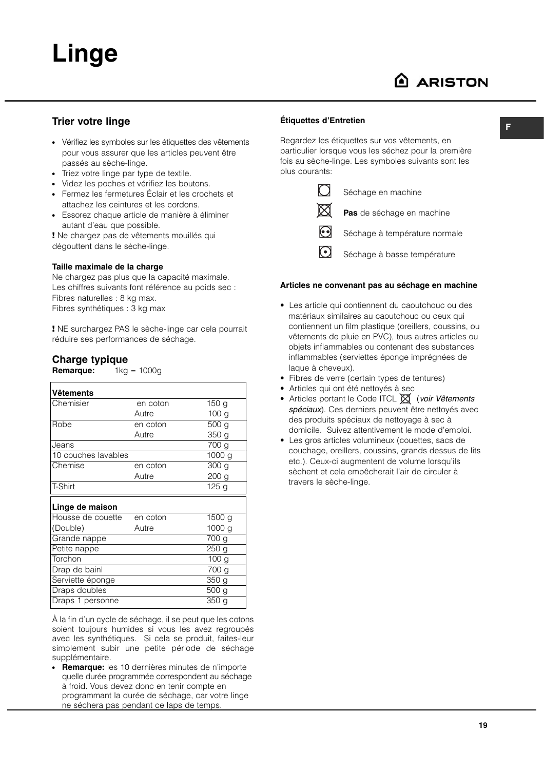#### **Trier votre linge**

- Vérifiez les symboles sur les étiquettes des vêtements pour vous assurer que les articles peuvent être passés au sèche-linge.
- Triez votre linge par type de textile.
- Videz les poches et vérifiez les boutons.
- Fermez les fermetures Éclair et les crochets et attachez les ceintures et les cordons.
- Essorez chaque article de manière à éliminer autant d'eau que possible.

**!** Ne chargez pas de vêtements mouillés qui dégouttent dans le sèche-linge.

#### **Taille maximale de la charge**

Ne chargez pas plus que la capacité maximale. Les chiffres suivants font référence au poids sec : Fibres naturelles : 8 kg max. Fibres synthétiques : 3 kg max

**!** NE surchargez PAS le sèche-linge car cela pourrait réduire ses performances de séchage.

#### **Charge typique**

**Remarque:** 1kg = 1000g

| Vêtements           |          |                    |
|---------------------|----------|--------------------|
| Chemisier           | en coton | 150g               |
|                     | Autre    | 100 <sub>g</sub>   |
| Robe                | en coton | 500 <sub>g</sub>   |
|                     | Autre    | 350 <sub>g</sub>   |
| Jeans               |          | 700 g              |
| 10 couches lavables |          | 1000g              |
| Chemise             | en coton | 300 <sub>g</sub>   |
|                     | Autre    | 200 <sub>g</sub>   |
| T-Shirt             |          | 125g               |
| Linge de maison     |          |                    |
| Housse de couette   | en coton | 1500 g             |
| (Double)            | Autre    | 1000 g             |
| Grande nappe        |          | 700 g              |
| Petite nappe        |          | $\overline{2}50$ g |
| Torchon             |          | $\overline{100}$ g |
| Drap de bainl       |          | 700 g              |
| Serviette éponge    |          | 350 g              |
| Draps doubles       |          | 500 g              |
| Draps 1 personne    |          | 350 g              |
|                     |          |                    |

À la fin d'un cycle de séchage, il se peut que les cotons soient toujours humides si vous les avez regroupés avec les synthétiques. Si cela se produit, faites-leur simplement subir une petite période de séchage supplémentaire.

**Remarque:** les 10 dernières minutes de n'importe quelle durée programmée correspondent au séchage à froid. Vous devez donc en tenir compte en programmant la durée de séchage, car votre linge ne séchera pas pendant ce laps de temps.

#### **Étiquettes d'Entretien**

Regardez les étiquettes sur vos vêtements, en particulier lorsque vous les séchez pour la première fois au sèche-linge. Les symboles suivants sont les plus courants:



Séchage en machine

**Pas** de séchage en machine

 $\odot$ Séchage à température normale

 $\odot$ Séchage à basse température

#### **Articles ne convenant pas au séchage en machine**

- Les article qui contiennent du caoutchouc ou des matériaux similaires au caoutchouc ou ceux qui contiennent un film plastique (oreillers, coussins, ou vêtements de pluie en PVC), tous autres articles ou objets inflammables ou contenant des substances inflammables (serviettes éponge imprégnées de laque à cheveux).
- Fibres de verre (certain types de tentures)
- Articles qui ont été nettoyés à sec
- Articles portant le Code ITCL  $\boxtimes$  (voir Vêtements spéciaux). Ces derniers peuvent être nettoyés avec des produits spéciaux de nettoyage à sec à domicile. Suivez attentivement le mode d'emploi.
- Les gros articles volumineux (couettes, sacs de couchage, oreillers, coussins, grands dessus de lits etc.). Ceux-ci augmentent de volume lorsqu'ils sèchent et cela empêcherait l'air de circuler à travers le sèche-linge.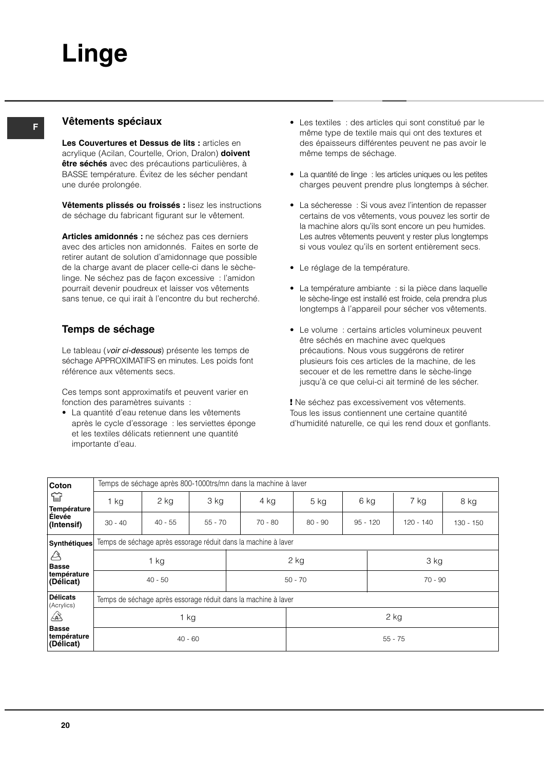**F**

#### **Vêtements spéciaux**

**Les Couvertures et Dessus de lits :** articles en acrylique (Acilan, Courtelle, Orion, Dralon) **doivent être séchés** avec des précautions particulières, à BASSE température. Évitez de les sécher pendant une durée prolongée.

**Vêtements plissés ou froissés :** lisez les instructions de séchage du fabricant figurant sur le vêtement.

**Articles amidonnés :** ne séchez pas ces derniers avec des articles non amidonnés. Faites en sorte de retirer autant de solution d'amidonnage que possible de la charge avant de placer celle-ci dans le sèchelinge. Ne séchez pas de façon excessive : l'amidon pourrait devenir poudreux et laisser vos vêtements sans tenue, ce qui irait à l'encontre du but recherché.

#### **Temps de séchage**

Le tableau (voir ci-dessous) présente les temps de séchage APPROXIMATIFS en minutes. Les poids font référence aux vêtements secs.

Ces temps sont approximatifs et peuvent varier en fonction des paramètres suivants :

• La quantité d'eau retenue dans les vêtements après le cycle d'essorage : les serviettes éponge et les textiles délicats retiennent une quantité importante d'eau.

- Les textiles : des articles qui sont constitué par le même type de textile mais qui ont des textures et des épaisseurs différentes peuvent ne pas avoir le même temps de séchage.
- La quantité de linge : les articles uniques ou les petites charges peuvent prendre plus longtemps à sécher.
- La sécheresse : Si vous avez l'intention de repasser certains de vos vêtements, vous pouvez les sortir de la machine alors qu'ils sont encore un peu humides. Les autres vêtements peuvent y rester plus longtemps si vous voulez qu'ils en sortent entièrement secs.
- Le réglage de la température.
- La température ambiante : si la pièce dans laquelle le sèche-linge est installé est froide, cela prendra plus longtemps à l'appareil pour sécher vos vêtements.
- Le volume : certains articles volumineux peuvent être séchés en machine avec quelques précautions. Nous vous suggérons de retirer plusieurs fois ces articles de la machine, de les secouer et de les remettre dans le sèche-linge jusqu'à ce que celui-ci ait terminé de les sécher.

**!** Ne séchez pas excessivement vos vêtements. Tous les issus contiennent une certaine quantité d'humidité naturelle, ce qui les rend doux et gonflants.

| Coton                                    |                                                                | Temps de séchage après 800-1000trs/mn dans la machine à laver  |           |           |           |            |           |             |           |
|------------------------------------------|----------------------------------------------------------------|----------------------------------------------------------------|-----------|-----------|-----------|------------|-----------|-------------|-----------|
| ≌<br>Température                         | 1 kg                                                           | 2 kg                                                           | 3 kg      | 4 kg      | $5$ kg    | 6 kg       |           | 7 kg        | 8 kg      |
| Élevée<br>(Intensif)                     | $30 - 40$                                                      | $40 - 55$                                                      | $55 - 70$ | $70 - 80$ | $80 - 90$ | $95 - 120$ |           | $120 - 140$ | 130 - 150 |
| Synthétiques                             | Temps de séchage après essorage réduit dans la machine à laver |                                                                |           |           |           |            |           |             |           |
| A<br><b>Basse</b>                        | $1$ kg                                                         |                                                                |           | $2$ kg    |           |            | 3 kg      |             |           |
| température<br>(Délicat)                 | $40 - 50$                                                      |                                                                |           | $50 - 70$ |           |            | $70 - 90$ |             |           |
| <b>Délicats</b><br>(Acrylics)            |                                                                | Temps de séchage après essorage réduit dans la machine à laver |           |           |           |            |           |             |           |
| ⚠                                        | $1$ kg                                                         |                                                                |           |           | $2$ kg    |            |           |             |           |
| <b>Basse</b><br>température<br>(Délicat) | $40 - 60$                                                      |                                                                |           |           |           |            | $55 - 75$ |             |           |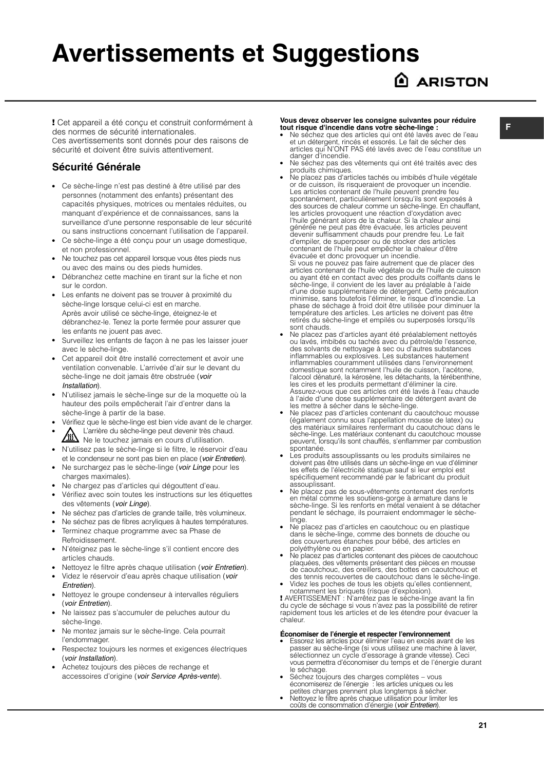## **Avertissements et Suggestions**

### **ARISTON**

**!** Cet appareil a été conçu et construit conformément à des normes de sécurité internationales. Ces avertissements sont donnés pour des raisons de sécurité et doivent être suivis attentivement.

#### **Sécurité Générale**

- Ce sèche-linge n'est pas destiné à être utilisé par des personnes (notamment des enfants) présentant des capacités physiques, motrices ou mentales réduites, ou manquant d'expérience et de connaissances, sans la surveillance d'une personne responsable de leur sécurité ou sans instructions concernant l'utilisation de l'appareil.
- Ce sèche-linge a été conçu pour un usage domestique, et non professionnel.
- Ne touchez pas cet appareil lorsque vous êtes pieds nus ou avec des mains ou des pieds humides.
- Débranchez cette machine en tirant sur la fiche et non sur le cordon.
- Les enfants ne doivent pas se trouver à proximité du sèche-linge lorsque celui-ci est en marche. Après avoir utilisé ce sèche-linge, éteignez-le et débranchez-le. Tenez la porte fermée pour assurer que les enfants ne jouent pas avec.
- Surveillez les enfants de façon à ne pas les laisser jouer avec le sèche-linge.
- Cet appareil doit être installé correctement et avoir une ventilation convenable. L'arrivée d'air sur le devant du sèche-linge ne doit jamais être obstruée (voir Installation).
- N'utilisez jamais le sèche-linge sur de la moquette où la hauteur des poils empêcherait l'air d'entrer dans la sèche-linge à partir de la base.
- Vérifiez que le sèche-linge est bien vide avant de le charger.
- L'arrière du sèche-linge peut devenir très chaud.<br>Ne le touchez iamais en cours d'utilisation. Ne le touchez jamais en cours d'utilisation.
- N'utilisez pas le sèche-linge si le filtre, le réservoir d'eau et le condenseur ne sont pas bien en place (voir Entretien).
- Ne surchargez pas le sèche-linge (voir Linge pour les charges maximales).
- Ne chargez pas d'articles qui dégouttent d'eau.
- Vérifiez avec soin toutes les instructions sur les étiquettes des vêtements (voir Linge).
- Ne séchez pas d'articles de grande taille, très volumineux.
- Ne séchez pas de fibres acryliques à hautes températures.
- Terminez chaque programme avec sa Phase de Refroidissement.
- N'éteignez pas le sèche-linge s'il contient encore des articles chauds.
- Nettoyez le filtre après chaque utilisation (voir Entretien).
- Videz le réservoir d'eau après chaque utilisation (voir Entretien).
- Nettoyez le groupe condenseur à intervalles réguliers (voir Entretien).
- Ne laissez pas s'accumuler de peluches autour du sèche-linge.
- Ne montez jamais sur le sèche-linge. Cela pourrait l'endommager.
- Respectez toujours les normes et exigences électriques (voir Installation).
- Achetez toujours des pièces de rechange et accessoires d'origine (voir Service Après-vente).

#### **Vous devez observer les consigne suivantes pour réduire tout risque d'incendie dans votre sèche-linge :**

- Ne séchez que des articles qui ont été lavés avec de l'eau et un détergent, rincés et essorés. Le fait de sécher des articles qui N'ONT PAS été lavés avec de l'eau constitue un danger d'incendie.
- Ne séchez pas des vêtements qui ont été traités avec des produits chimiques. ● Ne placez pas d'articles tachés ou imbibés d'huile végétale
- or de cuisson, ils risqueraient de provoquer un incendie. Les articles contenant de l'huile peuvent prendre feu spontanément, particulièrement lorsqu'ils sont exposés à des sources de chaleur comme un sèche-linge. En chauffant, les articles provoquent une réaction d'oxydation avec l'huile générant alors de la chaleur. Si la chaleur ainsi générée ne peut pas être évacuée, les articles peuvent devenir suffisamment chauds pour prendre feu. Le fait d'empiler, de superposer ou de stocker des articles contenant de l'huile peut empêcher la chaleur d'être évacuée et donc provoquer un incendie. Si vous ne pouvez pas faire autrement que de placer des articles contenant de l'huile végétale ou de l'huile de cuisson ou ayant été en contact avec des produits coiffants dans le sèche-linge, il convient de les laver au préalable à l'aide d'une dose supplémentaire de détergent. Cette précaution<br>minimise, sans toutefois l'éliminer, le risque d'incendie. La<br>phase de séchage à froid doit être utilisée pour diminuer la<br>température des articles. Les articles ne retirés du sèche-linge et empilés ou superposés lorsqu'ils sont chauds.
- bont ortatats.<br>Ne placez pas d'articles ayant été préalablement nettoyés ou lavés, imbibés ou tachés avec du pétrole/de l'essence, des solvants de nettoyage à sec ou d'autres substances inflammables ou explosives. Les substances hautement inflammables couramment utilisées dans l'environnement domestique sont notamment l'huile de cuisson, l'acétone, l'alcool dénaturé, la kérosène, les détachants, la térébenthine, les cires et les produits permettant d'éliminer la cire. Assurez-vous que ces articles ont été lavés à l'eau chaude à l'aide d'une dose supplémentaire de détergent avant de les mettre à sécher dans le sèche-linge.
- Ne placez pas d'articles contenant du caoutchouc mousse (également connu sous l'appellation mousse de latex) ou des matériaux similaires renfermant du caoutchouc dans le sèche-linge. Les matériaux contenant du caoutchouc mousse peuvent, lorsqu'ils sont chauffés, s'enflammer par combustion spontanée.
- Les produits assouplissants ou les produits similaires ne doivent pas être utilisés dans un sèche-linge en vue d'éliminer les effets de l'électricité statique sauf si leur emploi est spécifiquement recommandé par le fabricant du produit assouplissant.
- Ne placez pas de sous-vêtements contenant des renforts en métal comme les soutiens-gorge à armature dans le sèche-linge. Si les renforts en métal venaient à se détacher pendant le séchage, ils pourraient endommager le sèchelinge.
- mage:<br>Ne placez pas d'articles en caoutchouc ou en plastique dans le sèche-linge, comme des bonnets de douche ou des couvertures étanches pour bébé, des articles en
- polyéthylène ou en papier.<br>• Ne placez pas d'articles contenant des pièces de caoutchouc<br>plaquées, des vêtements présentant des pièces en mousse de caoutchouc, des oreillers, des bottes en caoutchouc et des tennis recouvertes de caoutchouc dans le sèche-linge.
- Videz les poches de tous les objets qu'elles contiennent, notamment les briquets (risque d'explosion). **!** AVERTISSEMENT : N'arrêtez pas le sèche-linge avant la fin

du cycle de séchage si vous n'avez pas la possibilité de retirer rapidement tous les articles et de les étendre pour évacuer la chaleur.

#### **Économiser de l'énergie et respecter l'environnement**

- Essorez les articles pour éliminer l'eau en excès avant de les passer au sèche-linge (si vous utilisez une machine à laver, sélectionnez un cycle d'essorage à grande vitesse). Ceci vous permettra d'économiser du temps et de l'énergie durant le séchage.
- Séchez toujours des charges complètes vous économiserez de l'énergie : les articles uniques ou les petites charges prennent plus longtemps à sécher. ● Nettoyez le filtre après chaque utilisation pour limiter les
- coûts de consommation d'énergie (voir Entretien).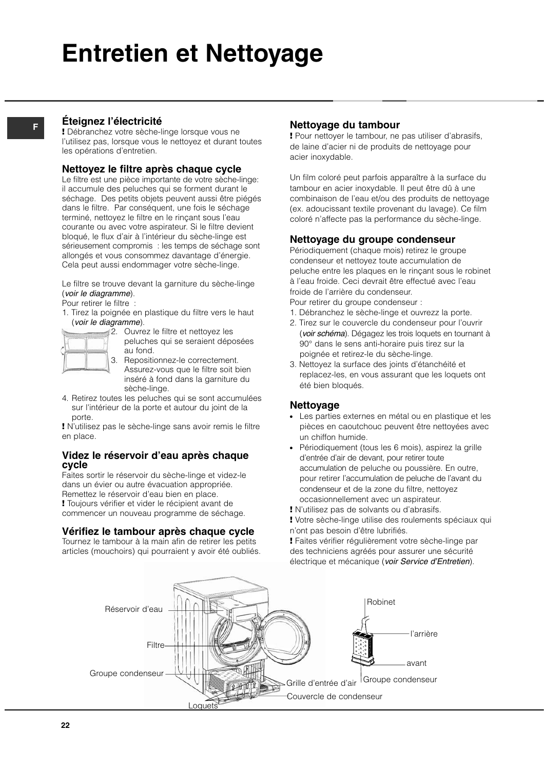## **Entretien et Nettoyage**

#### **Éteignez l'électricité**

**F**

**!** Débranchez votre sèche-linge lorsque vous ne l'utilisez pas, lorsque vous le nettoyez et durant toutes les opérations d'entretien.

#### **Nettoyez le filtre après chaque cycle**

Le filtre est une pièce importante de votre sèche-linge: il accumule des peluches qui se forment durant le séchage. Des petits objets peuvent aussi être piégés dans le filtre. Par conséquent, une fois le séchage terminé, nettoyez le filtre en le rinçant sous l'eau courante ou avec votre aspirateur. Si le filtre devient bloqué, le flux d'air à l'intérieur du sèche-linge est sérieusement compromis : les temps de séchage sont allongés et vous consommez davantage d'énergie. Cela peut aussi endommager votre sèche-linge.

Le filtre se trouve devant la garniture du sèche-linge (voir le diagramme).

Pour retirer le filtre :

1. Tirez la poignée en plastique du filtre vers le haut (voir le diagramme).



2. Ouvrez le filtre et nettoyez les peluches qui se seraient déposées au fond.

3. Repositionnez-le correctement. Assurez-vous que le filtre soit bien inséré à fond dans la garniture du sèche-linge.

4. Retirez toutes les peluches qui se sont accumulées sur l'intérieur de la porte et autour du joint de la porte.

**!** N'utilisez pas le sèche-linge sans avoir remis le filtre en place.

#### **Videz le réservoir d'eau après chaque cycle**

Faites sortir le réservoir du sèche-linge et videz-le dans un évier ou autre évacuation appropriée. Remettez le réservoir d'eau bien en place.

**!** Toujours vérifier et vider le récipient avant de commencer un nouveau programme de séchage.

#### **Vérifiez le tambour après chaque cycle**

Tournez le tambour à la main afin de retirer les petits articles (mouchoirs) qui pourraient y avoir été oubliés.

#### **Nettoyage du tambour**

**!** Pour nettoyer le tambour, ne pas utiliser d'abrasifs, de laine d'acier ni de produits de nettoyage pour acier inoxydable.

Un film coloré peut parfois apparaître à la surface du tambour en acier inoxydable. Il peut être dû à une combinaison de l'eau et/ou des produits de nettoyage (ex. adoucissant textile provenant du lavage). Ce film coloré n'affecte pas la performance du sèche-linge.

#### **Nettoyage du groupe condenseur**

Périodiquement (chaque mois) retirez le groupe condenseur et nettoyez toute accumulation de peluche entre les plaques en le rinçant sous le robinet à l'eau froide. Ceci devrait être effectué avec l'eau froide de l'arrière du condenseur.

Pour retirer du groupe condenseur :

- 1. Débranchez le sèche-linge et ouvrezz la porte.
- 2. Tirez sur le couvercle du condenseur pour l'ouvrir (voir schéma). Dégagez les trois loquets en tournant à 90° dans le sens anti-horaire puis tirez sur la poignée et retirez-le du sèche-linge.
- 3. Nettoyez la surface des joints d'étanchéité et replacez-les, en vous assurant que les loquets ont été bien bloqués.

#### **Nettoyage**

- Les parties externes en métal ou en plastique et les pièces en caoutchouc peuvent être nettoyées avec un chiffon humide.
- Périodiquement (tous les 6 mois), aspirez la grille d'entrée d'air de devant, pour retirer toute accumulation de peluche ou poussière. En outre, pour retirer l'accumulation de peluche de l'avant du condenseur et de la zone du filtre, nettoyez occasionnellement avec un aspirateur.
- **!** N'utilisez pas de solvants ou d'abrasifs.
- **!** Votre sèche-linge utilise des roulements spéciaux qui n'ont pas besoin d'être lubrifiés.

**!** Faites vérifier régulièrement votre sèche-linge par des techniciens agréés pour assurer une sécurité électrique et mécanique (voir Service d'Entretien).



**22**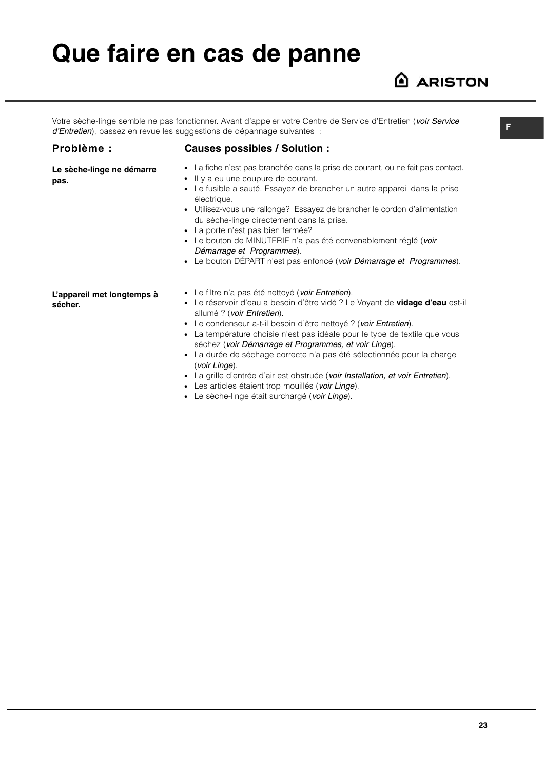## **Que faire en cas de panne**

### **ARISTON**

Votre sèche-linge semble ne pas fonctionner. Avant d'appeler votre Centre de Service d'Entretien (voir Service d'Entretien), passez en revue les suggestions de dépannage suivantes :

#### **Problème :**

**pas.**

**Le sèche-linge ne démarre**

#### **Causes possibles / Solution :**

- La fiche n'est pas branchée dans la prise de courant, ou ne fait pas contact.
	- Il y a eu une coupure de courant.
	- Le fusible a sauté. Essayez de brancher un autre appareil dans la prise électrique.
	- Utilisez-vous une rallonge? Essayez de brancher le cordon d'alimentation du sèche-linge directement dans la prise.
	- La porte n'est pas bien fermée?
	- Le bouton de MINUTERIE n'a pas été convenablement réglé (voir Démarrage et Programmes).
	- Le bouton DÉPART n'est pas enfoncé (voir Démarrage et Programmes).

**L'appareil met longtemps à sécher.**

- Le filtre n'a pas été nettoyé (voir Entretien).
- Le réservoir d'eau a besoin d'être vidé ? Le Voyant de **vidage d'eau** est-il allumé ? (voir Entretien).
- Le condenseur a-t-il besoin d'être nettové ? (voir Entretien).
- La température choisie n'est pas idéale pour le type de textile que vous séchez (voir Démarrage et Programmes, et voir Linge).
- La durée de séchage correcte n'a pas été sélectionnée pour la charge (voir Linge).
- La grille d'entrée d'air est obstruée (voir Installation, et voir Entretien).
- Les articles étaient trop mouillés (voir Linge).
- Le sèche-linge était surchargé (voir Linge).

**F**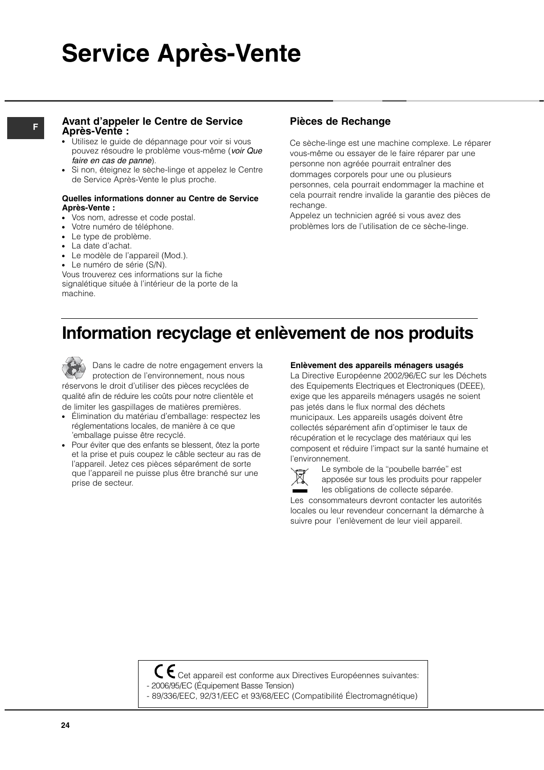## **Service Après-Vente**

#### **<sup>F</sup> Pièces de Rechange Avant d'appeler le Centre de Service Après-Vente :**

- **Utilisez le quide de dépannage pour voir si vous** pouvez résoudre le problème vous-même (voir Que faire en cas de panne).
- Si non, éteignez le sèche-linge et appelez le Centre de Service Après-Vente le plus proche.

#### **Quelles informations donner au Centre de Service Après-Vente :**

- Vos nom, adresse et code postal.
- Votre numéro de téléphone.
- Le type de problème.
- La date d'achat.
- Le modèle de l'appareil (Mod.).
- Le numéro de série (S/N).

Vous trouverez ces informations sur la fiche signalétique située à l'intérieur de la porte de la machine.

Ce sèche-linge est une machine complexe. Le réparer vous-même ou essayer de le faire réparer par une personne non agréée pourrait entraîner des dommages corporels pour une ou plusieurs personnes, cela pourrait endommager la machine et cela pourrait rendre invalide la garantie des pièces de rechange.

Appelez un technicien agréé si vous avez des problèmes lors de l'utilisation de ce sèche-linge.

### **Information recyclage et enlèvement de nos produits**

Dans le cadre de notre engagement envers la protection de l'environnement, nous nous réservons le droit d'utiliser des pièces recyclées de qualité afin de réduire les coûts pour notre clientèle et de limiter les gaspillages de matières premières.

- Élimination du matériau d'emballage: respectez les réglementations locales, de manière à ce que 'emballage puisse être recyclé.
- Pour éviter que des enfants se blessent, ôtez la porte et la prise et puis coupez le câble secteur au ras de l'appareil. Jetez ces pièces séparément de sorte que l'appareil ne puisse plus être branché sur une prise de secteur.

#### **Enlèvement des appareils ménagers usagés**

La Directive Européenne 2002/96/EC sur les Déchets des Equipements Electriques et Electroniques (DEEE), exige que les appareils ménagers usagés ne soient pas jetés dans le flux normal des déchets municipaux. Les appareils usagés doivent être collectés séparément afin d'optimiser le taux de récupération et le recyclage des matériaux qui les composent et réduire l'impact sur la santé humaine et l'environnement.



Le symbole de la ''poubelle barrée'' est apposée sur tous les produits pour rappeler les obligations de collecte séparée.

Les consommateurs devront contacter les autorités locales ou leur revendeur concernant la démarche à suivre pour l'enlèvement de leur vieil appareil.

 $C \epsilon$  Cet appareil est conforme aux Directives Européennes suivantes: - 2006/95/EC (Équipement Basse Tension)

- 89/336/EEC, 92/31/EEC et 93/68/EEC (Compatibilité Électromagnétique)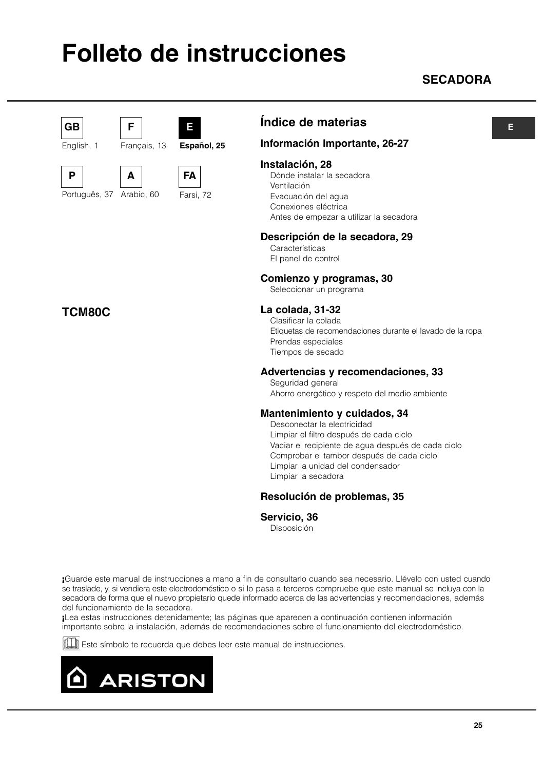## **Folleto de instrucciones**

### **SECADORA**



English, 1

**P** 

Português, 37

**TCM80C**

**A**

**F**

Arabic, 60

Français, 13





**Español, 25**

**E**

**Índice de materias** 

#### **Información Importante, 26-27**

#### **Instalación, 28**

Dónde instalar la secadora Ventilación Evacuación del agua Conexiones eléctrica Antes de empezar a utilizar la secadora

#### **Descripción de la secadora, 29**

Características El panel de control

#### **Comienzo y programas, 30**

Seleccionar un programa

#### **La colada, 31-32**

Clasificar la colada Etiquetas de recomendaciones durante el lavado de la ropa Prendas especiales Tiempos de secado

#### **Advertencias y recomendaciones, 33**

Seguridad general Ahorro energético y respeto del medio ambiente

#### **Mantenimiento y cuidados, 34**

Desconectar la electricidad Limpiar el filtro después de cada ciclo Vaciar el recipiente de agua después de cada ciclo Comprobar el tambor después de cada ciclo Limpiar la unidad del condensador Limpiar la secadora

#### **Resolución de problemas, 35**

#### **Servicio, 36**

Disposición

**¡**Guarde este manual de instrucciones a mano a fin de consultarlo cuando sea necesario. Llévelo con usted cuando se traslade, y, si vendiera este electrodoméstico o si lo pasa a terceros compruebe que este manual se incluya con la secadora de forma que el nuevo propietario quede informado acerca de las advertencias y recomendaciones, además del funcionamiento de la secadora.

**¡**Lea estas instrucciones detenidamente; las páginas que aparecen a continuación contienen información importante sobre la instalación, además de recomendaciones sobre el funcionamiento del electrodoméstico.

**ESSEC** Este símbolo te recuerda que debes leer este manual de instrucciones.



#### **E**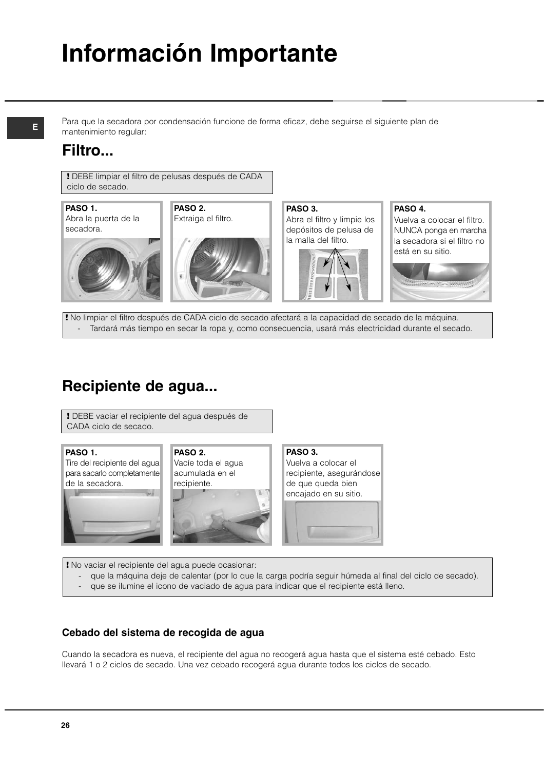# **Información Importante**

**E**

Para que la secadora por condensación funcione de forma eficaz, debe seguirse el siguiente plan de mantenimiento regular:

### **Filtro...**

**!** DEBE limpiar el filtro de pelusas después de CADA ciclo de secado.



**PASO 2.** Extraiga el filtro.





**PASO 3.** Abra el filtro y limpie los depósitos de pelusa de la malla del filtro.



**PASO 4.**

Vuelva a colocar el filtro. NUNCA ponga en marcha la secadora si el filtro no está en su sitio.



**!** No limpiar el filtro después de CADA ciclo de secado afectará a la capacidad de secado de la máquina. - Tardará más tiempo en secar la ropa y, como consecuencia, usará más electricidad durante el secado.

### **Recipiente de agua...**

**!** DEBE vaciar el recipiente del agua después de CADA ciclo de secado.

#### **PASO 1.**

Tire del recipiente del agua para sacarlo completamente de la secadora.



**PASO 2.** Vacíe toda el agua acumulada en el recipiente.



**PASO 3.** Vuelva a colocar el recipiente, asegurándose de que queda bien encajado en su sitio.



- que la máquina deje de calentar (por lo que la carga podría seguir húmeda al final del ciclo de secado). que se ilumine el icono de vaciado de agua para indicar que el recipiente está lleno.

#### **Cebado del sistema de recogida de agua**

Cuando la secadora es nueva, el recipiente del agua no recogerá agua hasta que el sistema esté cebado. Esto llevará 1 o 2 ciclos de secado. Una vez cebado recogerá agua durante todos los ciclos de secado.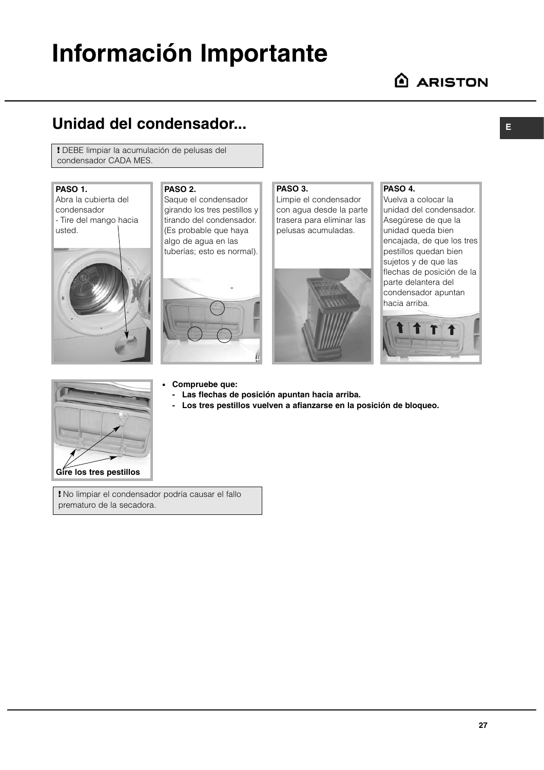## **Información Importante**

### **Unidad del condensador...**

**!** DEBE limpiar la acumulación de pelusas del condensador CADA MES.

#### **PASO 1.**

Abra la cubierta del condensador - Tire del mango hacia usted.



**PASO 2.** Saque el condensador girando los tres pestillos y tirando del condensador. (Es probable que haya algo de agua en las

tuberías; esto es normal).



#### **PASO 3.**

Limpie el condensador con agua desde la parte trasera para eliminar las pelusas acumuladas.



#### **PASO 4.**

Vuelva a colocar la unidad del condensador. Asegúrese de que la unidad queda bien encajada, de que los tres pestillos quedan bien sujetos y de que las flechas de posición de la parte delantera del condensador apuntan hacia arriba.





● **Compruebe que:**

- **Las flechas de posición apuntan hacia arriba.**
- **Los tres pestillos vuelven a afianzarse en la posición de bloqueo.**
- **!** No limpiar el condensador podría causar el fallo prematuro de la secadora.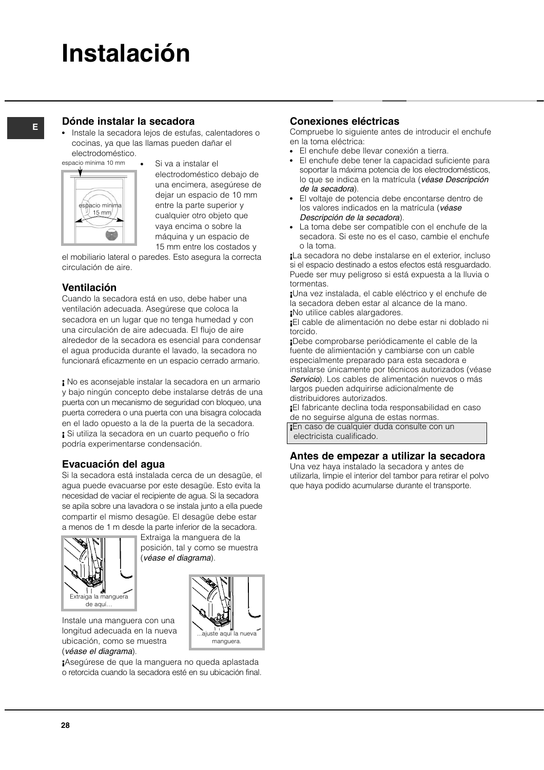## **Instalación**

### **<sup>E</sup> Dónde instalar la secadora**

Instale la secadora lejos de estufas, calentadores o cocinas, ya que las llamas pueden dañar el electrodoméstico.



Si va a instalar el electrodoméstico debajo de una encimera, asegúrese de dejar un espacio de 10 mm entre la parte superior y cualquier otro objeto que vaya encima o sobre la máquina y un espacio de 15 mm entre los costados y

el mobiliario lateral o paredes. Esto asegura la correcta circulación de aire.

#### **Ventilación**

Cuando la secadora está en uso, debe haber una ventilación adecuada. Asegúrese que coloca la secadora en un lugar que no tenga humedad y con una circulación de aire adecuada. El flujo de aire alrededor de la secadora es esencial para condensar el agua producida durante el lavado, la secadora no funcionará eficazmente en un espacio cerrado armario.

**¡** No es aconsejable instalar la secadora en un armario y bajo ningún concepto debe instalarse detrás de una puerta con un mecanismo de seguridad con bloqueo, una puerta corredera o una puerta con una bisagra colocada en el lado opuesto a la de la puerta de la secadora. **¡** Si utiliza la secadora en un cuarto pequeño o frío podría experimentarse condensación.

#### **Evacuación del agua**

Si la secadora está instalada cerca de un desagüe, el agua puede evacuarse por este desagüe. Esto evita la necesidad de vaciar el recipiente de agua. Si la secadora se apila sobre una lavadora o se instala junto a ella puede compartir el mismo desagüe. El desagüe debe estar a menos de 1 m desde la parte inferior de la secadora.



Extraiga la manguera de la posición, tal y como se muestra (véase el diagrama).



Instale una manguera con una longitud adecuada en la nueva ubicación, como se muestra (véase el diagrama).

**¡**Asegúrese de que la manguera no queda aplastada o retorcida cuando la secadora esté en su ubicación final.

#### **Conexiones eléctricas**

Compruebe lo siguiente antes de introducir el enchufe en la toma eléctrica:

- El enchufe debe llevar conexión a tierra.
- El enchufe debe tener la capacidad suficiente para soportar la máxima potencia de los electrodomésticos, lo que se indica en la matrícula (véase Descripción de la secadora).
- El voltaje de potencia debe encontarse dentro de los valores indicados en la matrícula (véase Descripción de la secadora).
- La toma debe ser compatible con el enchufe de la secadora. Si este no es el caso, cambie el enchufe o la toma.

**¡**La secadora no debe instalarse en el exterior, incluso si el espacio destinado a estos efectos está resguardado. Puede ser muy peligroso si está expuesta a la lluvia o tormentas.

**¡**Una vez instalada, el cable eléctrico y el enchufe de la secadora deben estar al alcance de la mano. **¡**No utilice cables alargadores.

**¡**El cable de alimentación no debe estar ni doblado ni torcido.

**¡**Debe comprobarse periódicamente el cable de la fuente de alimientación y cambiarse con un cable especialmente preparado para esta secadora e instalarse únicamente por técnicos autorizados (véase Servicio). Los cables de alimentación nuevos o más largos pueden adquirirse adicionalmente de distribuidores autorizados.

**¡**El fabricante declina toda responsabilidad en caso de no seguirse alguna de estas normas.

**¡**En caso de cualquier duda consulte con un electricista cualificado.

#### **Antes de empezar a utilizar la secadora**

Una vez haya instalado la secadora y antes de utilizarla, limpie el interior del tambor para retirar el polvo que haya podido acumularse durante el transporte.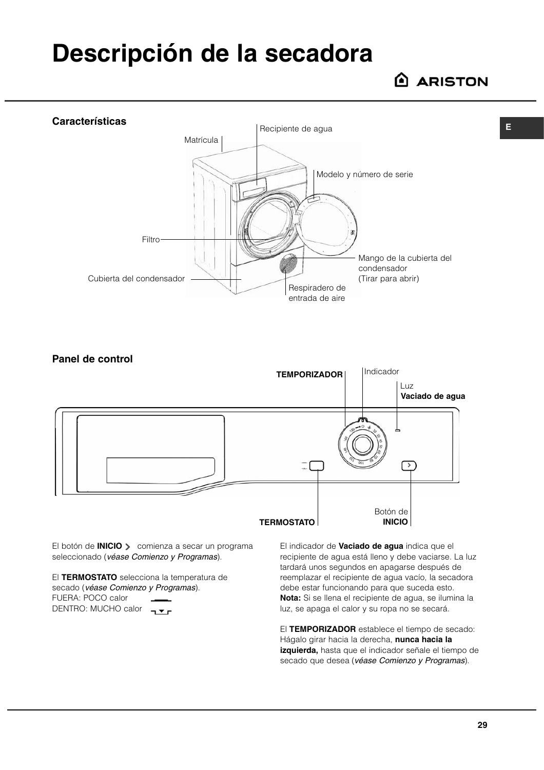## **Descripción de la secadora**

**ARISTON** 

**E**



**Panel de control** Indicador **TEMPORIZADOR** Luz **Vaciado de agua**  $\sqrt{2}$  $\frac{1}{2}$ Botón de **TERMOSTATO INICIO**

El botón de **INICIO** > comienza a secar un programa seleccionado (véase Comienzo y Programas).

El **TERMOSTATO** selecciona la temperatura de secado (véase Comienzo y Programas). FUERA: POCO calor DENTRO: MUCHO calor -

El indicador de **Vaciado de agua** indica que el recipiente de agua está lleno y debe vaciarse. La luz tardará unos segundos en apagarse después de reemplazar el recipiente de agua vacío, la secadora debe estar funcionando para que suceda esto. **Nota:** Si se llena el recipiente de agua, se ilumina la luz, se apaga el calor y su ropa no se secará.

El **TEMPORIZADOR** establece el tiempo de secado: Hágalo girar hacia la derecha, **nunca hacia la izquierda,** hasta que el indicador señale el tiempo de secado que desea (véase Comienzo y Programas).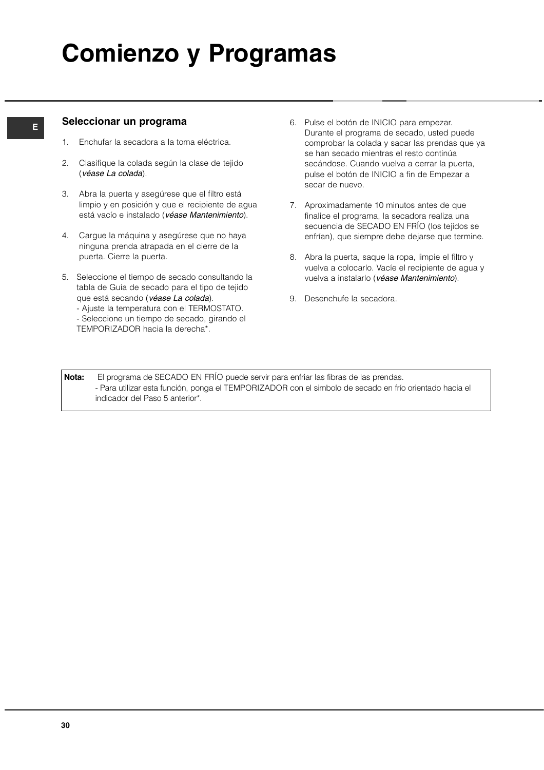# **Comienzo y Programas**

#### **Seleccionar un programa**

- 1. Enchufar la secadora a la toma eléctrica.
- 2. Clasifique la colada según la clase de tejido (véase La colada).
- 3. Abra la puerta y asegúrese que el filtro está limpio y en posición y que el recipiente de agua está vacío e instalado (véase Mantenimiento).
- 4. Cargue la máquina y asegúrese que no haya ninguna prenda atrapada en el cierre de la puerta. Cierre la puerta.
- 5. Seleccione el tiempo de secado consultando la tabla de Guía de secado para el tipo de tejido que está secando (véase La colada).
	- Ajuste la temperatura con el TERMOSTATO.
	- Seleccione un tiempo de secado, girando el TEMPORIZADOR hacia la derecha\*.
- 6. Pulse el botón de INICIO para empezar. Durante el programa de secado, usted puede comprobar la colada y sacar las prendas que ya se han secado mientras el resto continúa secándose. Cuando vuelva a cerrar la puerta, pulse el botón de INICIO a fin de Empezar a secar de nuevo.
- 7. Aproximadamente 10 minutos antes de que finalice el programa, la secadora realiza una secuencia de SECADO EN FRÍO (los tejidos se enfrían), que siempre debe dejarse que termine.
- 8. Abra la puerta, saque la ropa, limpie el filtro y vuelva a colocarlo. Vacíe el recipiente de agua y vuelva a instalarlo (véase Mantenimiento).
- 9. Desenchufe la secadora.

**Nota:** El programa de SECADO EN FRÍO puede servir para enfriar las fibras de las prendas. - Para utilizar esta función, ponga el TEMPORIZADOR con el simbolo de secado en frío orientado hacia el indicador del Paso 5 anterior\*.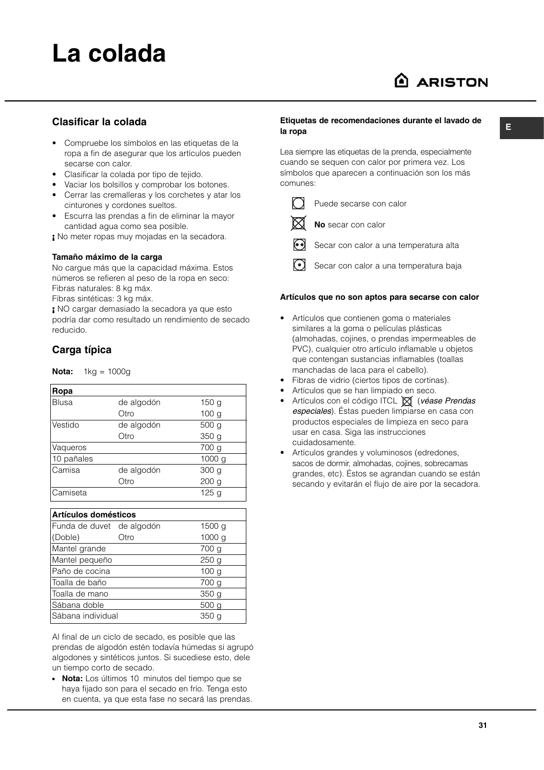## **La colada**

### A ARISTON

#### **Clasificar la colada**

- Compruebe los símbolos en las etiquetas de la ropa a fin de asegurar que los artículos pueden secarse con calor.
- Clasificar la colada por tipo de tejido.
- Vaciar los bolsillos y comprobar los botones.
- Cerrar las cremalleras y los corchetes y atar los cinturones y cordones sueltos.
- Escurra las prendas a fin de eliminar la mayor cantidad agua como sea posible.

**¡** No meter ropas muy mojadas en la secadora.

#### **Tamaño máximo de la carga**

No cargue más que la capacidad máxima. Estos números se refieren al peso de la ropa en seco: Fibras naturales: 8 kg máx. Fibras sintéticas: 3 kg máx.

**¡** NO cargar demasiado la secadora ya que esto podría dar como resultado un rendimiento de secado reducido.

#### **Carga típica**

**Nota:** 1kg = 1000g

| Ropa       |            |                  |
|------------|------------|------------------|
| Blusa      | de algodón | 150 g            |
|            | Otro       | 100 <sub>g</sub> |
| Vestido    | de algodón | 500 g            |
|            | Otro       | 350 <sub>g</sub> |
| Vaqueros   |            | 700 g            |
| 10 pañales |            | 1000 g           |
| Camisa     | de algodón | 300 g            |
|            | Otro       | 200 <sub>g</sub> |
| Camiseta   |            | 125 g            |

| Artículos domésticos      |      |                   |  |  |  |  |
|---------------------------|------|-------------------|--|--|--|--|
| Funda de duvet de algodón |      | 1500 <sub>g</sub> |  |  |  |  |
| (Doble)                   | Otro | 1000 <sub>g</sub> |  |  |  |  |
| Mantel grande             |      | 700 g             |  |  |  |  |
| Mantel pequeño            |      | 250 <sub>q</sub>  |  |  |  |  |
| Paño de cocina            |      | 100 <sub>q</sub>  |  |  |  |  |
| lToalla de baño           |      | 700 g             |  |  |  |  |
| lToalla de mano           |      | 350 <sub>g</sub>  |  |  |  |  |
| Sábana doble              |      | 500 g             |  |  |  |  |
| Sábana individual         |      | 350 a             |  |  |  |  |

Al final de un ciclo de secado, es posible que las prendas de algodón estén todavía húmedas si agrupó algodones y sintéticos juntos. Si sucediese esto, dele un tiempo corto de secado.

● **Nota:** Los últimos 10 minutos del tiempo que se haya fijado son para el secado en frío. Tenga esto en cuenta, ya que esta fase no secará las prendas.

#### **Etiquetas de recomendaciones durante el lavado de la ropa**

Lea siempre las etiquetas de la prenda, especialmente cuando se sequen con calor por primera vez. Los símbolos que aparecen a continuación son los más comunes:



Puede secarse con calor

**No** secar con calor

- Secar con calor a una temperatura alta
- $\Omega$ Secar con calor a una temperatura baja

#### **Artículos que no son aptos para secarse con calor**

- Artículos que contienen goma o materiales similares a la goma o películas plásticas (almohadas, cojines, o prendas impermeables de PVC), cualquier otro artículo inflamable u objetos que contengan sustancias inflamables (toallas manchadas de laca para el cabello).
- Fibras de vidrio (ciertos tipos de cortinas).
- Artículos que se han limpiado en seco.
- Artículos con el código ITCL X (véase Prendas especiales). Éstas pueden limpiarse en casa con productos especiales de limpieza en seco para usar en casa. Siga las instrucciones cuidadosamente.
- Artículos grandes y voluminosos (edredones, sacos de dormir, almohadas, cojines, sobrecamas grandes, etc). Éstos se agrandan cuando se están secando y evitarán el flujo de aire por la secadora.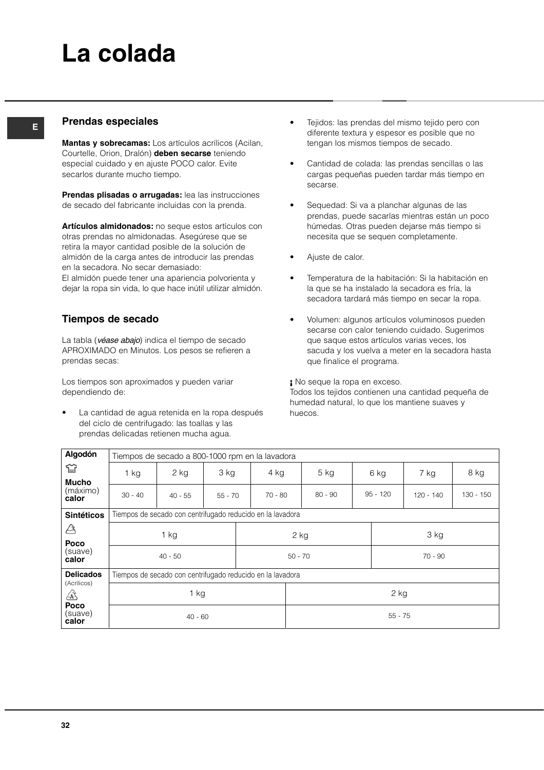## **La colada**

#### **<sup>E</sup> Prendas especiales**

**Mantas y sobrecamas:** Los artículos acrílicos (Acilan, Courtelle, Orion, Dralón) **deben secarse** teniendo especial cuidado y en ajuste POCO calor. Evite secarlos durante mucho tiempo.

**Prendas plisadas o arrugadas:** lea las instrucciones de secado del fabricante incluidas con la prenda.

**Artículos almidonados:** no seque estos artículos con otras prendas no almidonadas. Asegúrese que se retira la mayor cantidad posible de la solución de almidón de la carga antes de introducir las prendas en la secadora. No secar demasiado:

El almidón puede tener una apariencia polvorienta y dejar la ropa sin vida, lo que hace inútil utilizar almidón.

#### **Tiempos de secado**

La tabla (véase abajo) indica el tiempo de secado APROXIMADO en Minutos. Los pesos se refieren a prendas secas:

Los tiempos son aproximados y pueden variar dependiendo de:

La cantidad de agua retenida en la ropa después del ciclo de centrifugado: las toallas y las prendas delicadas retienen mucha agua.

- Tejidos: las prendas del mismo tejido pero con diferente textura y espesor es posible que no tengan los mismos tiempos de secado.
- Cantidad de colada: las prendas sencillas o las cargas pequeñas pueden tardar más tiempo en secarse.
- Sequedad: Si va a planchar algunas de las prendas, puede sacarlas mientras están un poco húmedas. Otras pueden dejarse más tiempo si necesita que se sequen completamente.
- Ajuste de calor.
- Temperatura de la habitación: Si la habitación en la que se ha instalado la secadora es fría, la secadora tardará más tiempo en secar la ropa.
- Volumen: algunos artículos voluminosos pueden secarse con calor teniendo cuidado. Sugerimos que saque estos artículos varias veces, los sacuda y los vuelva a meter en la secadora hasta que finalice el programa.

**¡** No seque la ropa en exceso. Todos los tejidos contienen una cantidad pequeña de humedad natural, lo que los mantiene suaves y huecos.

| Algodón                    | Tiempos de secado a 800-1000 rpm en la lavadora            |           |           |           |                        |            |             |           |  |
|----------------------------|------------------------------------------------------------|-----------|-----------|-----------|------------------------|------------|-------------|-----------|--|
| ≌                          | $1$ kg                                                     | 2 kg      | 3 kg      | 4 kg      | $5$ kg                 | 6 kg       | 7 kg        | 8 kg      |  |
| Mucho<br>(máximo)<br>calor | $30 - 40$                                                  | $40 - 55$ | $55 - 70$ | $70 - 80$ | $80 - 90$              | $95 - 120$ | $120 - 140$ | 130 - 150 |  |
| <b>Sintéticos</b>          | Tiempos de secado con centrifugado reducido en la lavadora |           |           |           |                        |            |             |           |  |
| A<br>Poco                  | 1 kg                                                       |           |           | 2 kg      |                        |            | 3 kg        |           |  |
| (suave)<br>calor           | $40 - 50$                                                  |           |           |           | $50 - 70$<br>$70 - 90$ |            |             |           |  |
| <b>Delicados</b>           | Tiempos de secado con centrifugado reducido en la lavadora |           |           |           |                        |            |             |           |  |
| (Acrílicos)<br>⚠           | 1 kg                                                       |           |           |           | 2 kg                   |            |             |           |  |
| Poco<br>(suave)<br>calor   | $40 - 60$                                                  |           |           |           |                        | $55 - 75$  |             |           |  |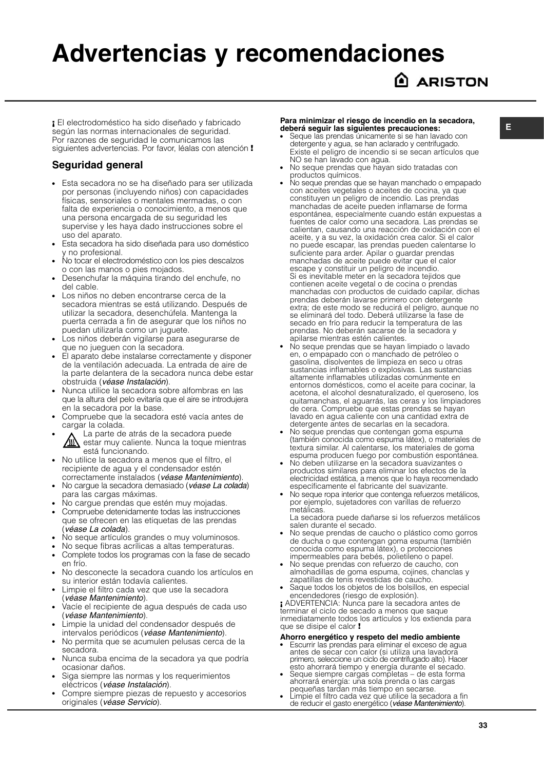### **Advertencias y recomendaciones**

### **ARISTON**

**¡** El electrodoméstico ha sido diseñado y fabricado según las normas internacionales de seguridad. Por razones de seguridad le comunicamos las siguientes advertencias. Por favor, léalas con atención **!**

#### **Seguridad general**

- Esta secadora no se ha diseñado para ser utilizada por personas (incluyendo niños) con capacidades físicas, sensoriales o mentales mermadas, o con falta de experiencia o conocimiento, a menos que una persona encargada de su seguridad les supervise y les haya dado instrucciones sobre el uso del aparato.
- Esta secadora ha sido diseñada para uso doméstico y no profesional.
- No tocar el electrodoméstico con los pies descalzos o con las manos o pies mojados.
- Desenchufar la máquina tirando del enchufe, no del cable.
- Los niños no deben encontrarse cerca de la secadora mientras se está utilizando. Después de utilizar la secadora, desenchúfela. Mantenga la puerta cerrada a fin de asegurar que los niños no puedan utilizarla como un juguete.
- Los niños deberán vigilarse para asegurarse de que no jueguen con la secadora.
- El aparato debe instalarse correctamente y disponer de la ventilación adecuada. La entrada de aire de la parte delantera de la secadora nunca debe estar obstruida (véase Instalación).
- Nunca utilice la secadora sobre alfombras en las que la altura del pelo evitaría que el aire se introdujera en la secadora por la base.
- Compruebe que la secadora esté vacía antes de cargar la colada.
- La parte de atrás de la secadora puede<br>Allestar muy caliente. Nunca la toque mien estar muy caliente. Nunca la toque mientras está funcionando.
- No utilice la secadora a menos que el filtro, el recipiente de agua y el condensador estén correctamente instalados (véase Mantenimiento).
- No cargue la secadora demasiado (véase La colada) para las cargas máximas.
- No cargue prendas que estén muy mojadas.
- Compruebe detenidamente todas las instrucciones que se ofrecen en las etiquetas de las prendas (véase La colada).
- No seque artículos grandes o muy voluminosos.
- No seque fibras acrílicas a altas temperaturas.
- Complete todos los programas con la fase de secado en frío.
- No desconecte la secadora cuando los artículos en su interior están todavía calientes.
- Limpie el filtro cada vez que use la secadora (véase Mantenimiento).
- Vacíe el recipiente de agua después de cada uso (véase Mantenimiento).
- Limpie la unidad del condensador después de intervalos periódicos (véase Mantenimiento).
- No permita que se acumulen pelusas cerca de la secadora.
- Nunca suba encima de la secadora ya que podría ocasionar daños.
- Siga siempre las normas y los requerimientos eléctricos (véase Instalación).
- Compre siempre piezas de repuesto y accesorios originales (véase Servicio).

#### **Para minimizar el riesgo de incendio en la secadora, deberá seguir las siguientes precauciones:**

- Seque las prendas únicamente si se han lavado con detergente y agua, se han aclarado y centrifugado. Existe el peligro de incendio si se secan artículos que NO se han lavado con agua.
- No seque prendas que hayan sido tratadas con productos químicos.
- No seque prendas que se hayan manchado o empapado con aceites vegetales o aceites de cocina, ya que constituyen un peligro de incendio. Las prendas manchadas de aceite pueden inflamarse de forma espontánea, especialmente cuando están expuestas a fuentes de calor como una secadora. Las prendas se calientan, causando una reacción de oxidación con el aceite, y a su vez, la oxidación crea calor. Si el calor no puede escapar, las prendas pueden calentarse lo suficiente para arder. Apilar o guardar prendas manchadas de aceite puede evitar que el calor escape y constituir un peligro de incendio. Si es inevitable meter en la secadora tejidos que contienen aceite vegetal o de cocina o prendas manchadas con productos de cuidado capilar, dichas prendas deberán lavarse primero con detergente extra; de este modo se reducirá el peligro, aunque no se eliminará del todo. Deberá utilizarse la fase de secado en frío para reducir la temperatura de las prendas. No deberán sacarse de la secadora y apilarse mientras estén calientes.
- No seque prendas que se hayan limpiado o lavado en, o empapado con o manchado de petróleo o gasolina, disolventes de limpieza en seco u otras sustancias inflamables o explosivas. Las sustancias altamente inflamables utilizadas comúnmente en entornos domésticos, como el aceite para cocinar, la acetona, el alcohol desnaturalizado, el queroseno, los quitamanchas, el aguarrás, las ceras y los limpiadores de cera. Compruebe que estas prendas se hayan lavado en agua caliente con una cantidad extra de detergente antes de secarlas en la secadora.
- No seque prendas que contengan goma espuma (también conocida como espuma látex), o materiales de textura similar. Al calentarse, los materiales de goma espuma producen fuego por combustión espontánea.
- No deben utilizarse en la secadora suavizantes o productos similares para eliminar los efectos de la electricidad estática, a menos que lo haya recomendado específicamente el fabricante del suavizante.
- No seque ropa interior que contenga refuerzos metálicos, por ejemplo, sujetadores con varillas de refuerzo metálicas.

La secadora puede dañarse si los refuerzos metálicos salen durante el secado.

- No seque prendas de caucho o plástico como gorros de ducha o que contengan goma espuma (también conocida como espuma látex), o protecciones impermeables para bebés, polietileno o papel.
- No seque prendas con refuerzo de caucho, con almohadillas de goma espuma, cojines, chanclas y zapatillas de tenis revestidas de caucho.
- Saque todos los objetos de los bolsillos, en especial encendedores (riesgo de explosión).

**¡** ADVERTENCIA: Nunca pare la secadora antes de terminar el ciclo de secado a menos que saque inmediatamente todos los artículos y los extienda para que se disipe el calor **!**

#### **Ahorro energético y respeto del medio ambiente**

- Escurrir las prendas para eliminar el exceso de agua antes de secar con calor (si utiliza una lavadora primero, seleccione un ciclo de centrifugado alto). Hacer esto ahorrará tiempo y energía durante el secado.
- Seque siempre cargas completas de esta forma ahorrará energía: una sola prenda o las cargas pequeñas tardan más tiempo en secarse.
- Limpie el filtro cada vez que utilice la secadora a fin de reducir el gasto energético (véase Mantenimiento).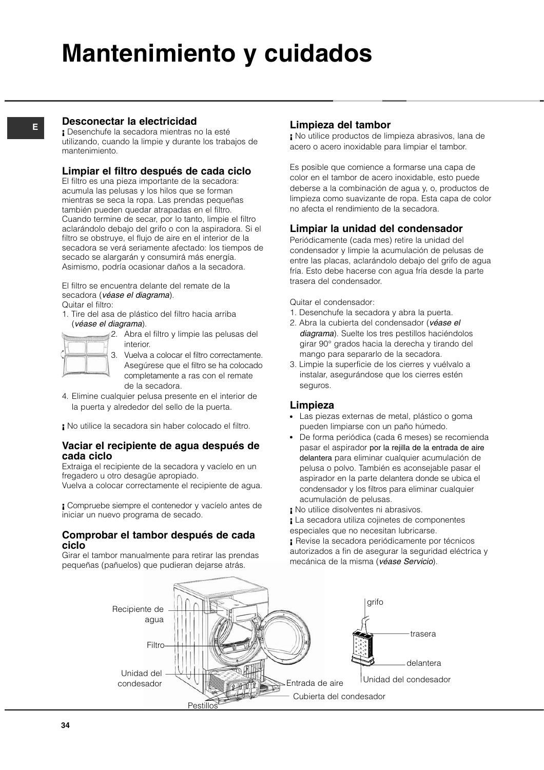# **Mantenimiento y cuidados**

#### **E**

#### **Desconectar la electricidad**

**¡** Desenchufe la secadora mientras no la esté utilizando, cuando la limpie y durante los trabajos de mantenimiento.

#### **Limpiar el filtro después de cada ciclo**

El filtro es una pieza importante de la secadora: acumula las pelusas y los hilos que se forman mientras se seca la ropa. Las prendas pequeñas también pueden quedar atrapadas en el filtro. Cuando termine de secar, por lo tanto, limpie el filtro aclarándolo debajo del grifo o con la aspiradora. Si el filtro se obstruye, el flujo de aire en el interior de la secadora se verá seriamente afectado: los tiempos de secado se alargarán y consumirá más energía. Asimismo, podría ocasionar daños a la secadora.

El filtro se encuentra delante del remate de la secadora (véase el diagrama). Quitar el filtro:

1. Tire del asa de plástico del filtro hacia arriba (véase el diagrama).

|   | ÷<br>٠ | ÷ |
|---|--------|---|
| w | ۰<br>۰ | × |
|   |        |   |

2. Abra el filtro y limpie las pelusas del interior.

3. Vuelva a colocar el filtro correctamente. Asegúrese que el filtro se ha colocado completamente a ras con el remate de la secadora.

- 4. Elimine cualquier pelusa presente en el interior de la puerta y alrededor del sello de la puerta.
- **¡** No utilice la secadora sin haber colocado el filtro.

#### **Vaciar el recipiente de agua después de cada ciclo**

Extraiga el recipiente de la secadora y vacíelo en un fregadero u otro desagüe apropiado.

Vuelva a colocar correctamente el recipiente de agua.

**¡** Compruebe siempre el contenedor y vacíelo antes de iniciar un nuevo programa de secado.

#### **Comprobar el tambor después de cada ciclo**

Girar el tambor manualmente para retirar las prendas pequeñas (pañuelos) que pudieran dejarse atrás.

#### **Limpieza del tambor**

**¡** No utilice productos de limpieza abrasivos, lana de acero o acero inoxidable para limpiar el tambor.

Es posible que comience a formarse una capa de color en el tambor de acero inoxidable, esto puede deberse a la combinación de agua y, o, productos de limpieza como suavizante de ropa. Esta capa de color no afecta el rendimiento de la secadora.

#### **Limpiar la unidad del condensador**

Periódicamente (cada mes) retire la unidad del condensador y limpie la acumulación de pelusas de entre las placas, aclarándolo debajo del grifo de agua fría. Esto debe hacerse con agua fría desde la parte trasera del condensador.

Quitar el condensador:

- 1. Desenchufe la secadora y abra la puerta.
- 2. Abra la cubierta del condensador (véase el diagrama). Suelte los tres pestillos haciéndolos girar 90° grados hacia la derecha y tirando del mango para separarlo de la secadora.
- 3. Limpie la superficie de los cierres y vuélvalo a instalar, asegurándose que los cierres estén seguros.

#### **Limpieza**

- Las piezas externas de metal, plástico o goma pueden limpiarse con un paño húmedo.
- De forma periódica (cada 6 meses) se recomienda pasar el aspirador por la rejilla de la entrada de aire delantera para eliminar cualquier acumulación de pelusa o polvo. También es aconsejable pasar el aspirador en la parte delantera donde se ubica el condensador y los filtros para eliminar cualquier acumulación de pelusas.
- **¡** No utilice disolventes ni abrasivos.

**¡** La secadora utiliza cojinetes de componentes especiales que no necesitan lubricarse.

**¡** Revise la secadora periódicamente por técnicos autorizados a fin de asegurar la seguridad eléctrica y mecánica de la misma (véase Servicio).

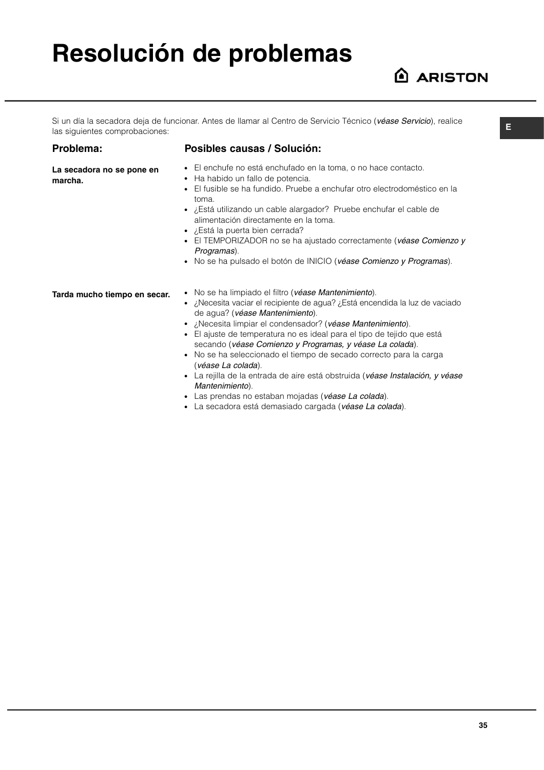## **Resolución de problemas**

### A ARISTON

**E**

Si un día la secadora deja de funcionar. Antes de llamar al Centro de Servicio Técnico (véase Servicio), realice las siguientes comprobaciones:

#### **Problema:**

#### **Posibles causas / Solución:**

- El enchufe no está enchufado en la toma, o no hace contacto.
	- Ha habido un fallo de potencia.
	- El fusible se ha fundido. Pruebe a enchufar otro electrodoméstico en la toma.
	- ¿Está utilizando un cable alargador? Pruebe enchufar el cable de alimentación directamente en la toma.
	- ¿Está la puerta bien cerrada?
	- El TEMPORIZADOR no se ha ajustado correctamente (véase Comienzo y Programas).
	- No se ha pulsado el botón de INICIO (véase Comienzo y Programas).

**Tarda mucho tiempo en secar.**

- No se ha limpiado el filtro (véase Mantenimiento).
- ¿Necesita vaciar el recipiente de agua? ¿Está encendida la luz de vaciado de agua? (véase Mantenimiento).
- ¿Necesita limpiar el condensador? (véase Mantenimiento).
- El ajuste de temperatura no es ideal para el tipo de tejido que está secando (véase Comienzo y Programas, y véase La colada).
- No se ha seleccionado el tiempo de secado correcto para la carga (véase La colada).
- La rejilla de la entrada de aire está obstruida (véase Instalación, y véase Mantenimiento).
- Las prendas no estaban mojadas (véase La colada).
- La secadora está demasiado cargada (véase La colada).

**La secadora no se pone en marcha.**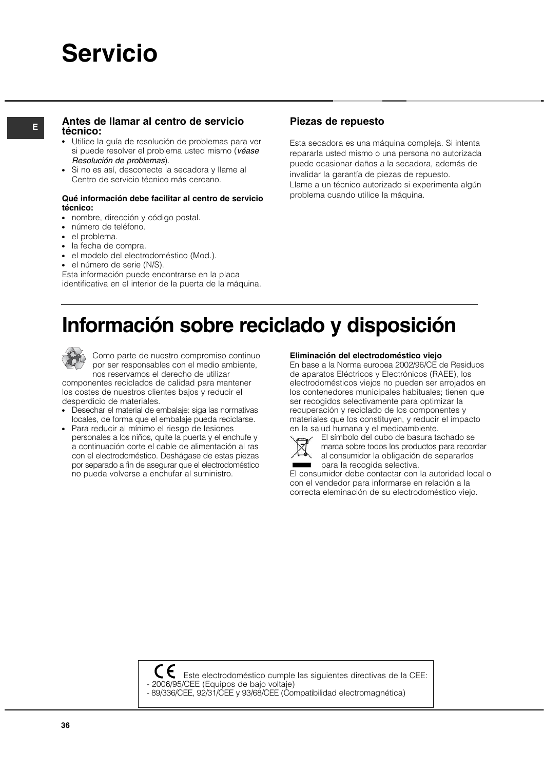### **Servicio**

#### **<sup>E</sup> Piezas de repuesto Antes de llamar al centro de servicio técnico:**

- Utilice la quía de resolución de problemas para ver si puede resolver el problema usted mismo (véase Resolución de problemas).
- Si no es así, desconecte la secadora y llame al Centro de servicio técnico más cercano.

#### **Qué información debe facilitar al centro de servicio técnico:**

- nombre, dirección y código postal.
- número de teléfono.
- el problema.
- la fecha de compra.
- el modelo del electrodoméstico (Mod.).
- el número de serie (N/S).

Esta información puede encontrarse en la placa identificativa en el interior de la puerta de la máquina.

Esta secadora es una máquina compleja. Si intenta repararla usted mismo o una persona no autorizada puede ocasionar daños a la secadora, además de invalidar la garantía de piezas de repuesto. Llame a un técnico autorizado si experimenta algún problema cuando utilice la máquina.

### **Información sobre reciclado y disposición**



Como parte de nuestro compromiso continuo por ser responsables con el medio ambiente, nos reservamos el derecho de utilizar

componentes reciclados de calidad para mantener los costes de nuestros clientes bajos y reducir el desperdicio de materiales.

- Desechar el material de embalaje: siga las normativas locales, de forma que el embalaje pueda reciclarse.
- Para reducir al mínimo el riesgo de lesiones personales a los niños, quite la puerta y el enchufe y a continuación corte el cable de alimentación al ras con el electrodoméstico. Deshágase de estas piezas por separado a fin de asegurar que el electrodoméstico no pueda volverse a enchufar al suministro.

**Eliminación del electrodoméstico viejo**

En base a la Norma europea 2002/96/CE de Residuos de aparatos Eléctricos y Electrónicos (RAEE), los electrodomésticos viejos no pueden ser arrojados en los contenedores municipales habituales; tienen que ser recogidos selectivamente para optimizar la recuperación y reciclado de los componentes y materiales que los constituyen, y reducir el impacto en la salud humana y el medioambiente.



El símbolo del cubo de basura tachado se marca sobre todos los productos para recordar al consumidor la obligación de separarlos para la recogida selectiva.

El consumidor debe contactar con la autoridad local o con el vendedor para informarse en relación a la correcta eleminación de su electrodoméstico viejo.

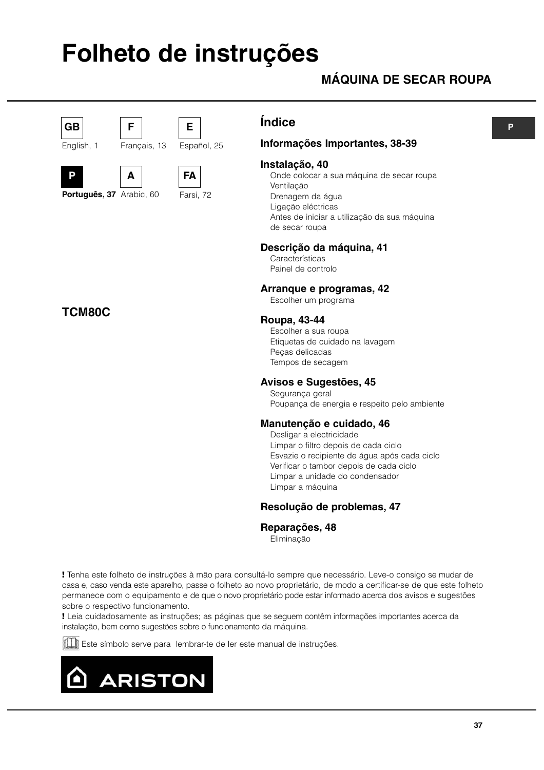# **Folheto de instruções**

**E**

## **MÁQUINA DE SECAR ROUPA**



English, 1



Português, 37 Arabic, 60

**A**

**F**

Français, 13

**TCM80C**



**FA** Farsi, 72

Español, 25

## **Índice**

## **Informações Importantes, 38-39**

### **Instalação, 40**

Onde colocar a sua máquina de secar roupa Ventilação Drenagem da água Ligação eléctricas Antes de iniciar a utilização da sua máquina de secar roupa

## **Descrição da máquina, 41**

**Características** Painel de controlo

## **Arranque e programas, 42**

Escolher um programa

## **Roupa, 43-44**

Escolher a sua roupa Etiquetas de cuidado na lavagem Peças delicadas Tempos de secagem

## **Avisos e Sugestões, 45**

Segurança geral Poupança de energia e respeito pelo ambiente

## **Manutenção e cuidado, 46**

Desligar a electricidade Limpar o filtro depois de cada ciclo Esvazie o recipiente de água após cada ciclo Verificar o tambor depois de cada ciclo Limpar a unidade do condensador Limpar a máquina

## **Resolução de problemas, 47**

**Reparações, 48**

Eliminação

**!** Tenha este folheto de instruções à mão para consultá-lo sempre que necessário. Leve-o consigo se mudar de casa e, caso venda este aparelho, passe o folheto ao novo proprietário, de modo a certificar-se de que este folheto permanece com o equipamento e de que o novo proprietário pode estar informado acerca dos avisos e sugestões sobre o respectivo funcionamento.

**!** Leia cuidadosamente as instruções; as páginas que se seguem contêm informações importantes acerca da instalação, bem como sugestões sobre o funcionamento da máquina.

Este símbolo serve para lembrar-te de ler este manual de instruções.

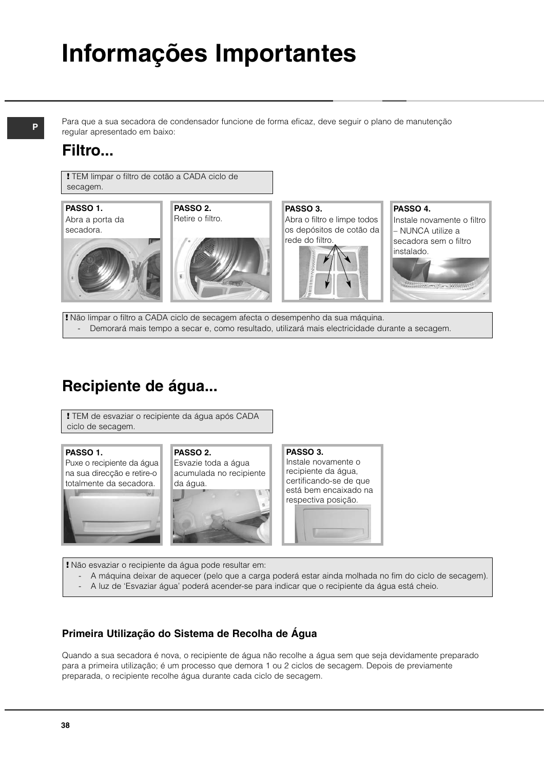# **Informações Importantes**

Para que a sua secadora de condensador funcione de forma eficaz, deve seguir o plano de manutenção regular apresentado em baixo:

## **Filtro...**

**!** TEM limpar o filtro de cotão a CADA ciclo de secagem.







**PASSO 2.**

**PASSO 3.** Abra o filtro e limpe todos os depósitos de cotão da rede do filtro.



**PASSO 4.** Instale novamente o filtro – NUNCA utilize a secadora sem o filtro instalado.

**!** Não limpar o filtro a CADA ciclo de secagem afecta o desempenho da sua máquina. - Demorará mais tempo a secar e, como resultado, utilizará mais electricidade durante a secagem.

## **Recipiente de água...**

**!** TEM de esvaziar o recipiente da água após CADA ciclo de secagem.

#### **PASSO 1.**

Puxe o recipiente da água na sua direcção e retire-o totalmente da secadora.







**PASSO 3.** Instale novamente o recipiente da água, certificando-se de que está bem encaixado na respectiva posição.



**!** Não esvaziar o recipiente da água pode resultar em:

- A máquina deixar de aquecer (pelo que a carga poderá estar ainda molhada no fim do ciclo de secagem).
- A luz de 'Esvaziar água' poderá acender-se para indicar que o recipiente da água está cheio.

## **Primeira Utilização do Sistema de Recolha de Água**

Quando a sua secadora é nova, o recipiente de água não recolhe a água sem que seja devidamente preparado para a primeira utilização; é um processo que demora 1 ou 2 ciclos de secagem. Depois de previamente preparada, o recipiente recolhe água durante cada ciclo de secagem.

## **P**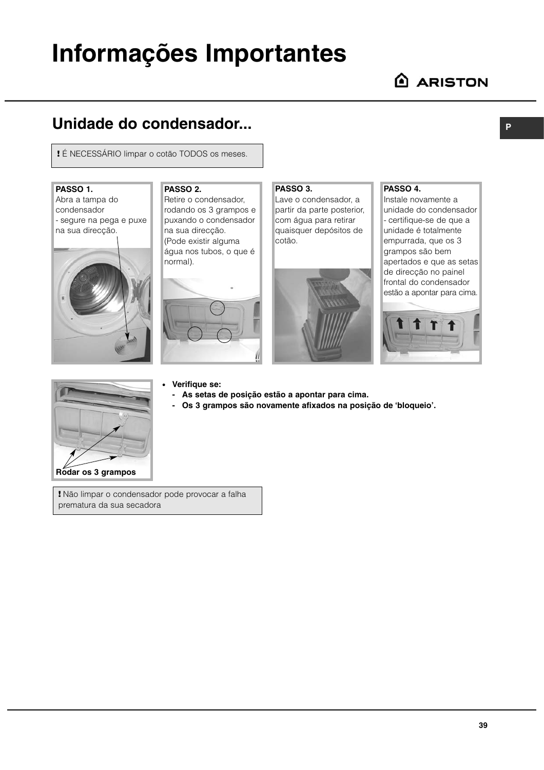# **Informações Importantes**

**P**

## **Unidade do condensador...**

**!** É NECESSÁRIO limpar o cotão TODOS os meses.

### **PASSO 1.**

Abra a tampa do condensador - segure na pega e puxe na sua direcção.



## **PASSO 2.**

Retire o condensador, rodando os 3 grampos e puxando o condensador na sua direcção. (Pode existir alguma água nos tubos, o que é normal).



#### **PASSO 3.**

Lave o condensador, a partir da parte posterior, com água para retirar quaisquer depósitos de cotão.



#### **PASSO 4.**

Instale novamente a unidade do condensador - certifique-se de que a unidade é totalmente empurrada, que os 3 grampos são bem apertados e que as setas de direcção no painel frontal do condensador estão a apontar para cima.





#### ● **Verifique se:**

- **As setas de posição estão a apontar para cima.**
- **Os 3 grampos são novamente afixados na posição de 'bloqueio'.**
- **!** Não limpar o condensador pode provocar a falha prematura da sua secadora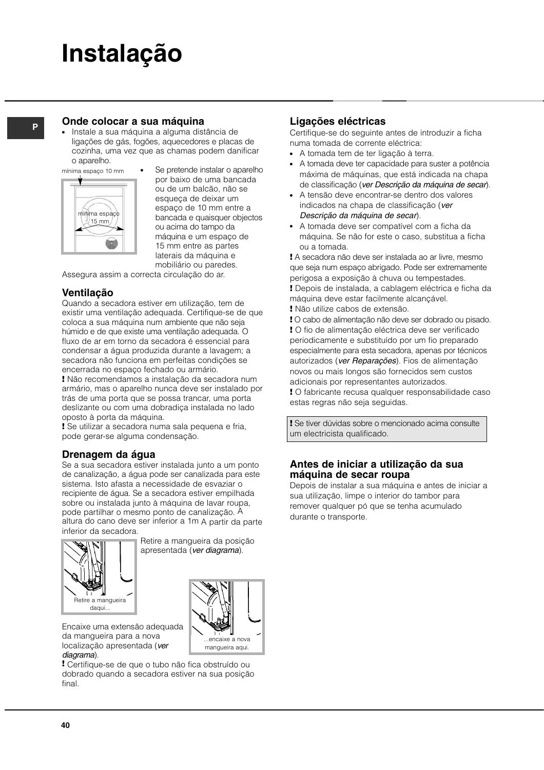# **Instalação**

## **<sup>P</sup> Onde colocar a sua máquina**

Instale a sua máquina a alguma distância de ligações de gás, fogões, aquecedores e placas de cozinha, uma vez que as chamas podem danificar o aparelho.





Se pretende instalar o aparelho por baixo de uma bancada ou de um balcão, não se esqueça de deixar um espaço de 10 mm entre a bancada e quaisquer objectos ou acima do tampo da máquina e um espaço de 15 mm entre as partes laterais da máquina e mobiliário ou paredes.

Assegura assim a correcta circulação do ar.

## **Ventilação**

Quando a secadora estiver em utilização, tem de existir uma ventilação adequada. Certifique-se de que coloca a sua máquina num ambiente que não seja húmido e de que existe uma ventilação adequada. O fluxo de ar em torno da secadora é essencial para condensar a água produzida durante a lavagem; a secadora não funciona em perfeitas condições se encerrada no espaço fechado ou armário.

**!** Não recomendamos a instalação da secadora num armário, mas o aparelho nunca deve ser instalado por trás de uma porta que se possa trancar, uma porta deslizante ou com uma dobradiça instalada no lado oposto à porta da máquina.

**!** Se utilizar a secadora numa sala pequena e fria, pode gerar-se alguma condensação.

## **Drenagem da água**

Se a sua secadora estiver instalada junto a um ponto de canalização, a água pode ser canalizada para este sistema. Isto afasta a necessidade de esvaziar o recipiente de água. Se a secadora estiver empilhada sobre ou instalada junto à máquina de lavar roupa, pode partilhar o mesmo ponto de canalização. A altura do cano deve ser inferior a 1m A partir da parte inferior da secadora.



Retire a mangueira da posição apresentada (ver diagrama).



Encaixe uma extensão adequada da mangueira para a nova localização apresentada (ver diagrama).

**!** Certifique-se de que o tubo não fica obstruído ou dobrado quando a secadora estiver na sua posição final.

## **Ligações eléctricas**

Certifique-se do seguinte antes de introduzir a ficha numa tomada de corrente eléctrica:

- A tomada tem de ter ligação à terra.
- A tomada deve ter capacidade para suster a potência máxima de máquinas, que está indicada na chapa de classificação (ver Descrição da máquina de secar).
- A tensão deve encontrar-se dentro dos valores indicados na chapa de classificação (ver Descrição da máquina de secar).
- A tomada deve ser compatível com a ficha da máquina. Se não for este o caso, substitua a ficha ou a tomada.

**!** A secadora não deve ser instalada ao ar livre, mesmo que seja num espaço abrigado. Pode ser extremamente perigosa a exposição à chuva ou tempestades. **!** Depois de instalada, a cablagem eléctrica e ficha da máquina deve estar facilmente alcançável.

**!** Não utilize cabos de extensão.

**!** O cabo de alimentação não deve ser dobrado ou pisado. **!** O fio de alimentação eléctrica deve ser verificado periodicamente e substituído por um fio preparado especialmente para esta secadora, apenas por técnicos autorizados (ver Reparações). Fios de alimentação novos ou mais longos são fornecidos sem custos adicionais por representantes autorizados.

**!** O fabricante recusa qualquer responsabilidade caso estas regras não seja seguidas.

**!** Se tiver dúvidas sobre o mencionado acima consulte um electricista qualificado.

#### **Antes de iniciar a utilização da sua máquina de secar roupa**

Depois de instalar a sua máquina e antes de iniciar a sua utilização, limpe o interior do tambor para remover qualquer pó que se tenha acumulado durante o transporte.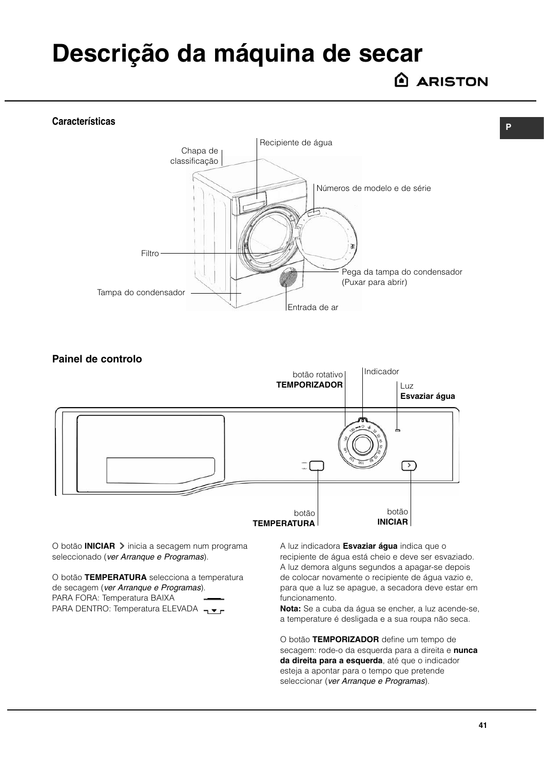# **Descrição da máquina de secar**

**ARISTON** 

**P**

#### **Características**





O botão **INICIAR** > inicia a secagem num programa seleccionado (ver Arranque e Programas).

O botão **TEMPERATURA** selecciona a temperatura de secagem (ver Arranque e Programas). PARA FORA: Temperatura BAIXA PARA DENTRO: Temperatura ELEVADA –

A luz indicadora **Esvaziar água** indica que o recipiente de água está cheio e deve ser esvaziado. A luz demora alguns segundos a apagar-se depois de colocar novamente o recipiente de água vazio e, para que a luz se apague, a secadora deve estar em funcionamento.

**Nota:** Se a cuba da água se encher, a luz acende-se, a temperature é desligada e a sua roupa não seca.

O botão **TEMPORIZADOR** define um tempo de secagem: rode-o da esquerda para a direita e **nunca da direita para a esquerda**, até que o indicador esteja a apontar para o tempo que pretende seleccionar (ver Arranque e Programas).

**41**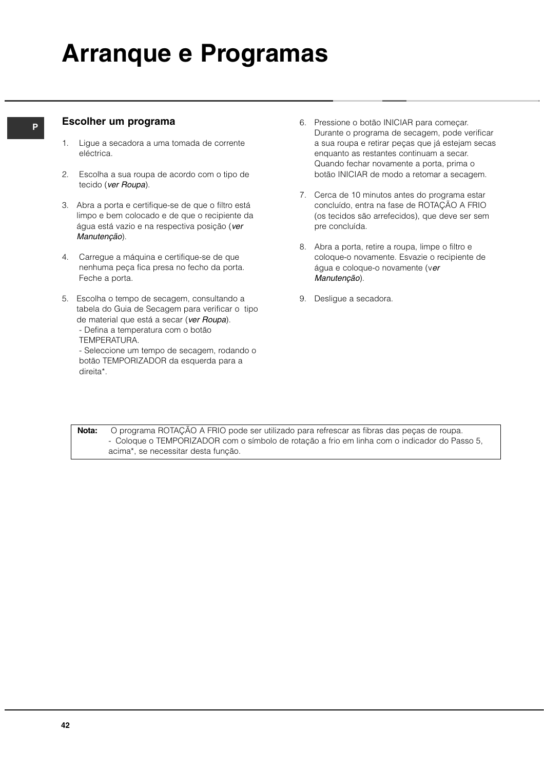# **Arranque e Programas**

## **<sup>P</sup> Escolher um programa**

- 1. Ligue a secadora a uma tomada de corrente eléctrica.
- 2. Escolha a sua roupa de acordo com o tipo de tecido (ver Roupa).
- 3. Abra a porta e certifique-se de que o filtro está limpo e bem colocado e de que o recipiente da água está vazio e na respectiva posição (ver Manutenção).
- 4. Carregue a máquina e certifique-se de que nenhuma peça fica presa no fecho da porta. Feche a porta.
- 5. Escolha o tempo de secagem, consultando a tabela do Guia de Secagem para verificar o tipo de material que está a secar (ver Roupa).
	- Defina a temperatura com o botão
	- TEMPERATURA.
	- Seleccione um tempo de secagem, rodando o botão TEMPORIZADOR da esquerda para a direita\*.
- 6. Pressione o botão INICIAR para começar. Durante o programa de secagem, pode verificar a sua roupa e retirar peças que já estejam secas enquanto as restantes continuam a secar. Quando fechar novamente a porta, prima o botão INICIAR de modo a retomar a secagem.
- 7. Cerca de 10 minutos antes do programa estar concluído, entra na fase de ROTAÇÃO A FRIO (os tecidos são arrefecidos), que deve ser sem pre concluída.
- 8. Abra a porta, retire a roupa, limpe o filtro e coloque-o novamente. Esvazie o recipiente de água e coloque-o novamente (ver Manutenção).
- 9. Desligue a secadora.

**Nota:** O programa ROTAÇÃO A FRIO pode ser utilizado para refrescar as fibras das peças de roupa. - Coloque o TEMPORIZADOR com o símbolo de rotação a frio em linha com o indicador do Passo 5, acima\*, se necessitar desta função.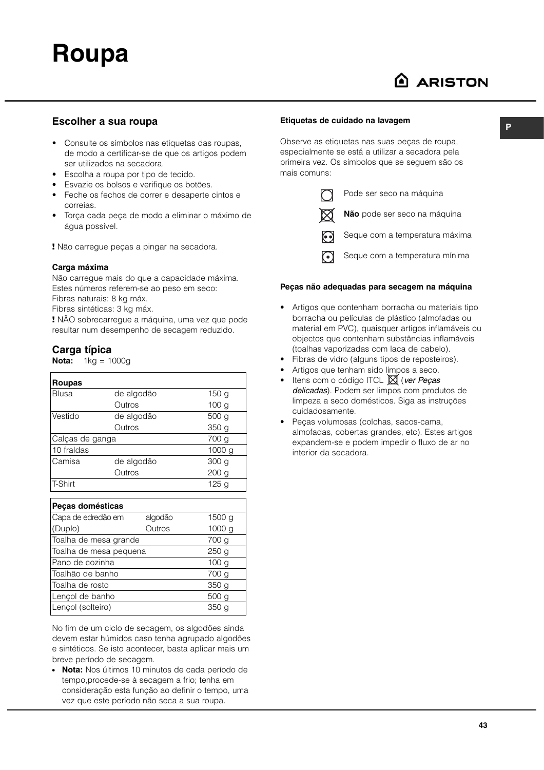**P**

#### **Escolher a sua roupa**

- Consulte os símbolos nas etiquetas das roupas, de modo a certificar-se de que os artigos podem ser utilizados na secadora.
- Escolha a roupa por tipo de tecido.
- Esvazie os bolsos e verifique os botões.
- Feche os fechos de correr e desaperte cintos e correias.
- Torça cada peça de modo a eliminar o máximo de água possível.

**!** Não carregue peças a pingar na secadora.

#### **Carga máxima**

Não carregue mais do que a capacidade máxima. Estes números referem-se ao peso em seco: Fibras naturais: 8 kg máx.

Fibras sintéticas: 3 kg máx.

**!** NÃO sobrecarregue a máquina, uma vez que pode resultar num desempenho de secagem reduzido.

#### **Carga típica**

**Nota:** 1kg = 1000g

| Roupas          |            |                  |
|-----------------|------------|------------------|
| Blusa           | de algodão | 150 <sub>g</sub> |
|                 | Outros     | 100 <sub>q</sub> |
| Vestido         | de algodão | 500 g            |
|                 | Outros     | 350 g            |
| Calças de ganga |            | 700 g            |
| 10 fraldas      |            | 1000 g           |
| Camisa          | de algodão | 300 <sub>g</sub> |
|                 | Outros     | 200 <sub>g</sub> |
| T-Shirt         |            | 125 <sub>g</sub> |

| Peças domésticas       |         |                   |
|------------------------|---------|-------------------|
| Capa de edredão em     | algodão | 1500 <sub>g</sub> |
| (Duplo)                | Outros  | 1000 g            |
| Toalha de mesa grande  |         | 700 g             |
| Toalha de mesa pequena |         | 250 <sub>g</sub>  |
| lPano de cozinha       |         | 100 <sub>q</sub>  |
| lToalhão de banho      |         | 700 g             |
| lToalha de rosto       |         | 350 <sub>q</sub>  |
| Lençol de banho        |         | 500 g             |
| Lençol (solteiro)      |         | 350 <sub>q</sub>  |

No fim de um ciclo de secagem, os algodões ainda devem estar húmidos caso tenha agrupado algodões e sintéticos. Se isto acontecer, basta aplicar mais um breve período de secagem.

● **Nota:** Nos últimos 10 minutos de cada período de tempo,procede-se à secagem a frio; tenha em consideração esta função ao definir o tempo, uma vez que este período não seca a sua roupa.

#### **Etiquetas de cuidado na lavagem**

Observe as etiquetas nas suas peças de roupa, especialmente se está a utilizar a secadora pela primeira vez. Os símbolos que se seguem são os mais comuns:



Pode ser seco na máquina

**Não** pode ser seco na máquina

Seque com a temperatura máxima

Seque com a temperatura mínima

#### **Peças não adequadas para secagem na máquina**

- Artigos que contenham borracha ou materiais tipo borracha ou películas de plástico (almofadas ou material em PVC), quaisquer artigos inflamáveis ou objectos que contenham substâncias inflamáveis (toalhas vaporizadas com laca de cabelo).
- Fibras de vidro (alguns tipos de reposteiros).
- Artigos que tenham sido limpos a seco.
- Itens com o código ITCL  $\boxtimes$  (ver Peças delicadas). Podem ser limpos com produtos de limpeza a seco domésticos. Siga as instruções cuidadosamente.
- Peças volumosas (colchas, sacos-cama, almofadas, cobertas grandes, etc). Estes artigos expandem-se e podem impedir o fluxo de ar no interior da secadora.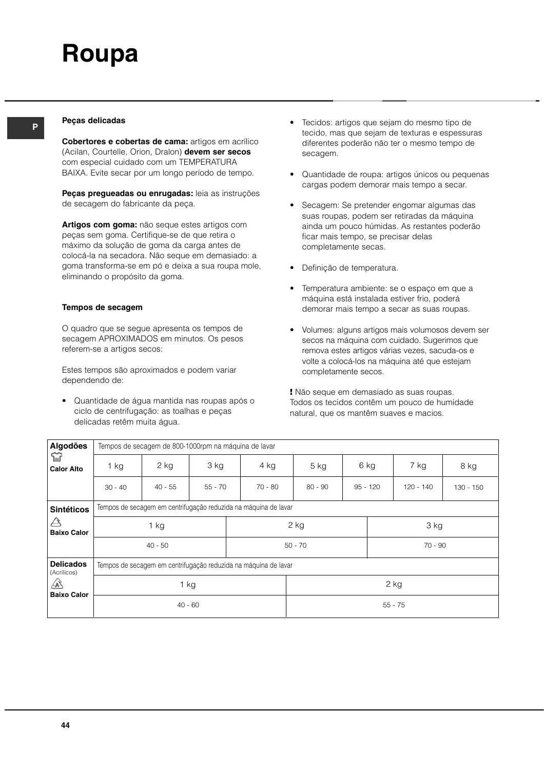## **<sup>P</sup> Peças delicadas**

**Cobertores e cobertas de cama:** artigos em acrílico (Acilan, Courtelle, Orion, Dralon) **devem ser secos** com especial cuidado com um TEMPERATURA BAIXA. Evite secar por um longo período de tempo.

**Peças pregueadas ou enrugadas:** leia as instruções de secagem do fabricante da peça.

**Artigos com goma:** não seque estes artigos com peças sem goma. Certifique-se de que retira o máximo da solução de goma da carga antes de colocá-la na secadora. Não seque em demasiado: a goma transforma-se em pó e deixa a sua roupa mole, eliminando o propósito da goma.

#### **Tempos de secagem**

O quadro que se segue apresenta os tempos de secagem APROXIMADOS em minutos. Os pesos referem-se a artigos secos:

Estes tempos são aproximados e podem variar dependendo de:

• Quantidade de água mantida nas roupas após o ciclo de centrifugação: as toalhas e peças delicadas retêm muita água.

- Tecidos: artigos que sejam do mesmo tipo de tecido, mas que sejam de texturas e espessuras diferentes poderão não ter o mesmo tempo de secagem.
- Quantidade de roupa: artigos únicos ou pequenas cargas podem demorar mais tempo a secar.
- Secagem: Se pretender engomar algumas das suas roupas, podem ser retiradas da máquina ainda um pouco húmidas. As restantes poderão ficar mais tempo, se precisar delas completamente secas.
- Definição de temperatura.
- Temperatura ambiente: se o espaço em que a máquina está instalada estiver frio, poderá demorar mais tempo a secar as suas roupas.
- Volumes: alguns artigos mais volumosos devem ser secos na máquina com cuidado. Sugerimos que remova estes artigos várias vezes, sacuda-os e volte a colocá-los na máquina até que estejam completamente secos.

**!** Não seque em demasiado as suas roupas. Todos os tecidos contêm um pouco de humidade natural, que os mantêm suaves e macios.

| Algodões                          |           | Tempos de secagem de 800-1000rpm na máquina de lavar |           |                                                                 |           |      |            |           |             |
|-----------------------------------|-----------|------------------------------------------------------|-----------|-----------------------------------------------------------------|-----------|------|------------|-----------|-------------|
| ≌<br><b>Calor Alto</b>            | $1$ kg    | 2 kg                                                 | 3 kg      | 4 kg                                                            | $5$ kg    | 6 kg |            | 7 kg      | 8 kg        |
|                                   | $30 - 40$ | $40 - 55$                                            | $55 - 70$ | $70 - 80$                                                       | $80 - 90$ |      | $95 - 120$ | 120 - 140 | $130 - 150$ |
| <b>Sintéticos</b>                 |           |                                                      |           | Tempos de secagem em centrifugação reduzida na máquina de lavar |           |      |            |           |             |
| $\triangle$<br><b>Baixo Calor</b> |           | 1 kg                                                 |           |                                                                 | 2 kg      |      |            | 3 kg      |             |
|                                   |           | $40 - 50$                                            |           |                                                                 | $50 - 70$ |      |            | $70 - 90$ |             |
| <b>Delicados</b><br>(Acrílicos)   |           |                                                      |           | Tempos de secagem em centrifugação reduzida na máquina de lavar |           |      |            |           |             |
| ⚠                                 |           | $1$ kg                                               |           |                                                                 |           |      |            | $2$ kg    |             |
| <b>Baixo Calor</b>                |           | $40 - 60$                                            |           |                                                                 |           |      |            | $55 - 75$ |             |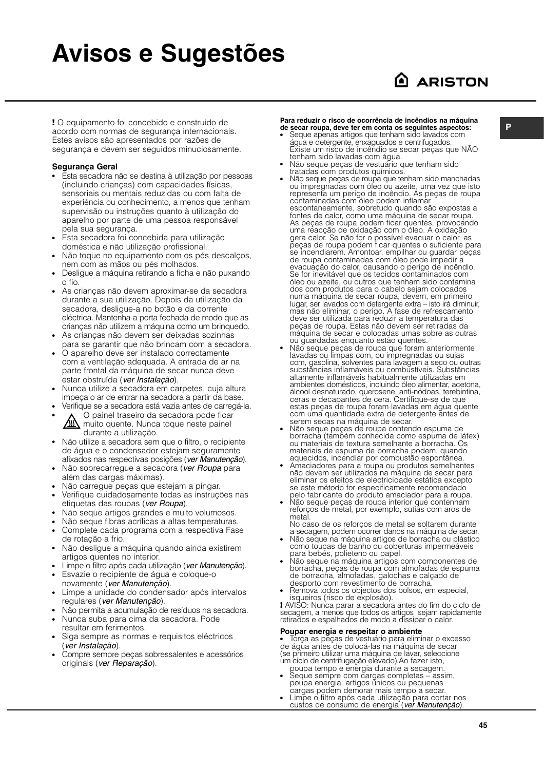# **Avisos e Sugestões**

## A ARISTON

**Para reduzir o risco de ocorrencia de incendios na maquina**<br>de secar roupa, deve ter em conta os seguintes aspectos:<br>cordo com permas de sequiranca internacionais de secar roupa, deve ter em conta os seguintes aspectos: acordo com normas de segurança internacionais. Estes avisos são apresentados por razões de segurança e devem ser seguidos minuciosamente.

#### **Segurança Geral**

- Esta secadora não se destina à utilização por pessoas (incluindo crianças) com capacidades físicas, sensoriais ou mentais reduzidas ou com falta de experiência ou conhecimento, a menos que tenham supervisão ou instruções quanto à utilização do aparelho por parte de uma pessoa responsável pela sua segurança.
- Esta secadora foi concebida para utilização doméstica e não utilização profissional.
- Não toque no equipamento com os pés descalços, nem com as mãos ou pés molhados.
- Desligue a máquina retirando a ficha e não puxando o fio.
- As crianças não devem aproximar-se da secadora durante a sua utilização. Depois da utilização da secadora, desligue-a no botão e da corrente eléctrica. Mantenha a porta fechada de modo que as crianças não utilizem a máquina como um brinquedo.
- As crianças não devem ser deixadas sozinhas para se garantir que não brincam com a secadora.
- O aparelho deve ser instalado correctamente com a ventilação adequada. A entrada de ar na parte frontal da máquina de secar nunca deve estar obstruída (ver Instalação).
- Nunca utilize a secadora em carpetes, cuja altura impeça o ar de entrar na secadora a partir da base.
- Verifique se a secadora está vazia antes de carregá-la.
- O painel traseiro da secadora pode ficar muito quente. Nunca toque neste painel durante a utilização.
- Não utilize a secadora sem que o filtro, o recipiente de água e o condensador estejam seguramente afixados nas respectivas posições (ver Manutenção).
- Não sobrecarregue a secadora (ver Roupa para além das cargas máximas).
- Não carregue peças que estejam a pingar.
- Verifique cuidadosamente todas as instruções nas etiquetas das roupas (ver Roupa).
- Não seque artigos grandes e muito volumosos.
- Não seque fibras acrílicas a altas temperaturas.
- Complete cada programa com a respectiva Fase de rotação a frio.
- Não desligue a máquina quando ainda existirem artigos quentes no interior.
- Limpe o filtro após cada utilização (ver Manutenção).
- Esvazie o recipiente de água e coloque-o novamente (ver Manutenção).
- Limpe a unidade do condensador após intervalos regulares (ver Manutenção).
- Não permita a acumulação de resíduos na secadora.
- Nunca suba para cima da secadora. Pode resultar em ferimentos.
- Siga sempre as normas e requisitos eléctricos (ver Instalação).
- Compre sempre peças sobressalentes e acessórios originais (ver Reparação).

**Para reduzir o risco de ocorrência de incêndios na máquina**

- Seque apenas artigos que tenham sido lavados com água e detergente, enxaguados e centrifugados. Existe um risco de incêndio se secar peças que NAO tenham sido lavadas com água.
- emam sido la radado com agua.<br>Não seque peças de vestuário que tenham sido tratadas com produtos químicos.
- Não seque peças de roupa que tenham sido manchadas ou impregnadas com óleo ou azeite, uma vez que isto representa um perigo de incêndio. As peças de roupa contaminadas com óleo podem inflamar espontaneamente, sobretudo quando são expostas a fontes de calor, como uma máquina de secar roupa. As peças de roupa podem ficar quentes, provocando uma reacção de oxidação com o óleo. A oxidação gera calor. Se não for o possível evacuar o calor, as peças de roupa podem ficar quentes o suficiente para se incendiarem. Amontoar, empilhar ou guardar peças de roupa contaminadas com óleo pode impedir a evacuação do calor, causando o perigo de incêndio. Se for inevitável que os tecidos contaminados com óleo ou azeite, ou outros que tenham sido contamina dos com produtos para o cabelo sejam colocados numa máquina de secar roupa, devem, em primeiro lugar, ser lavados com detergente extra – isto irá diminuir, mas não eliminar, o perigo. A fase de refrescamento deve ser utilizada para reduzir a temperatura das peças de roupa. Estas não devem ser retiradas da máquina de secar e colocadas umas sobre as outras ou guardadas enquanto estão quentes.
- Não seque peças de roupa que foram anteriormente lavadas ou limpas com, ou impregnadas ou sujas com, gasolina, solventes para lavagem a seco ou outras substâncias inflamáveis ou combustíveis. Substâncias altamente inflamáveis habitualmente utilizadas em ambientes domésticos, incluindo óleo alimentar, acetona, álcool desnaturado, querosene, anti-nódoas, terebintina, ceras e decapantes de cera. Certifique-se de que estas peças de roupa foram lavadas em água quente com uma quantidade extra de detergente antes de serem secas na máquina de secar.
- Não seque peças de roupa contendo espuma de borracha (também conhecida como espuma de látex) ou materiais de textura semelhante a borracha. Os materiais de espuma de borracha podem, quando aquecidos, incendiar por combustão espontânea.
- Amaciadores para a roupa ou produtos semelhantes não devem ser utilizados na máquina de secar para eliminar os efeitos de electricidade estática excepto se este método for especificamente recomendado pelo fabricante do produto amaciador para a roupa.
- Não seque peças de roupa interior que contenham reforços de metal, por exemplo, sutiãs com aros de metal.

No caso de os reforços de metal se soltarem durante a secagem, podem ocorrer danos na máquina de secar.

- a eseagent, pedem esencir almes na magama as eseantes da possa. como toucas de banho ou coberturas impermeáveis para bebés, polieteno ou papel.
- Não seque na máquina artigos com componentes de borracha, peças de roupa com almofadas de espuma de borracha, almofadas, galochas e calçado de desporto com revestimento de borracha.
- Remova todos os objectos dos bolsos, em especial, isqueiros (risco de explosão).

**!** AVISO: Nunca parar a secadora antes do fim do ciclo de secagem, a menos que todos os artigos sejam rapidamente retirados e espalhados de modo a dissipar o calor.

#### **Poupar energia e respeitar o ambiente**

● Torça as peças de vestuário para eliminar o excesso de água antes de colocá-las na máquina de secar (se primeiro utilizar uma máquina de lavar, seleccione um ciclo de centrifugação elevado).Ao fazer isto,

- poupa tempo e energia durante a secagem. • Seque sempre com cargas completas – assim, poupa energia: artigos únicos ou pequenas
- cargas podem demorar mais tempo a secar. Limpe o filtro após cada utilização para cortar nos custos de consumo de energia<sup>®</sup> (ver Manutenção).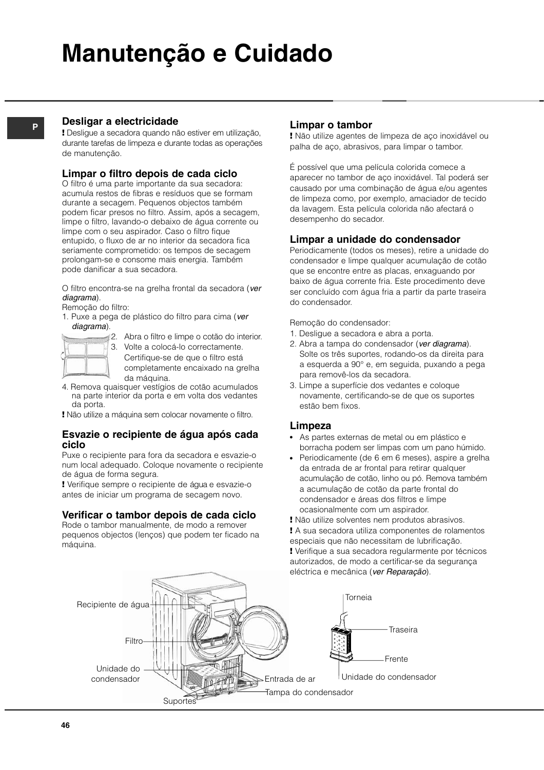# **Manutenção e Cuidado**

## **Desligar a electricidade**

**P**

**!** Desligue a secadora quando não estiver em utilização, durante tarefas de limpeza e durante todas as operações de manutenção.

### **Limpar o filtro depois de cada ciclo**

O filtro é uma parte importante da sua secadora: acumula restos de fibras e resíduos que se formam durante a secagem. Pequenos objectos também podem ficar presos no filtro. Assim, após a secagem, limpe o filtro, lavando-o debaixo de água corrente ou limpe com o seu aspirador. Caso o filtro fique entupido, o fluxo de ar no interior da secadora fica seriamente comprometido: os tempos de secagem prolongam-se e consome mais energia. Também pode danificar a sua secadora.

O filtro encontra-se na grelha frontal da secadora (ver diagrama).

- Remoção do filtro:
- 1. Puxe a pega de plástico do filtro para cima (ver diagrama). 2. Abra o filtro e limpe o cotão do interior.



3. Volte a colocá-lo correctamente. Certifique-se de que o filtro está completamente encaixado na grelha da máquina.

- 4. Remova quaisquer vestígios de cotão acumulados na parte interior da porta e em volta dos vedantes da porta.
- **!** Não utilize a máquina sem colocar novamente o filtro.

#### **Esvazie o recipiente de água após cada ciclo**

Puxe o recipiente para fora da secadora e esvazie-o num local adequado. Coloque novamente o recipiente de água de forma segura.

**!** Verifique sempre o recipiente de água e esvazie-o antes de iniciar um programa de secagem novo.

## **Verificar o tambor depois de cada ciclo**

Rode o tambor manualmente, de modo a remover pequenos objectos (lenços) que podem ter ficado na máquina.

### **Limpar o tambor**

**!** Não utilize agentes de limpeza de aço inoxidável ou palha de aço, abrasivos, para limpar o tambor.

É possível que uma película colorida comece a aparecer no tambor de aço inoxidável. Tal poderá ser causado por uma combinação de água e/ou agentes de limpeza como, por exemplo, amaciador de tecido da lavagem. Esta película colorida não afectará o desempenho do secador.

### **Limpar a unidade do condensador**

Periodicamente (todos os meses), retire a unidade do condensador e limpe qualquer acumulação de cotão que se encontre entre as placas, enxaguando por baixo de água corrente fria. Este procedimento deve ser concluído com água fria a partir da parte traseira do condensador.

Remoção do condensador:

- 1. Desligue a secadora e abra a porta.
- 2. Abra a tampa do condensador (ver diagrama). Solte os três suportes, rodando-os da direita para a esquerda a 90° e, em seguida, puxando a pega para removê-los da secadora.
- 3. Limpe a superfície dos vedantes e coloque novamente, certificando-se de que os suportes estão bem fixos.

## **Limpeza**

- As partes externas de metal ou em plástico e borracha podem ser limpas com um pano húmido.
- Periodicamente (de 6 em 6 meses), aspire a grelha da entrada de ar frontal para retirar qualquer acumulação de cotão, linho ou pó. Remova também a acumulação de cotão da parte frontal do condensador e áreas dos filtros e limpe ocasionalmente com um aspirador.

**!** Não utilize solventes nem produtos abrasivos. **!** A sua secadora utiliza componentes de rolamentos especiais que não necessitam de lubrificação. **!** Verifique a sua secadora regularmente por técnicos autorizados, de modo a certificar-se da segurança eléctrica e mecânica (ver Reparação).

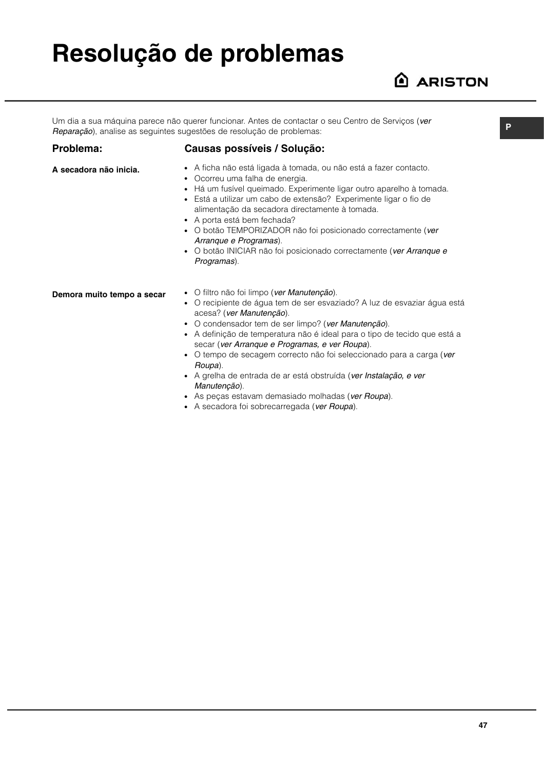# **Resolução de problemas**

## **ARISTON**

Um dia a sua máquina parece não querer funcionar. Antes de contactar o seu Centro de Servicos (ver Reparação), analise as seguintes sugestões de resolução de problemas:

#### **Problema:**

**A secadora não inicia.**

### **Causas possíveis / Solução:**

- A ficha não está ligada à tomada, ou não está a fazer contacto.
- Ocorreu uma falha de energia.
- Há um fusível queimado. Experimente ligar outro aparelho à tomada.
- Está a utilizar um cabo de extensão? Experimente ligar o fio de alimentação da secadora directamente à tomada.
- A porta está bem fechada?
- O botão TEMPORIZADOR não foi posicionado correctamente (ver Arranque e Programas).
- O botão INICIAR não foi posicionado correctamente (ver Arranque e Programas).

**Demora muito tempo a secar** 

- O filtro não foi limpo (ver Manutenção).
- O recipiente de água tem de ser esvaziado? A luz de esvaziar água está acesa? (ver Manutenção).
- O condensador tem de ser limpo? (ver Manutenção).
- A definição de temperatura não é ideal para o tipo de tecido que está a secar (ver Arranque e Programas, e ver Roupa).
- O tempo de secagem correcto não foi seleccionado para a carga (ver Roupa).
- A grelha de entrada de ar está obstruída (ver Instalação, e ver Manutenção).
- As pecas estavam demasiado molhadas (ver Roupa).
- A secadora foi sobrecarregada (ver Roupa).

**P**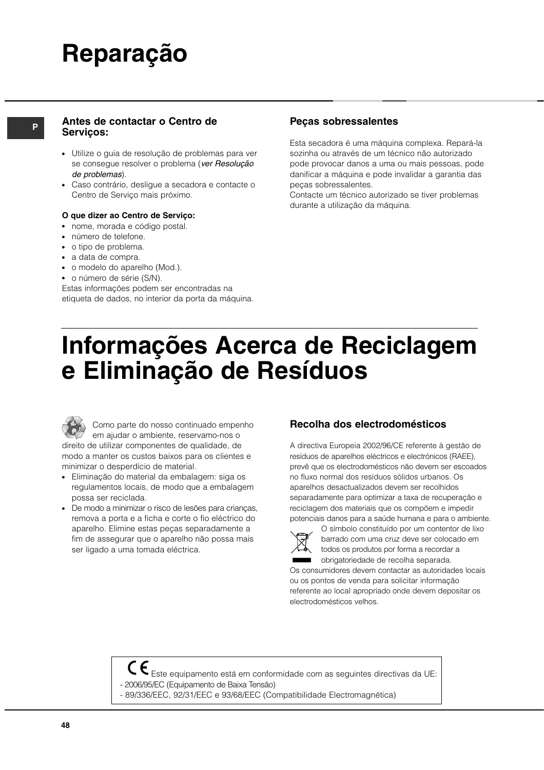# **Reparação**

#### **<sup>P</sup> Peças sobressalentes Antes de contactar o Centro de Serviços:**

- Utilize o guia de resolução de problemas para ver se consegue resolver o problema (ver Resolução de problemas).
- Caso contrário, desligue a secadora e contacte o Centro de Serviço mais próximo.

#### **O que dizer ao Centro de Serviço:**

- nome, morada e código postal.
- número de telefone.
- o tipo de problema.
- a data de compra.
- o modelo do aparelho (Mod.).
- o número de série (S/N).

Estas informações podem ser encontradas na etiqueta de dados, no interior da porta da máquina.

Esta secadora é uma máquina complexa. Repará-la sozinha ou através de um técnico não autorizado pode provocar danos a uma ou mais pessoas, pode danificar a máquina e pode invalidar a garantia das peças sobressalentes.

Contacte um técnico autorizado se tiver problemas durante a utilização da máquina.

# **Informações Acerca de Reciclagem e Eliminação de Resíduos**

Como parte do nosso continuado empenho em ajudar o ambiente, reservamo-nos o direito de utilizar componentes de qualidade, de modo a manter os custos baixos para os clientes e minimizar o desperdício de material.

- Eliminação do material da embalagem: siga os regulamentos locais, de modo que a embalagem possa ser reciclada.
- De modo a minimizar o risco de lesões para crianças, remova a porta e a ficha e corte o fio eléctrico do aparelho. Elimine estas peças separadamente a fim de assegurar que o aparelho não possa mais ser ligado a uma tomada eléctrica.

## **Recolha dos electrodomésticos**

A directiva Europeia 2002/96/CE referente à gestão de resíduos de aparelhos eléctricos e electrónicos (RAEE), prevê que os electrodomésticos não devem ser escoados no fluxo normal dos resíduos sólidos urbanos. Os aparelhos desactualizados devem ser recolhidos separadamente para optimizar a taxa de recuperação e reciclagem dos materiais que os compõem e impedir potenciais danos para a saúde humana e para o ambiente.



O símbolo constituído por um contentor de lixo barrado com uma cruz deve ser colocado em todos os produtos por forma a recordar a obrigatoriedade de recolha separada.

Os consumidores devem contactar as autoridades locais ou os pontos de venda para solicitar informação referente ao local apropriado onde devem depositar os electrodomésticos velhos.

Este equipamento está em conformidade com as seguintes directivas da UE: - 2006/95/EC (Equipamento de Baixa Tensão)

- 89/336/EEC, 92/31/EEC e 93/68/EEC (Compatibilidade Electromagnética)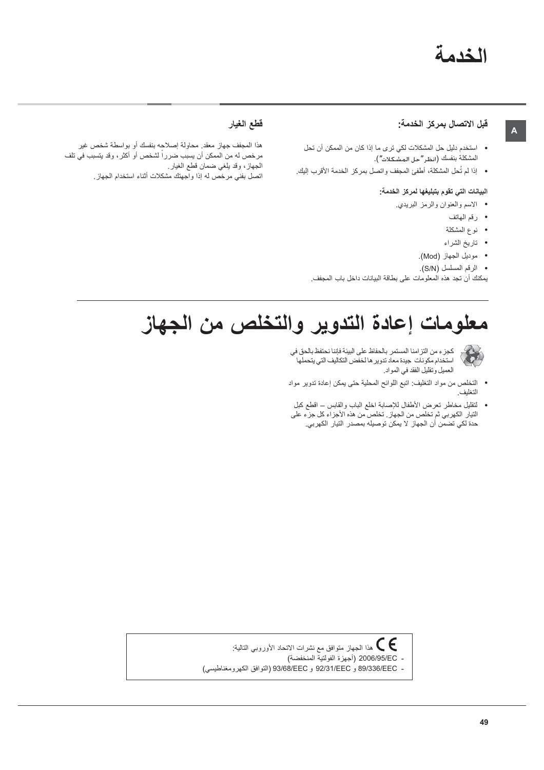## الخدمة

#### قبل الاتصال بمركز الخدمة:

- استخدم دليل حل المشكلات لكي ترى ما إذا كان من الممكن أن تحل المشكلة بنفسك (انظر "حل المشكلات").
- إذا لم تُحل المشكلة، أطفئ المجفف واتصل بمركز الخدمة الأقرب إليك.

#### البيانات التي تقوم بتبليغها لمركز الخدمة:

- الاسم والعنوان والرمز البريدي.
	- رقم المهاتف

 $\mathbf{A}$ 

- نوع المشكلة
- تاريخ الشراء
- موديل الجهاز (Mod).
- · الرقم المسلسل (S/N).

يمكنك أن تجد هذه المعلومات على بطاقة البيانات داخل باب المجفف.

### قطع الغيار

هذا المجفف جهاز معقد. محاولة إصلاحه بنفسك أو بواسطة شخص غير مرخص له من الممكن أن يسبب ضرراً لشخص أو أكثر ، وقد يتسبب في تلف الجهاز، وقد يلغي ضمان قطع الغيار. اتصل بفنی مرخص له إذا واجهتك مشكلات أثناء استخدام الجهاز

# معلومات إعادة التدوير والتخلص من الجهاز



كجزء من التزامنا المستمر بالحفاظ على البيئة فإننا نحتفظ بالحق في استخدام مكونات جيدة معاد تدوير ها لخفض التكاليف التي يتحملها العميل وتقليل الفقد في المواد.

- التخلص من مواد التغليف: اتبع اللوائح المحلية حتى يمكن إعادة تدوير مواد التغليف.
- لتقليل مخاطر تعرض الأطفال للإصابة اخلع الباب والقابس اقطع كبل النيار الكهربي ثم تخلص من الجهاز. تخلص من هذه الأجراء كل جزء على حدة لكي تضمّن أن الجهاز لا يمكن توصيله بمصدر التيار الكهربي.

هذا الجهاز متوافق مع نشرات الاتحاد الأوروبي التالية:  $\bigcirc$ - 2006/95/EC (أجهزة الفولتية المنخفضة)

- 89/336/EEC و 92/31/EEC و 93/68/EEC (التوافق الكهرومغناطيسي)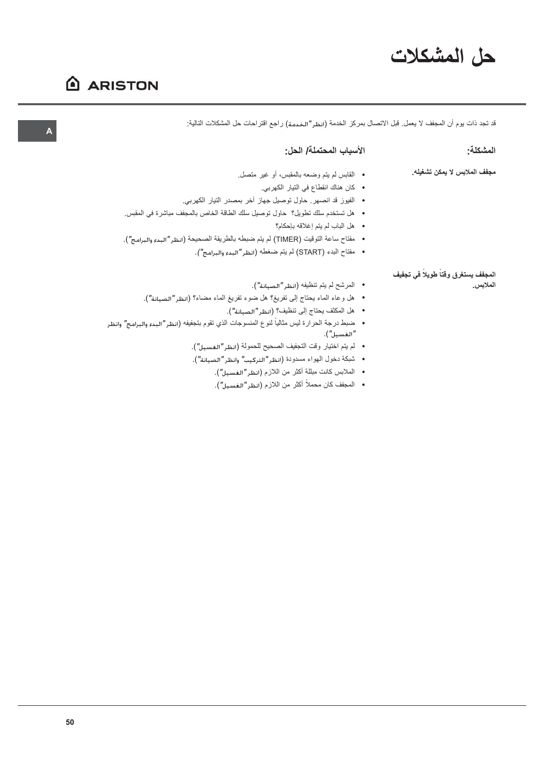# حل المشكلات

## **ARISTON**

قد تجد ذات يوم أن المجفف لا يعمل. قبل الاتصال بمركز الخدمة (انظر "الخدمة) راجع اقتراحات حل المشكلات التالية:

| المشكلة:                           | الأسباب المحتملة/ الحل:                                                                         |
|------------------------------------|-------------------------------------------------------------------------------------------------|
| مجفف الملابس لا يمكن تشغيله.       | • القابس لم يتم وضعه بالمقبس، أو غير متصل.                                                      |
|                                    | • كان هناك انقطاع في التيار الكهربي.                                                            |
|                                    | •   الفيوز قد انصهر . حاول توصيل جهاز آخر بمصدر التيار الكهربي.                                 |
|                                    | •    هل تستخدم سلك تطويل؟  حاول توصيل سلك الطاقة الخاص بالمجفف مباشرة في المقبس.                |
|                                    | • هل الباب لم يتم إغلاقه بإحكام؟                                                                |
|                                    | •    مفتاح ساعة التوقيت (TIMER) لم يتم ضبطه بالطريقة الصحيحة (انظر"البدء والبرامج").            |
|                                    | •    مفتاح البدء (START) لم يتم ضغطه (انظر "البدء والبرامج").                                   |
| المجفف يستغرق وقتأ طويلاً في تجفيف |                                                                                                 |
| الملابس.                           | •    المرشح لم يتم تنظيفه (انظر "الصيانة").                                                     |
|                                    | •    هل وعاء الماء يحتاج إلى تفريغ؟ هل ضوء تفريغ الماء مضاء؟ (انظر "الصيانة").                  |
|                                    | •    هل المكثف يحتاج إلى تنظيف؟ (انظر "الصيانة").                                               |
|                                    | •    ضبط درجة الحرارة ليس مثالياً لنوع المنسوجات الذي تقوم بتجفيفه (انظر "البدء والبرامج" وانظر |
|                                    | " الغسىل" ).                                                                                    |
|                                    | •   لم يتم اختيار وقت التجفيف الصحيح للحمولة (انظر"الغسيل").                                    |
|                                    |                                                                                                 |

- شبكة دخول الهواء مسدودة (انظر"التركيب" وانظر"الصيانة").
	- الملابس كانت مبللة أكثر من اللازم (انظر"الغسيل").
	- المجفف كان محملاً أكثر من اللازم (انظر"الغسيل").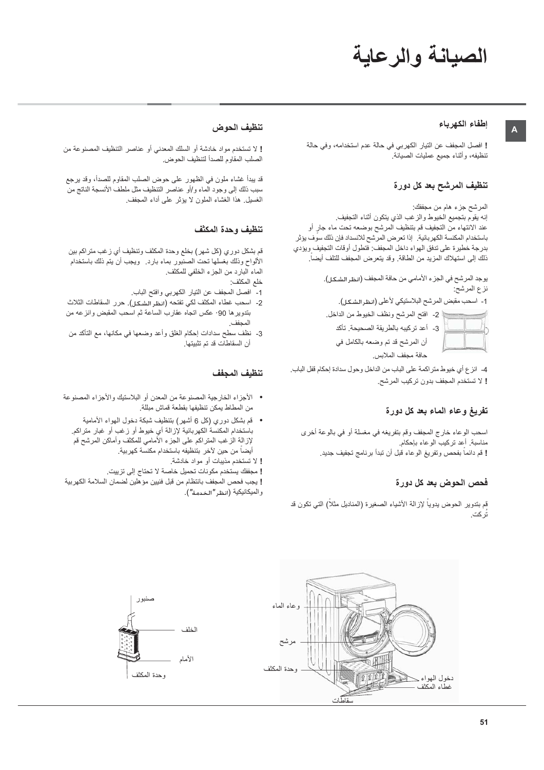# الصيانة والرعاية

#### إطفاء الكهرباء

 $\mathbf{A}$ 

! افصل المجفف عن التيار الكهربي في حالة عدم استخدامه، وفي حالة تنظيفه، وأثناء جميع عمليات الصيانة.

#### تنظيف المرشح بعد كل دورة

المرشح جزء هام من مجففك:

إنه يقوم بتجميع الخيوط والزغب الذي يتكون أثناء التجفيف. عند الانتهاء من التجفيف قم بتنظيف المرشح بوضعه تحت ماء جار أو باستخدام المكنسة الكهربائية إذا تعرض المرشح للانسداد فإن ذلك سوف يؤثر بدرجة خطيرة على تدفق الهواء داخل المجفف: فتطول أوقات التجفيف ويؤدي ذلك إلى استهلاك المزيد من الطاقة. وقد يتعرض المجفف للتلف أيضاً.

> يوجد المرشح في الجزء الأمامي من حافة المجفف (انظر الشكل). نز ع المرشح:

1- اسحب مقبض المرشح البلاستيكي لأعلى (انظر الشكل).

﴾ 2- افتح المرشح ونظف الخيوط من الداخل.

3- أعد تركيبه بالطريقة الصحيحة. تأكد أن المرشح قد تم وضعه بالكامل في حافة مجفف الملابس.

4- انز ع أي خيوط منز اكمة على الباب من الداخل وحول سدادة إحكام قفل الباب. ! لا تستخدم المجفف بدون تركيب المرشح.

#### تفريغ وعاء الماء بعد كل دورة

اسحب الوعاء خارج المجفف وقم بتفريغه في مغسلة أو في بالوعة أخرى مناسبة أعد نركيب الوعاء بإحكام ! قم دائماً بفحص وتفريغ الوعاء قبل أن تبدأ برنامج تجفيف جديد.

### فحص الحوض بعد كل دورة

قم بتدوير الحوض يدوياً لإزالة الأشياء الصغيرة (المناديل مثلاً) التي تكون قد تُركت.

#### تنظيف الحوض

! لا تستخدم مواد خادشة أو السلك المعدني أو عناصر التنظيف المصنوعة من الصلب المقاوم للصدأ لتنظيف الحوض.

قد ببدأ غشاء ملون في الظهور على حوض الصلب المقاوم للصدأ، وقد برجع سبب ذلك إلى وجود الماء و/أو عناصر التنظيف مثل ملطف الأنسجة الناتج من الغسيل. هذا الغشاء الملون لا يؤثر على أداء المجفف.

#### تنظيف وحدة المكثف

قم بشكل دوري (كل شهر) بخلع وحدة المكثف وتنظيف أي زغب متراكم بين الألواح وذلك بغسلها تحت الصنبور بماء بارد<sub>.</sub> ويجب أن يتم ذلك باستخدام الماء البارد من الجزء الخلفي للمكثف.

- خلع المكثف:
- 1- افصل المجفف عن التيار الكهربي وافتح الباب.
- 2- اسحب غطاء المكثف لكي تفتحه (انظر الشكل). حرر السقاطات الثلاث بتدوير ها 90° عكس اتجاه عقارب الساعة ثم اسحب المقبض وانزعه من
- 3- نظف سطح سدادات إحكام الغلق وأعد وضعها في مكانها، مع التأكد من أن السقاطات قد تم تثبيتها.

#### تنظيف المجفف

- الأجزاء الخارجية المصنوعة من المعدن أو البلاستيك والأجزاء المصنوعة من المطاط يمكن تنظيفها بقطعة قماش مبللة.
	- قم بشكل دوري (كل 6 أشهر) بتنظيف شبكة دخول الـهواء الأمامية باستخدام المكنسة الكهربائية لإزالة أي خيوط أو زغب أو غبار متراكم. لإز الـة الزغب المنزراكم علـى الـجزء الأمامـي للمكثف وأماكن المرشح قم ليضبأ من حين لآخر بتنظيفه باستخدام مكنسة كهربية.
		- ! لا تستخدم مذيبات أو مواد خادشة.
		- ! مجففك يستخدم مكونات تحميل خاصة لا تحتاج إلى تزييت.

! يجب فحص المجفف بانتظام من قبل فنيين مؤ هلين لضمان السلامة الكهربية والميكانيكية (انظر "الخدمة").



 $51$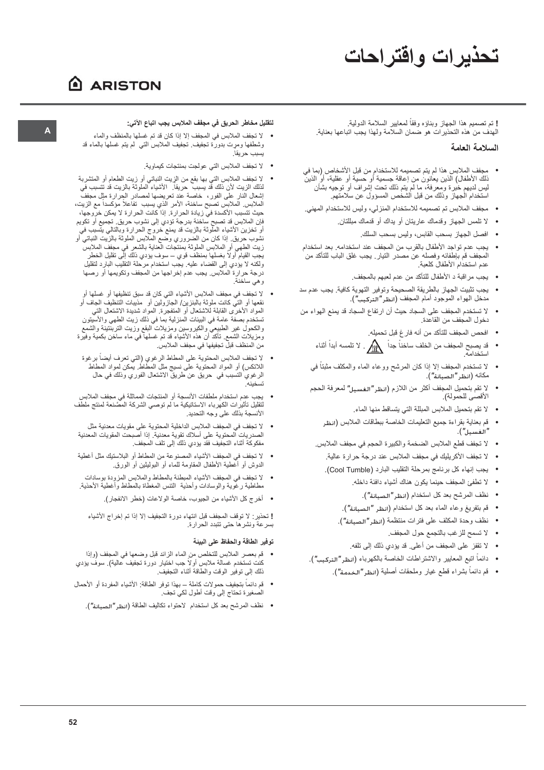# تحذيرات واقتراحات

## A ARISTON

! تم تصميم هذا الجهاز وبناؤه وفقاً لمعايير السلامة الدولية.<br>الهدف من هذه التحذيرات هو ضمان السلامة ولهذا يجب اتباعها بعناية.

#### السلامة العامة

- مجفف الملابس هذا لم يتم تصميمه للاستخدام من قبل الأشخاص (بما في ذلك الأطفال) الذين يعانون من إعاقة جسمية أو حسبة أو عقلية، أو الذين<br>ليس لديهم خبرة ومعرفة، ما لم يتم ذلك تحت اشراف أو توجيه بشأن<br>استخدام الجهاز وذلك من قبل الشخص المسؤول عن سلامتهم.
- مجفف الملابس تم تصميمه للاستخدام المنزلي، وليس للاستخدام المهني.
	- لا نلمس الجهاز وقدماك عاريتان أو يداك أو قدماك مبللتان.
		- افصل الجهاز بسحب القابس، وليس بسحب السلك.
- يجب عدم تواجد الأطفال بالقرب من المجفف عند استخدامه. بعد استخدام المجفف قم بإطفائه وفصله عن مصدر التيار ٍ يجب غلق الباب للتأكد من عدم استخدام الأطفال كلعبة.
	- يجب مراقبة د الأطفال للتأكد من عدم لعبهم بالمجفف.
- يجب تثبيت الجهاز بالطريقة الصحيحة وتوفير التهوية كافية. يجب عدم سد مدخل الهواء الموجود أمام المجفف (انظر"التركيب").
- لا تستخدم المجفف على السجاد حيث أن ارتفاع السجاد قد يمنع الهواء من دخول المجفف من القاعدة.
	- افحص المجفف للتأكد من أنه فار غ قبل تحميله ِ.
	- قد يصبح المجفف من الخلف ساخناً جداً لا تلمسه أبداً أثناء استخدامه
	- لا تستخدم المجفف إلا إذا كان المرشح ووعاء الماء والمكثف مثبتاً في مكانه (انظر"الصيانة").
	- لا تقم بتحميل المجفف أكثر من اللازم (انظر"الغسيل" لمعرفة الحجم الأقصى للحمولة).
		- لا تقم بتحميل الملابس المبللة التي يتساقط منها الماء.
		- قم بعناية بقراءة جميع التعليمات الخاصة ببطاقات الملابس (انظر  $\bullet$ "الغسيل").
	- لا تجفف قطع الملابس الضخمة والكبيرة الحجم في مجفف الملابس.
		- لا تجفف الأكر يليك في مجفف الملابس عند در جة حر ار ة عالية.
		- يجب إنهاء كل برنامج بمرحلة التقليب البارد (Cool Tumble).
			- لا تطفئ المجفف حينما يكون هناك أشياء دافئة داخله.
				- نظف المرشح بعد كل استخدام (انظر "الصبانة").
			- قم بتفريغ وعاء الماء بعد كل استخدام (انظر "الصبانة").
			- نظف وحدة المكثف على فترات منتظمة (انظر"الصيانة").
				- لا تسمح للزغب بالتجمع حول المجفف.
				- لا تقفز على المجفف من أعلى. قد يؤدي ذلك إلى تلفه.
	- دائماً اتبع المعايير والاشتراطات الخاصة بالكهرباء (انظر "التركيب").
		- قم دائماً بشراء قطع غيار وملحقات أصلية (انظر "الخدمة").

#### لتقليل مخاطر الحريق في مجفف الملابس يجب اتباع الآتي:

- لا تجفف الملابس في المجفف إلا إذا كان قد تم غسلها بالمنظف والماء وشطفها ومرت بدورة تجفيف تُجفَيف العلابس التي لْم يتم غسلهاً بالعاء قد يسبب حر يقا.
	- لا تجفف الملابس التي عولجت بمنتجات كيماوية.
- لا تجفف الملابس التي بها بقع من الزِيت النباتي أو زيت الطعام أو المتشربة لذلك الزيت لأن ذلك قد يسبب حريقاً. الأشياء الملوثة بالزيت قد تتسبب في حيث تتسبب الأكسدة في زيادة الحرارة. إذا كانت الحرارة لا يمكن خروجها، فإن الملابس قد تصبح ساخنة بدرجة تؤدي إلى نشوب حريق. تجميع أو تكويم ـــر. -ــــــــر.<br>أو تخزين الأشياء الملوثة بالزيت قد يمنع خروج الحرارة وبالنالي يتسبب فيّ<br>نشوب حريق. إذا كان من الضروري وضع الملابس الملوثة بالزيت النباتي أو ولكنه لا يؤدي إلى القضاء عليه. يَجْب استَخدام مَرْحَلَة التَقْلَيْب البَارْد لتَقْلَيْل درجة حرارة الملابس يجب عدم إخراجها من المجفف وتكويمها أو رصها و هي ساخنة.
- لا تجفف في مجفف الملابس الأشياء التي كان قد سبق تنظيفها أو غسلها أو نقعها أو التيَّ كانت ملوثة بالبنزين/ الجازَّولين أو ۖ مذيبات التنظيف الجاف أو المواد الأخرى القابلة للاشتعال أو المتفجّرة المواد شدّيدة الاشتعال التي تستخدم بصفة عامة في البيئات المنزلية بما في ذلك زيت الطهي والأسيتون والكحول غير الطبيعي والكيروسين ومزيلات البقع وزيت التربنتينة والشمع<br>والكحول غير الطبيعي والكيروسين ومزيلات البقع وزيت التربنتينة والشمع<br>ومزيلات الشمع تأكد أن هذه الأشياء قد تم غسلها في ماء ساخن بكمية وفيرة من المنظف قبلٌ تجفيفها في مجفف الملابس.
- لا تجفف الملابس المحتوية على المطاط الرغوي (التي تعرف أيضاً برغوة<br>اللاتكس) أو المواد المحتوية على نسيج مثل المطاط يمكن لمواد المطاط الرغوي التسبب في حريق عن طريق الاشتعال الفوري وذلك في حال
- يجب عدم استخدام ملطفات الأنسجة أو المنتجات المماثلة في مجفف الملابس<br>لتقليل تأثيرات الكهرباء الاستاتيكية ما لم توصبي الشركة المصَّنعة لمنتج ملطف الأنسجة بذلك على وجه التحديد.
- لا تجفف في المجفف الملابس الداخلية المحتوية على مقويات معدنية مثل الصدريات المحتوية على أسلاك تقوية معدنية. إذا أصبحت المقويات المعدنية مفكوكة أثناء التجفيف فقد يؤدي ذلك إلى تلف المجفف.
- لا تجفف في المجفف الأشياء المصنوعة من المطاط أو البلاستيك مثل أغطية الدوش أو أعطية الأطفال المقاومة للماء أو البوليثين أو الورق.
- لا تجفف في المجفف الأشياء المبطنة بالمطاط والملابس المزودة بوسادات -<br>مطاطية رغوية والوسادات وأحذية الننس المعطاة بالمطاط وأعطية الأحذية.
	- أخرج كل الأشياء من الجيوب، خاصة الولاعات (خطر الانفجار).

! تحذير : لا توقف المجفف قبل انتهاء دورة التجفيف إلا إذا تم إخراج الأشياء بسرعة ونشرها حتى تتبدد الحرارة

#### توفير الطاقة والحفاظ على البيئة

- قم بعصر الملابس للتخلص من الماء الزائد قبل وضعها في المجفف (وإذا<br>كنت تستخدم غسالة ملابس أولاً جب اختيار دورة تجفيف عالية). سوف يؤدي ذلك إلى نوفير الوقت والطاقة أثناء التجفيف.
- قم دائماً بتجفيف حمولات كاملة ـــ بهذا توفر الطاقة: الأشياء المفردة أو الأحمال الصغيرة تحتاج إلى وقت أطول لكي تجف.
	- نظف المرشح بعد كل استخدام الاحتواء تكاليف الطاقة (انظر "الصيانة").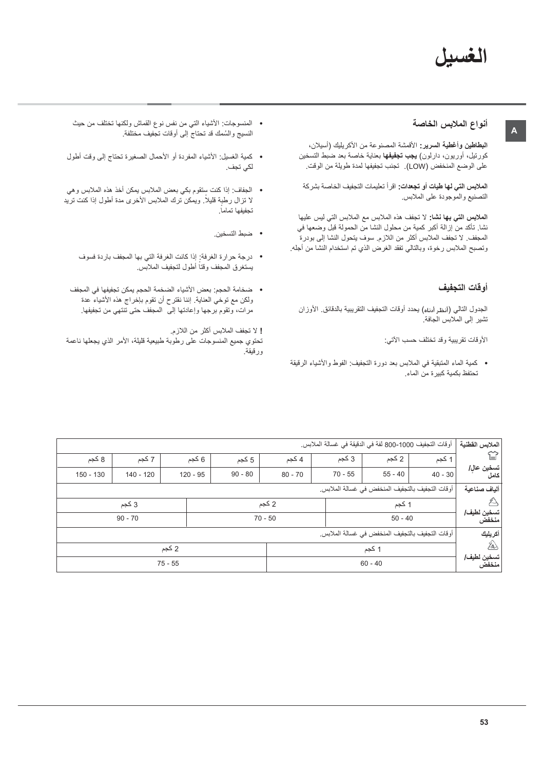## الغسبل

#### أنواع الملابس الخاصة

ال**بطاطين وأغطية السرير:** الأقمشة المصنوعة من الأكريليك (أسيلان، كورتيل، أوريون، دارلون) **يجب تجفيفه**ا بعناية خاصة بعد ضبط التسخين على الوضع المنخفض (LOW). تجنب تجفيفها لمدة طويلة من الوقت.

ا**لملابس التي لها طبات أو تجعدات:** اقر أ تعليمات التجفيف الخاصة بشر كة التصنيع والموجودة على الملابس

الملابس التي بها نشا: لا تجفف هذه الملابس مع الملابس التي ليس عليها نشا. تأكد منَّ إزالة أكبر كمية من محلول النشا من الحمولة قبل وضعها في المجفف. لا تجفف الملابس أكثر من اللازم. سوف يتحول النشا إلى بودرةً وتصبح الملابس رخوة، وبالنالي تفقد الغرض الذي تم استخدام النشا من أجله.

#### أوقات التجفيف

الجدول النالي (أنظر أرناه) يحدد أوقات التجفيف التقريبية بالدقائق. الأوزان تشير إلى الملابس الجافة.

الأوقات تقريبية وقد تختلف حسب الآتي:

• كمية الماء المتبقية في الملابس بعد دورة التجفيف: الفوط والأشياء الرقيقة تحتفظ بكمية كبيرة من الماء.

- المنسوجات: الأشياء التبي من نفس نوع القماش ولكنها تختلف من حيث النسيج والسُمك قد تحتاج إلى أوقات تجفيف مختلفة.
- كمية الغسيل: الأشياء المفردة أو الأحمال الصغيرة تحتاج إلى وقت أطول لكى تجف.
- الجفاف: إذا كنت سِنقوم بكي بعض الملابس يمكن أخذ هذه الملابس وهي لا نزال رطبة قليلًا. ويمكن نرك الملابس الأخرى مدة أطول إذا كنت نريد تجفيفها تماماً.
	- ضبط التسخين.
	- درجة حرارة الغرفة: إذا كانت الغرفة التي بها المجفف باردة فسوف يستغرق المجفف وقتاً أطول لتجفيف الملابس.
	- ضخامة الحجم: بعض الأشياء الضخمة الحجم يمكن تجفيفها في المجفف ولكن مع توخي العناية. إننا نقترح أن تقوم بإخراج هذه الأشياء عدة مرات، وتقوم برجها وإعادتها إلى المجفف حتى تنتهي من تجفيفها.

! لا تجفف الملابس أكثر من اللازم. تحتوي جميع المنسوجات على رطوبة طبيعية قليلة، الأمر الذي يجعلها ناعمة ورقيقة.

| الملابس القطنية      | أوقات التجفيف 1000-800 لفة في الدقيقة في غسالة الملابس. |           |           |           |           |            |             |             |
|----------------------|---------------------------------------------------------|-----------|-----------|-----------|-----------|------------|-------------|-------------|
| ≌                    | 1 کجم                                                   | 2 كجم     | 3 كجم     | 4 كجم     | 5 كجم     | 6 کجم      | 7 كجم       | 8 كجم       |
| تسخين عال/<br>كامل   | $40 - 30$                                               | $55 - 40$ | $70 - 55$ | $80 - 70$ | $90 - 80$ | $120 - 95$ | $140 - 120$ | $150 - 130$ |
| ألياف صناعية         | أوقات التجفيف بالتجفيف المنخفض في غسالة الملابس.        |           |           |           |           |            |             |             |
| Д                    |                                                         | 1 كجم     |           | 2 كجم     |           |            | 3 کجم       |             |
| تسخين لطيف/<br>منخفض |                                                         | $50 - 40$ |           | $70 - 50$ |           |            | $90 - 70$   |             |
| أكريليك              | أوقات التجفيف بالتجفيف المنخفض في غسالة الملابس.        |           |           |           |           |            |             |             |
| 鈊                    |                                                         | 1 كجم     |           |           |           | 2 كجم      |             |             |
| تسخين لطيف/<br>منخفض |                                                         | $60 - 40$ |           |           |           | $75 - 55$  |             |             |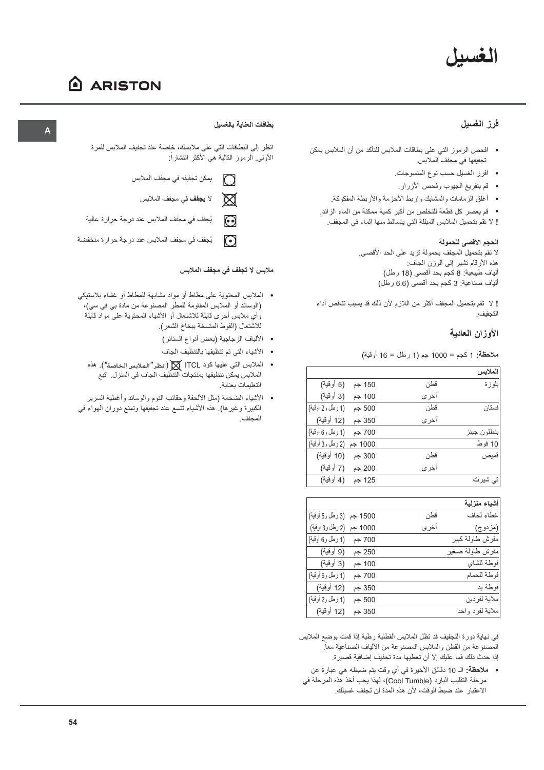# الغسيل

# A ARISTON

## فرز الغسيل

- افحص الرموز التي على بطاقات الملابس للتأكد من أن الملابس يمكن تجفيفها في مجفف الملابس.
	- افرز الغسيل حسب نوع المنسوجات.
	- قم بتفريغ الجيوب وفحص الأزرار .
	- أغلق الزمامات والمشابك واربط الأحزمة والأربطة المفكوكة.

• قم بعصر كل قطعة للتخلص من أكبر كمية ممكنة من الماء الزائد. ! لا تقم بتحميل الملابس المبللة التي يتساقط منها الماء في المجفف.

## الحجم الأقصى للحمولة

لا تقم بتحميل المجفف بحمولة تزيد على الحد الأقصى. هذه الأرقام نشير إلى الوزن الجاف: ألياف طبيعية: 8 كجم بحد أقصىي (18 رطل) ألياف صناعية: 3 كجم بحد أقصى (6.6 رطل)

! لا تقم بتحميل المجفف أكثر من اللازم لأن ذلك قد يسبب تناقص أداء التجفيف.

## الأوزان العادبة

ملاحظة: 1 كجم = 1000 جم (1 رطل = 16 أوقية)

|                  |         |       | لملابس      |
|------------------|---------|-------|-------------|
| (5 أوقية)        | 150 جم  | قطن   | بلو ز ۃ     |
| (3 أوقية)        | 100 جم  | أخرى  |             |
| (1 رطل و2 أوقية) | 500 جم  | قطن   | فستان       |
| (12 أوقية)       | 350 جم  | أخر ي |             |
| (1 رطل و6 أوقية) | 700 جم  |       | بنطلون جينز |
| (2 رطل و3 أوقية) | 1000 جم |       | 10 فوط      |
| (10 أوقية)       | 300 جم  | قطن   | قميص        |
| (7 أوقية)        | 200 جم  | أخرى  |             |
| (4 أوقية)        | 125 جم  |       | تی شیرت     |

|                            |        |       | أشياء منزلية    |
|----------------------------|--------|-------|-----------------|
| 1500 جم   (3 رطل و5 أوقية) |        | قطن   | غطاء لحاف       |
| 1000 جم (2 رطل و3 أوقية)   |        | أخر ي | (مزدوج)         |
| (1 رطل و6 أوقية)           | 700 جم |       | مفرش طاولة كبير |
| (9 أوقية)                  | 250 جم |       | مفرش طاولة صغير |
| (3 أوقية)                  | 100 جم |       | فوطة للشاي      |
| (1 رطل و6 أوقية)           | 700 جم |       | فوطة للحمام     |
| (12 أوقية)                 | 350 جم |       | فوطة يد         |
| (1 رطل و2 أوقية)           | 500 جم |       | ملاية لفردين    |
| (12 أوقية)                 | 350 جم |       | ملاية لفرد واحد |

في نهاية دورة التجفيف قد تظل الملابس القطنية رطبة إذا قمت بوضع الملابس المصنوعة من القطن والملابس المصنوعة من الألياف الصناعية معاً. إذا حدث ذلك فما عليك إلا أن تعطيها مدة تجفيف إضافية قصيرة.

• ملاحظة: الـ 10 دقائق الأخيرة في أي وقت يتم ضبطه هي عبارة عن مرحلة التقليب البارد (Cool Tumble)، لهذا يجب أخذ هذه المرحلة في الاعتبار عند ضبط الوقت، لأن هذه المدة لن تجفف غسيلك.

## بطاقات العناية بالغسيل

انظر إلى البطاقات التي على ملابسك، خاصة عند تجفيف الملابس للمرة الأولى الرموز التالية هي الأكثر انتشاراً:

- يمكن تجفيفه في مجفف الملابس  $\cap$ 
	- $\boxtimes$ لا **يجفف** في مجفف الملابس
- يُجفف في مجفف الملابس عند درجة حرارة عالية  $\odot$
- يُجفف في مجفف الملابس عند درجة حرارة منخفضة  $\Omega$

## ملابس لا تجفف في مجفف الملابس

- الملابس المحتوية على مطاط أو مواد مشابهة للمطاط أو غشاء بلاستيكي (الوسائد أو الملابس المقاومة للمطر المصنوعة من مادة بي في سي)، وَّاي ملابس أخرى قابلة للاشتعال أو الأشياء المحتوية علىّ مواّد قابلَة للاشتعال (الفوط المتسخة ببخاخ الشعر).
	- الألياف الزجاجية (بعض أنواع الستائر)
	- الأشياء التي تم تنظيفها بالتنظيف الجاف
	- الملابس التي عليها كود ITCL [ [انظر "الملابس الخاصة"). هذه الملابس يمكِّن تنظيفها بمنتجات التنظيف الجاف في المنزل. اتبع التعليمات بعناية.
- الأشياء الضخمة (مثل الألحفة وحقائب النوم والوسائد وأغطية السرير الكبيرة وغيرها). هذه الأشياء تتسع عند تجفيفها وتمنع دوران الهواء في المحفف

## $\overline{A}$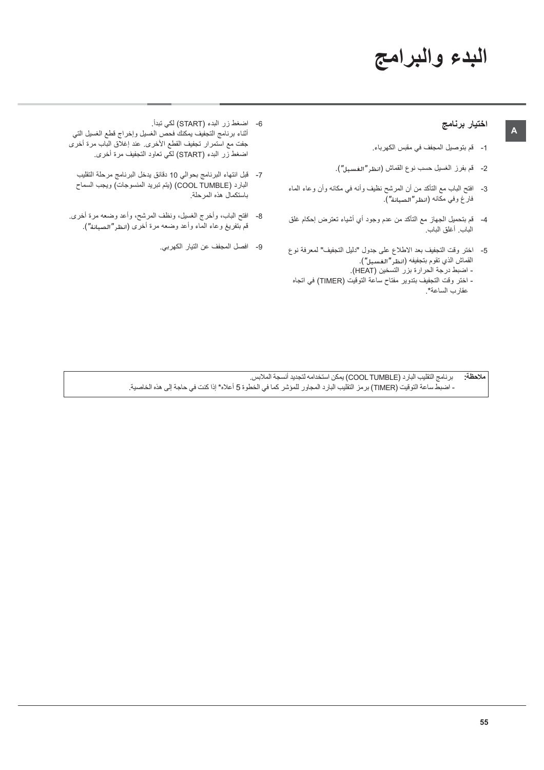# البدء والبرامج

#### اختيار برنامج

 $\mathsf{A}$ 

- 1- قم بتوصيل المجفف في مقبس الكهرباء.
- 2- قم بفرز الغسيل حسب نوع القماش (انظر"الـفـسـيل").
- 3- افتح الباب مع التأكد من أن المرشح نظيف وأنه في مكانه وأن وعاء الماء فارغ وفي مكانه (انظر"الصيانة").
- 4- قم بتحميل الجهاز مع التأكد من عدم وجود أي أشياء تعترض إحكام غلق الباب. أغلق الباب.
- 5- اختر وقت التجفيف بعد الاطلاع على جدول "دليل التجفيف" لمعرفة نوع القماش الذي تقوم بتجفيفه (انظر "الغسيل"). - اضبط درجة الحرارة بزر التسخين (HEAT). - اختر وقت التجفيف بتدوير مفتاح ساعة التوقيت (TIMER) في اتجاه عقارب الساعة\*.
- 6- اضغط زر البدء (START) لكي تبدأ . أثناء برنامج التجفيف يمكنك فحصّ الغسيل وإخراج قطع الغسيل التي<br>جفت مع استمرار تجفيف القطع الأخرى<sub>.</sub> عند إغلاق الباب مرة أخرى اضغط زر البدء (START) لكي تعاود التجفيف مرة أخرى.
	- 7- قبل انتهاء البرنامج بحوالي 10 دقائق يدخل البرنامج مرحلة التقليب البارد (COOL TUMBLE) (يتم تبريد المنسوجات) ويجب السماح باستكمال هذه المرحلة.
- 8- افتح الباب، وأخرج الغسيل، ونظف المرشح، وأعد وضعه مرة أخرى قم بتفريغ وعاء الماء وأعد وضعه مرة أخرى (انظر"الصيانة").
	- 9- افصل المجفف عن التيار الكهربي.

برنامج التقليب البارد (COOL TUMBLE) يمكن استخدامه لتجديد أنسجة الملابس. ملاحظة: - اضبط ساعة التوقيت (TIMER) بر مز التقليب البار د المجاور للموشر كما في الخطوة 5 أعلام\* إذا كنت في حاجة إلى هذه الخاصية.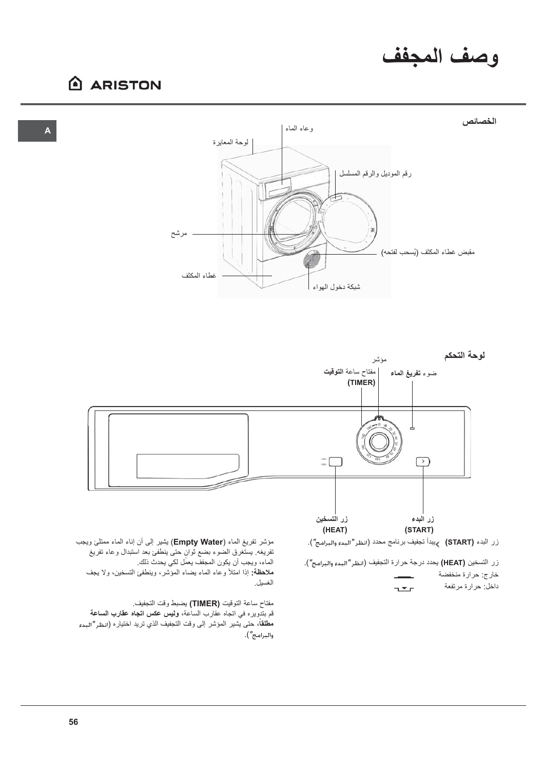## وصف المجفف

## **ARISTON**





زر التسخين (HEAT) يحدد درجة حرارة التجفيف (انظر"البدء والبرامج"). خارج: حرارة منخفضة داخل: حرارة مرتفعة  $T$ 

الماء، ويجب أن يكون المجفف يعمِّل لكي يحدث ذلك. ملاحظة: إذا امتلأ وعاء الماء يضاء المؤشر، وينطفئ التسخين، ولا يجف الغسيل.

مفتاح ساعة التوقيت (TIMER) يضبط وقت التجفيف. قم بتدويره في اتجاه عقارب الساعة، **وليس عكس اتجاه عقارب الساعة مطلقاً،** حتى يشير المؤشر إلى وقت التجفيف الذي تريد اختياره (انظر"البدء والبرامج").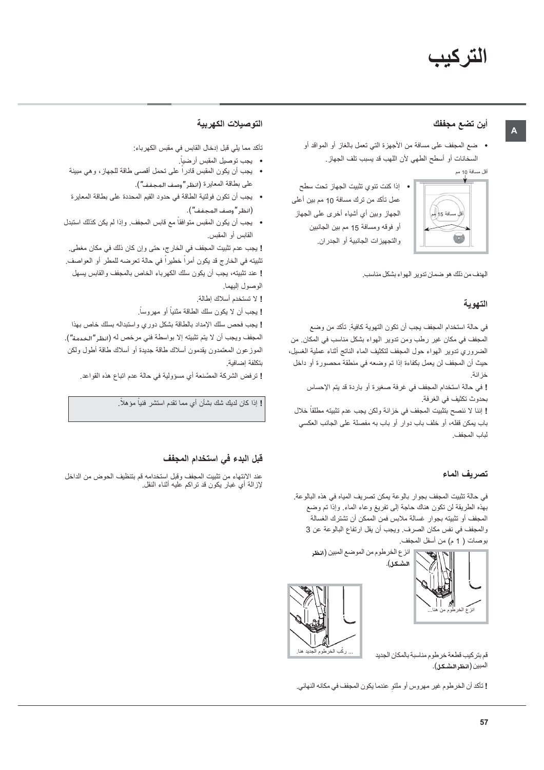### أين تضع مجففك

• ضع المجفف على مسافة من الأجهزة التي تعمل بالغاز أو المواقد أو السخانات أو أسطح الطهي لأن اللهب قد يسبب تلف الجهاز.

أقل مسافة 10 مم



عمل تأكد من ترك مسافة 10 مم بين أعلى الجهاز وبين أي أشياء أخرى على الجهاز أو فوقه ومسافة 15 مم بين الجانبين والتجهيزات الجانبية أو الجدران.

• إذا كنت تنوى تثبيت الجهاز تحت سطح

الهدف من ذلك هو ضمان تدوير الهواء بشكل مناسب.

## التهوية

في حالة استخدام المجفف يجب أن تكون التهوية كافية. تأكد من وضع المجفف في مكان غير رطب ومن تدوير الهواء بشكل مناسب في المكان. من الضروري ندوير الهواء حول المجفف لتكثيف الماء الناتج أثناء عملية الغسيل، حيث أن المجفف لن يعمل بكفاءة إذا تم وضعه في منطقة محصورة أو داخل خزانة.

! في حالة استخدام المجفف في غرفة صغيرة أو باردة قد يتم الإحساس بحدوث تكثيف في الغرفة.

! إننا لا ننصح بتثبيت المجفف في خزانة ولكن يجب عدم تثبيته مطلقاً خلال باب يمكن قفله، أو خلف باب دوار أو باب به مفصلة على الجانب العكسى لباب المجفف.

#### تصريف الماء

في حالة تثبيت المجفف بجوار بالوعة يمكن تصريف المياه في هذه البالوعة. بهذه الطريقة لن تكون هناك حاجة إلى تفريغ وعاء الماء وإذا تم وضع المجفف أو تثبيته بجوار غسالة ملابس فمن الممكن أن تشترك الغسالة والمجفف في نفس مكان الصرف ويجب أن يقل ارتفاع البالوعة عن 3 بوصات ( 1 م) من أسفل المجفف.





قم بتركيب قطعة خرطوم مناسبة بالمكان الجديد المبين (انظرالشكل).

! تأكد أن الخرطوم غير مهروس أو ملتو عندما يكون المجفف في مكانه النهائي.

#### التوصيلات الكهربية

تأكد مما يلي قبل إدخال القابس في مقبس الكهر باء:

- بجب توصيل المقبس أرضياً.
- يجب أن يكون المقبس قادراً على تحمل أقصىي طاقة للجهاز، وهي مبينة على بطاقة المعايرة (انظر "وصف المجفف").
- يجب أن تكون فولتية الطاقة في حدود القيم المحددة على بطاقة المعاير ة (انظر "وصف المجفف").
- يجب أن يكون المقبس متوافقاً مع قابس المجفف. وإذا لم يكن كذلك استبدل القابس أو المقبس.

! يجب عدم تثبيت المجفف في الخارج، حتى وإن كان ذلك في مكان مغطي. تثبيته في الخارج قد يكون أمراً خطيراً في حالة تعرضه للمطر أو العواصف. ! عند نثبيته، يجب أن يكون سلك الكهرباء الخاص بالمجفف والقابس يسهل الوصول إليهما.

إ لا تستخدم أسلاك إطالة.

! يجب أن لا يكون سلك الطاقة مثنياً أو مهروساً.

إ يجب فحص سلك الإمداد بالطاقة بشكل دوري واستبداله بسلك خاص بهذا المجفف ويجب أن لا يتم تثبيته إلا بواسطة فني مرخص له (انظر"الخدمة"). الموزعون المعتمدون يقدمون أسلاك طاقة جديدة أو أسلاك طاقة أطول ولكن بتكلفة إضافية

! ترفض الشركة المصَّنعة أي مسؤولية في حالة عدم اتباع هذه القواعد.

! إذا كان لديك شك بشأن أي مما تقدم استشر فنياً مؤهلاً.

#### قَبِلِ البِدءِ في استخدام المجفف

عند الانتهاء من تثبيت المجفف وقبل استخدامه قم بتنظيف الحوض من الداخل لإزالة أيَّ غبارٌ يكوَّن قد تراكم عليه أثناء النقل.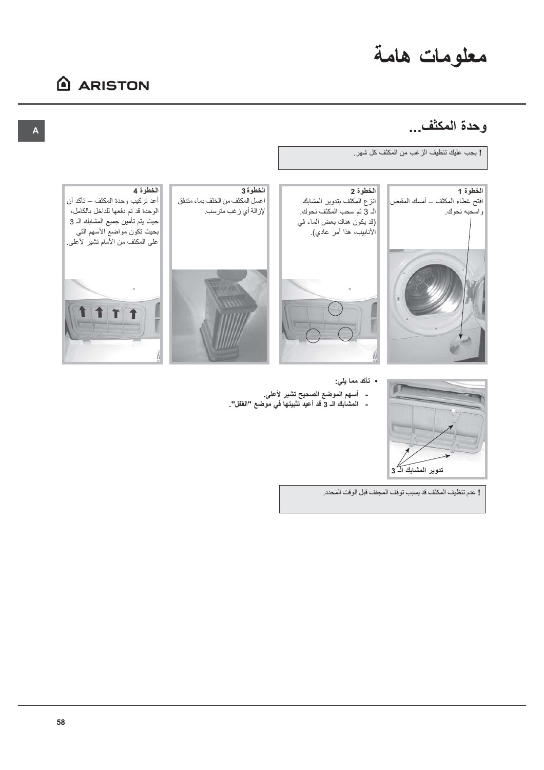# معلومات هامة

## **ARISTON**

## و حدة المكثفي...



- تأكد مما يلي:
- أسهم الموضع الصحيح تشير لأعلى.
- المشابك الـ 3 قد أعيد تثبيتها في موضع "القفل".
	- ! عدم تنظيف المكثف قد يسبب توقف المجفف قبل الوقت المحدد.

تدوير المشابك الـ 3

 $\Box$ 

58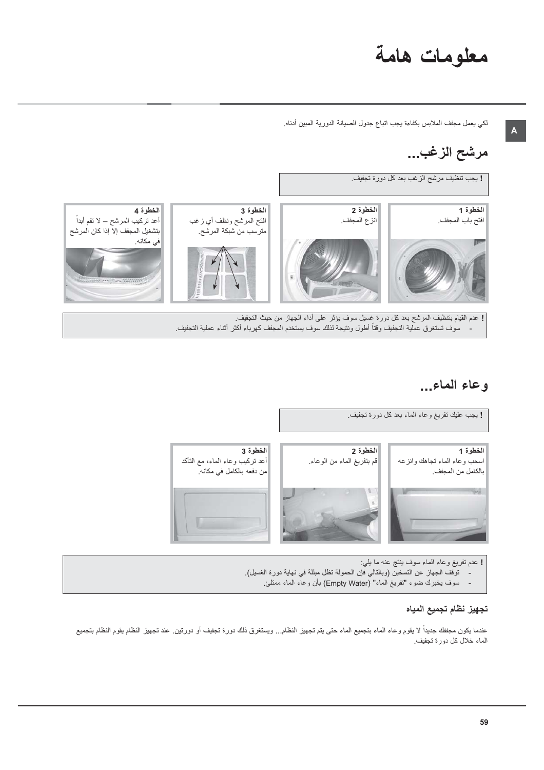# معلومات هامة

لكي يعمل مجفف الملابس بكفاءة يجب اتباع جدول الصبيانة الدورية المبين أدناه

## مرشح الزغب...

! يجب تنظيف مرشح الزغب بعد كل دورة تجفيف.



## وعاء الماء...



! عدم تفريغ وعاء الماء سوف ينتج عنه ما يلي: توقف الجهاز عن التسخين (وبالتالي فإن الحمولة تظل مبللة في نهاية دورة الغسيل). سوف يخبرك ضوء "تفريغ الماء" (Empty Water) بأن وعاء الماء ممتلئ.

### تجهيز نظام تجميع المياه

عندما يكون مجففك جديداً لا يقوم وعاء الماء بتجميع الماء حتى يتم تجهيز النظام... ويستغرق ذلك دورة تجفيف أو دورتين عند تجهيز النظام يقوم النظام بتجميع الماء خلال كل دورة تجفيف.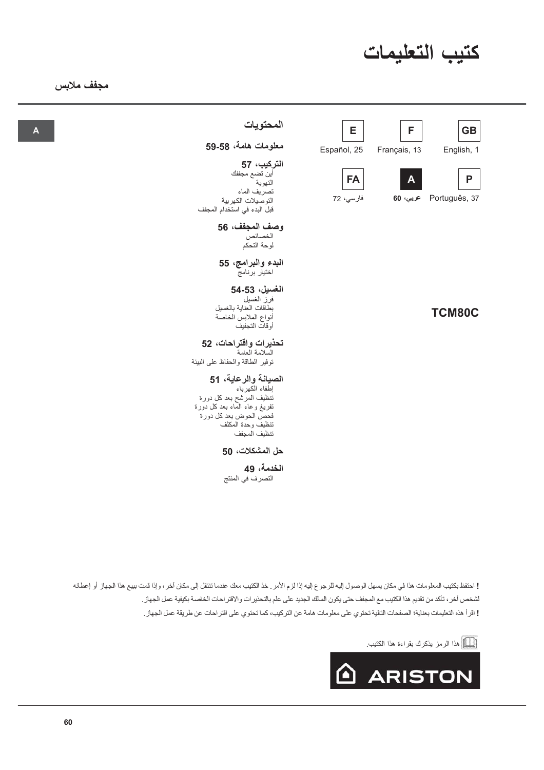

## مجفف ملابس

 $\overline{A}$ 

| المحتويات<br>معلومات هامة، 58-59                                                                                                                                  | E<br>Español, 25       | F<br>Français, 13        | <b>GB</b><br>English, 1 |
|-------------------------------------------------------------------------------------------------------------------------------------------------------------------|------------------------|--------------------------|-------------------------|
| التركيب، 57<br>أين تضىع مجففك<br>التهوية<br>تصريف الماء<br>التوصيلات الكهربية<br>قبل البدء في استخدام المجفف                                                      | <b>FA</b><br>فارسي، 72 | $\mathbf{A}$<br>عربي، 60 | P<br>Português, 37      |
| وصف المجفف، 56<br>الخصائص<br>لوحة التحكم                                                                                                                          |                        |                          |                         |
| البدء والبرامج، 55<br>اختيار برنامج                                                                                                                               |                        |                          |                         |
| الغسيل، 53-54<br>فرز الغسيل<br>بطاقات العناية بالغسيل<br>أنواع الملابس الخاصة<br>أوقات التجفيف                                                                    |                        |                          | <b>TCM80C</b>           |
| تحذيرات واقتراحات، 52<br>السلامة العامة<br>توفير الطاقة والحفاظ على البيئة                                                                                        |                        |                          |                         |
| الصيانة والرعاية، 51<br>إطفاء الكهرباء<br>تنظيف المرشح بعد كل دورة<br>نفريغ وعاء المماء بعد كل دورة<br>فحص الحوض بعد كل دورة<br>تنظيف وحدة المكثف<br>تنظيف المجفف |                        |                          |                         |

### حل المشكلات، 50

#### الخدمة، 49 التصرفَ في المنتج

! احتفظ بكتيب المعلومات هذا في مكان يسهل الوصول إليه للرجوع إليه إذا لزم الأمر . خذ الكتيب معك عندما تنتقل إلى مكان آخر ، وإذا قمت ببيع هذا الجهاز أو إعطائه لشخص أخر ، تأكد من تقديم هذا الكتيب مع المجفف حتى يكون المالك الجديد على علم بالتحذيرات والاقتراحات الخاصة بكيفية عمل الجهاز . ! اقرأ هذه التعليمات بعناية؛ الصفحات التالية تحتوي على معلومات هامة عن التركيب، كما تحتوي على اقتر احات عن طريقة عمل الجهاز .

[[\_]] هذا الرمز يذكرك بقراءة هذا الكتيب<sub>.</sub>

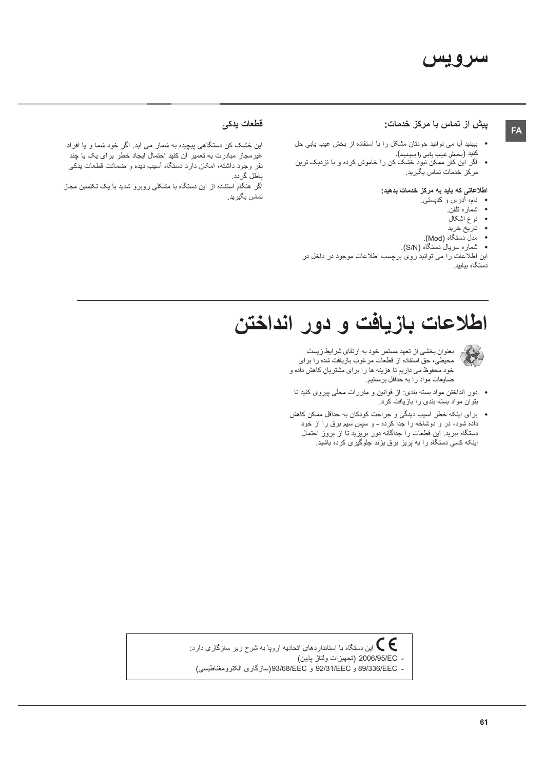#### پیش از تماس با مرکز خدمات:

- ببینید آیا می توانید خودتان مشکل را با استفاده از بخش عیب یابی حل كنيد (بخش عيب يابي را ببينيد).
- اگر این کار ممکن نبود خشک کن را خاموش کرده و با نزدیک ترین مركز خدمات تماس بگيريد.

#### اطلاعاتی که باید به مرکز خدمات بدهید:

- نام، أدرس و كدپستى.
	- شماره تلفن

FA

- ۔<br>نوع اشکال
- تاريخ خريد
- .<br>مدل دستگاه (Mod).
- شماره سریالُ دستگاه (S/N).
- این اطلاعات را می توانید روی برچسب اطلاعات موجود در داخل در .ب<br>دستگاه بیابید

#### قطعات يدكى

- این خشک کن دستگاهی پیچیده به شمار می آید. اگر خود شما و یا افراد غیر مجاز مبادرت به تعمیر آن کنید احتمال ایجاد خطر برای یک یا چند نفر وجود داشته، امکان دارد دستگاه آسیب دیده و ضمانت قطعات بدکی باطل گردد.
- اگر هنگام استفاده از این دستگاه با مشکلی روبر و شدید با یک تکنسین مجاز ۔<br>تماس بگیر ید

# اطلاعات بازيافت و دور انداختن



بعنوان بخشي از تعهد مستمر خود به ارتقاي شرايط زيست محيطي، حقَّ استفاده از قطعات مرغوب بازيافت شده را براي خود محفوظ می داریم تا هزینه ها را برای مشتریان کاهش داده و ضایعات مواد را به حداقل برسانیم.

- دور انداختن مواد بسته بندی: از قوانین و مقررات محلی پیروی کنید تا بتوان مواد بسته بندی را بازیافت کرد.
- برای اینکه خطر أسیب دیدگی و جراحت کودکان به حداقل ممکن کاهش داده شود، در و دوشاخه را جدا کرده - و سپس سیم برق را از خود دستگاه ببرید. این قطعات را جداگانه دور بریزید تا از بروز احتمال اینکه کسی دستگاه را به پریز برق بزند جلوگیری کرده باشید.

این دستگاه با استانداردهای اتحادیه اروپا به شرح زیر سازگاری دارد:  $\bigg(\bigg($ - 2006/95/EC (تجهيزات ولتاژ پايين)

- 89/336/EEC و 92/31/EEC و 93/68/EEC(سازگاري الكترومغناطيسي)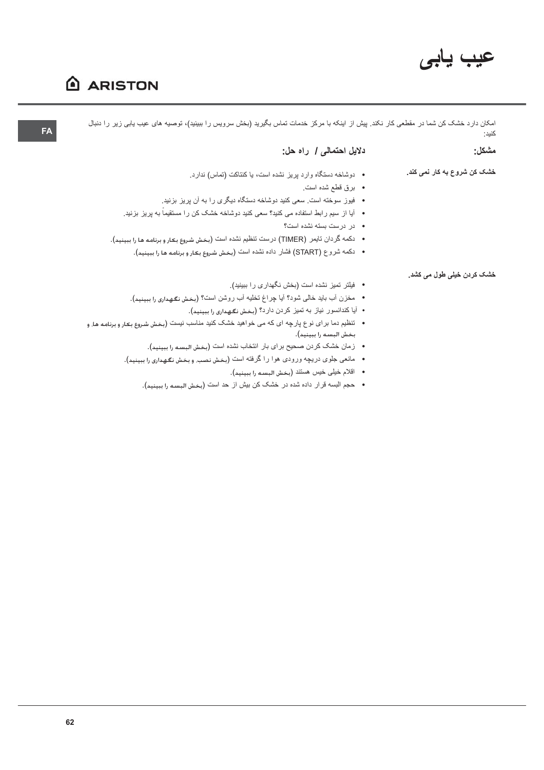# عيب يابى

## **ARISTON**

امکان دارد خشک کن شما در مقطعی کار نکند. پیش از اینکه با مرکز خدمات تماس بگیرید (بخش سرویس را ببینید)، توصیه های عیب یابی زیر را دنبال كنيد:

| دلایل احتمالی / راه حل:                                                                                                   | مشكل:                       |
|---------------------------------------------------------------------------------------------------------------------------|-----------------------------|
| • دوشاخه دستگاه وارد پریز نشده است، یا کنتاکت (تماس) ندارد.                                                               | خشک کن شروع به کار نمی کند. |
| •   برق قطع شده است.                                                                                                      |                             |
| • فیوز سوخته است <sub>.</sub> سعی کنید دوشاخه دستگاه دیگری را به آن پریز بزنید.                                           |                             |
| •    آیا از  سیم ر ابط استفاده می کنید؟ سعی کنید دوشاخه خشک کن ر ا مستقیماً به پریز  بزنید.                               |                             |
| • در درست بسته نشده است؟                                                                                                  |                             |
| •    دكمه گردان تايمر  (TIMER) درست تنظيم نشده است (بخش شروع بكار و برنامه ها را ببينيد).                                 |                             |
| • دكمه شروع (START) فشار داده نشده است (بخش شروع بكار و برنامه ها را ببينيد).                                             |                             |
|                                                                                                                           | خشک کردن خیلی طول می کشد.   |
| • فيلتر تميز نشده است (بخش نگهداري را ببينيد).                                                                            |                             |
| • مخزن أب بايد خالي شود؟ أيا چراغ تخليه أب روشن است؟ (بحش نكهداري را ببينيد).                                             |                             |
| • آيا كندانسور نياز به تميز كردن دارد؟ (بخش نگهداري را ببينيد).                                                           |                             |
| •    تنظیم دما بر ای نوع پارچه ای که می خواهید خشک کنید مناسب نیست (بخش شروع بکار و برنامه ها. و<br>بخش البسه را ببينيد). |                             |
| •   زمان خشک کردن صحیح برای بار انتخاب نشده است (بخش البسه را ببینید).                                                    |                             |

- مانعي جلوي دريچه ورودي هوا را گرفته است (بخش نصب وبخش نگهداري را ببينيد).
	- اقلام خيلي خيس هستند (بخش البسه را ببينيد).
	- حجم البسه قرار داده شده در خشک کن بیش از حد است (بخش البسه را ببینید).

 $FA$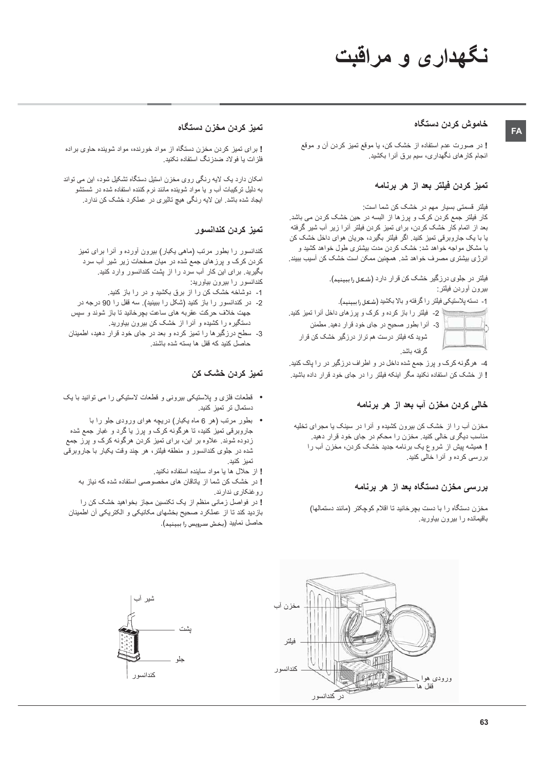# نگهداری و مراقبت

#### خاموش كردن دستگاه

FA

! در صورت عدم استفاده از خشک کن، یا موقع تمیز کردن آن و موقع انجام کار های نگهداری، سیم برق آنر ا بکشید.

### تميز كردن فيلتر بعد از هر برنامه

فیلتر ۔قسمتی بسیار ۔مهم در ۔خشک کن شما است:

كار فيلتر جمع كردن كرك و يرزها از البسه در حين خشك كردن مى باشد. بعد از اتمام کار خشک کردن، برای تمیز کردن فیلتر آنرا زیر آب شیر گرفته یا با یک جاروبرقی تمیز کنید. اگر فیلتر بگیرد، جریان هوای داخل خشک کن با مشکل مواجه خواهد شد: خشک کردن مدت بیشتری طول خواهد کشید و انرژی بیشتری مصرف خواهد شد. همچنین ممکن است خشک کن آسیب ببیند.

> فیلتر در جلوی درزگیر خشک کن قرار دارد (شــَـــل را ببینید). بيرون أوردن فيلتر:

1- دسته پلاستيكي فيلتر را گرفته و بالا بكشيد (شكل را ببينيد).

2- فیلتر را باز کرده و کرک و پرزهای داخل آنرا تمیز کنید. 3- أنرا بطور صحيح در جاي خود قرار دهيد. مطمئن شوید که فیلتر درست هم تراز درزگیر خشک کن قرار گر فته باشد.

4- هرگونه کرک و پرز جمع شده داخل در و اطراف درزگیر در را پاک کنید. ! از خشک کن استفاده نکنید مگر اینکه فیلتر را در جای خود قرار داده باشید.

#### خالی کردن مخزن آب بعد از هر برنامه

مخزن آب را از خشک کن بیرون کشیده و آنرا در سینک یا مجرای تخلیه مناسب دیگری خالی کنید. مخزن را محکم در جای خود قرار دهید. ! همیشه پیش از شروع یک برنامه جدید خشک کردن، مخزن آب را بررسی کرده و آنرا خالی کنید.

#### بررسی مخزن دستگاه بعد از هر برنامه

مخزن دستگاه را با دست بچرخانید تا اقلام کوچکتر (مانند دستمالها) باقیمانده را بیرون بیاورید.

### تميز كردن مخزن دستگاه

! برای تمیز کردن مخزن دستگاه از مواد خورنده، مواد شوینده حاوی براده فلز ات یا فو لاد ضدز نگ استفاده نکنید.

امکان دارد یک لایه رنگی روی مخزن استیل دستگاه تشکیل شود، این می تواند به دلیل تر کیبات آب و یا مواد شوینده مانند نر م کننده استفاده شده در شستشو ایجاد شده باشد. این لایه رنگی هیچ تاثیری در عملکرد خشک کن ندارد.

#### تميز كردن كندانسور

کندانسور را بطور مرتب (ماهی یکبار) بیرون آورده و آنرا برای تمیز کردن کرک و پرزهای جمع شده در میان صفحات زیر شیر آب سرد بگیرید. برای این کار آب سرد را از پشت کندانسور وارد کنید. کندانسور را بیرون بیاورید:

- 1- دوشاخه خشک کن را از برق بکشید و در را باز کنید.
- 2- در كندانسور را باز كنيد (شكل را ببينيد). سه قفل را 90 درجه در جهت خلاف حرکت عقربه های ساعت بچرخانید تا باز شوند و سپس دستگیره را کشیده و أنرا از خشک کن بیرون بیاورید.
- 3- سطح درزگیرها را تمیز کرده و بعد در جای خود قرار دهید، اطمینان حاصل كنيد كه قفل ها بسته شده باشند.

#### تميز كردن خشک کن

- فطعات فلزی و پلاستیکی بیرونی و قطعات لاستیکی را می توانید با یک دستمال تر تميز كنيد.
- بطور مرتب (هر 6 ماه يكبار) دريچه هواى ورودى جلو را با جاروبرقی تمیز کنید، تا هرگونه کرک و پرز یا گرد و غبار جمع شده زدوده شوند. علاوه بر این، برای تمیز کردن هرگونه کرک و پرز جمع شده در جلوی کندانسور و منطقه فیلتر، هر چند وقت یکبار با جاروبرقی تميز كنيد.
	- ! از حلال ها یا مواد ساینده استفاده نکنید.

! در خشک کن شما از پاتاقان های مخصوصی استفاده شده که نیاز به روغنكاري ندارند.

! در فواصل زمانی منظم از یک تکنسین مجاز بخواهید خشک کن را بازدید کند تا از عملکرد صحیح بخشهای مکانیکی و الکتریکی آن اطمینان حاصل نماييد (بخش سرويس را ببينيد).



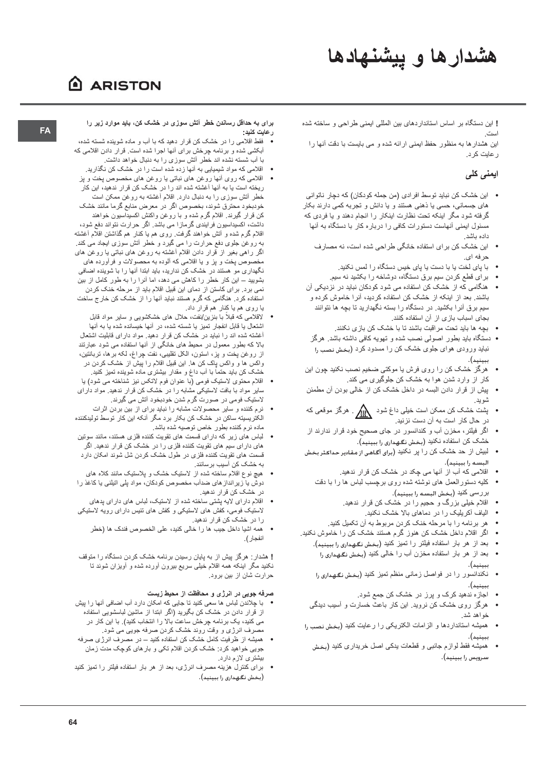# هشدارها و پیشنهادها

## ARISTON

! این دستگاه بر اساس استانداردهای بین المللی ایمنی طراحی و ساخته شده است

این هشدار ها به منظور حفظ ایمنی ارائه شده و می بایست با دقت آنها را ر عایت کر د.

## ایمنی کلی

- این خشک کن نباید توسط افرادی (من جمله کودکان) که دچار ناتوانی های جسمانی، حسی یا ذهنی هستند و یا دانش و تجربه کمی دارند بکار گرفته شود مگر اینکه تحت نظارت اینکار را انجام دهند و یا فردی که مسئول ایمنی آنهاست دستورات کافی را درباره کار با دستگاه به آنها داده ماشد
	- این خشک کن برای استفاده خانگی طراحی شده است، نه مصارف  $\bullet$ حرفه اي.
		- با پای لخت یا با دست یا پای خیس دستگاه را لمس نکنید.
		- برای قطع کردن سیم برق دستگاه، دوشاخه را بکشید نه سیم
- هنگامی که از خشک کن استفاده می شود کودکان نباید در نزدیکی آن باشند. بعد از اینکه از خشک کن استفاده کردید، آنرا خاموش کرده و سیم برق أنرا بکشید. در دستگاه را بسته نگهدارید تا بچه ها نتوانند بجای اسباب بازی از آن استفاده کنند.
	- بجه ها باید تحت مر اقبت باشند تا با خشک کن باز ی نکنند.
- دستگاه باید بطور اصولی نصب شده و تهویه کافی داشته باشد. هرگز نباید ورودی هوای جلوی خشک کن را مسدود کرد (بخش نصب را ىىىنىد).
- هرگز خشک کن را روی فرش یا موکتی ضخیم نصب نکنید چون این کار از وارد شدن هوا به خشک کن جلوگیری می کند.
- پیش از قرار دادن البسه در داخل خشک کن از خالی بودن آن مطمئن شويد.
- پشت خشک کن ممکن است خیلی داغ شود  $\bigwedge_{i=1}^N$  . هرگز موقعی که در حال کار است به آن دست نزنید.
- اگر فیلتر، مخزن أب و کندانسور در جای صحیح خود قرار ندارند از خشک کن استفاده نکنید (بخش نگهداری را ببینید).
- لبیش از حد خشک کن را پر نکنید (برای آگاهی از مقادیر حداکثر بخش البسـه را ببينيد).
	- اقلامی که آب از آنها می چکد در خشک کن قرار ندهید.
	- كليه دستورالعمل هاى نوشته شده روى برچسب لباس ها را با دقت بررسي كنيد (بخش البسه را ببينيد).
		- اقلام خیلی بزرگ و حجیم را در خشک کن قرار ندهید.
			- الیاف آکریلیک را در دماهای بالا خشک نکنید.
		- هر برنامه را با مرحله خنک کردن مربوط به آن تکمیل کنید.
- اگر اقلام داخل خشک کن هنوز گرم هستند خشک کن را خاموش نکنید.
	- بعد از هر بار استفاده فیلتر را تمیز کنید (بخش نگهداری را ببینید).
		- بعد از هر بار استفاده مخزن آب را خالی کنید (بخش نگهداری را ىسنىد).
	- نکندانسور را در فواصل زمانی منظم تمیز کنید (بخش نکهداری را  $\bullet$ ببينيد).
		- اجازه ندهید کرک و پرز در خشک کن جمع شود.
	- هرگز روی خشک کن نروید. این کار باعث خسارت و آسیب دیدگی خواهد شد.
- همیشه استانداردها و الزامات الکتریکی را رعایت کنید (مغش نصب را ىسنىد).
- همیشه فقط لوازم جانبی و قطعات یدکی اصل خریداری کنید (بخش سىرويس را بېينيد).

برای به حداقل رساندن خطر آتش سوزی در خشک کن، باید موارد زیر را ر عايت كنيد:

- فقط اقلامی را در خشک کن قرار دهید که با آب و ماده شوینده شسته شده، أبكشي شده و برنامه چرخش براي أنها اجرا شده است. قرار دادن اقلامي كه با آب شسته نشده اند خطر آتش سوزی را به دنبال خواهد داشت.
- اقلامی که مواد شیمیایی به آنها زده شده است را در خشک کن نگذارید.
- اقلامی که روی أنها روغن های نباتی یا روغن های مخصوص پخت و پز ر یخته است یا به آنها آغشته شده اند را در خشک کن قر ار ندهید، این کار خطر أتش سوزي را به دنبال دارد. اقلام أغشته به روغن ممكن است خودبخود محترق شوند، بخصوص اگر در معرض منابع گرما مانند خشک کن قرار گیرند. اقلام گرم شده و با روغن واکنش اکسیداسیون خواهند داشت، اکسیداسیون فرایندی گرمازا می باشد. اگر حرارت نتواند دفع شود، اقلام گرم شده و أنش خواهند گرفت. روی هم یا کنار هم گذاشتن اقلام أغشته به روغن جلوی دفع حرارت را می گیرد و خطر أتش سوزی ایجاد می کند. اگر راهی بغیر از قرار دادن اقلام أغشته به روغن های نباتی یا روغن های مخصوص پخت و پز و یا اقلامی که آلوده به محصولات و فرأورده های نگهداری مو هستند در خشک کن ندارید، باید ابتدا آنها را با شوینده اضافی بشوبید – این کار خطر را کاهش می دهد، اما آنرا را به طور کامل از بین نمی برد. برای کاستن از دمای این قبیل اقلام باید از مرحله خنک کردن استفاده کرد. هنگامی که گرم هستند نباید آنها را از خشک کن خارج ساخت یا روی هم یا کنار هم قرار داد.
- لاقلَّامی که قبلاً با بنزین/نفت، حلال های خشکشویی و سایر مواد قابل اشتعال یا قابل انفجار تمیز یا شسته شده، در آنها خیسانده شده یا به آنها أغشته شده اند را نباید در خشک کن قرار دهید. مواد دارای قابلیت اشتعال بالا که بطور معمول در محیط های خانگی از آنها استفاده می شود عبارتند از روغن پخت و پز، استون، الكل تقليبي، نفت چراغ، لكه برها، تربانتين، واکس ها و واکس پاک کن ها. این قبیل اقلام را پیش از خشک کردن در خشک کن باید حتماً با آب داغ و مقدار بیشتری ماده شوینده تمیز کنید.
- اقلام محتوى لاستيک فومي (با عنوان فوم لاتکس نيز شناخته مي شود) يا سایر مواد با بافت لاستیکی مشابه را در خشک کن قرار ندهید. مواد دارای لاستیک فومی در صورت گرم شدن خودبخود أتش می گیرند.
- نرم کننده و سایر محصولات مشابه را نباید برای از بین بردن اثرات الکتریسیته ساکن در خشک کن بکار برد مگر آنکه این کار توسط تولیدکننده ماده نرم کننده بطور خاص توصیه شده باشد.
- لباس های زیر که دارای قسمت های تقویت کننده فلزی هستند، مانند سوتین های دار ای سیم های تقویت کننده فلزی را در خشک کن قرار ندهید. اگر قسمت های تقویت کننده فلزی در طول خشک کردن شل شوند امکان دارد به خشک کن آسیب بر سانند.
- هیچ نوع اقلام ساخته شده از لاستیک خشک و پلاستیک مانند کلاه های  $\bullet$ دوش یا زیرانداز های ضدأب مخصوص کودکان، مواد پلی اتیلنی یا کاغذ را در خشک کن قرار ندهید.
- اقلام دارای لایه پشتی ساخته شده از لاستیک، لباس های دارای پدهای لاستیک فومی، کفش های لاستیکی و کفش های تنیس دارای رویه لاستیکی را در خشک کن قرار ندهید.
	- همه اشيا داخل جيب ها را خالي كنيد، على الخصوص فندك ها (خطر انفجار ).

! هشدار : هر گز بیش از به بایان رسیدن بر نامه خشک کر دن دستگاه را متوقف نکنید مگر اینکه همه اقلام خیلی سریع بیرون أورده شده و أویزان شوند تا حرارت شان از بین برود.

#### صرفه جویی در انرژی و محافظت از محیط زیست

- با چلاندن لباس ها سعی کنید تا جایی که امکان دارد آب اضافی آنها را بیش از قرار دادن در خشک کن بگیرید (اگر ابتدا از ماشین لباسشویی استفاده می کنید، یک برنامه چرخش ساعت بالا را انتخاب کنید). با این کار در
- مصرف انرژي و وقت روند خشک کردن صرفه جويي مي شود. • همیشه از ظر فیت کامل خشک کن استفاده کنید — در مصر ف انر ژ ی صر فه جویی خواهید کرد: خشک کردن اقلام تکی و بار های کوچک مدت زمان بیشتری لازم دارد.
- برای کنترل هزینه مصرف انرژی، بعد از هر بار استفاده فیلتر را تمیز کنید (بخش نگهداری را ببینید).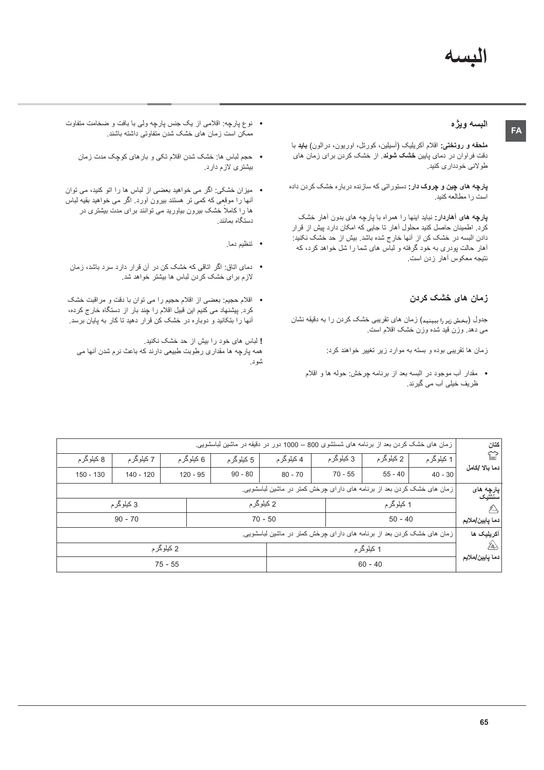### البسه ويژه

ملحفه و روتختی: اقلام أکریلیک (أسیلین، کورتل، اوریون، درالون) **باید** با دقت فراوان در دمای پایین **خشک شوند**. از خشک کردن برای زمان های طولاني خودداري كنيد.

**پارچه های چین و چروک دار:** دستوراتی که سازنده درباره خشک کردن داده .<br>است را مطالعه کنند.

پارچه های آهاردار: نباید اینها را همراه با بارچه های بدون آهار خشک .<br>کرد. اطمینان حاصل کنید محلول آهار تا جایی که امکان دارد پیش از قرار دادن البسه در خشک کن از آنها خارج شده باشد. بیش از حد خشک نکنید: .<br>آهار حالت پودری به خود گرفته و لباس های شما را شل خواهد کرد، که نتیجه معکوس أهار زدن است.

## زمان های خشک کردن

جدول (بخش زیر را ببینید) زمان های تقریبی خشک کردن را به دقیقه نشان می دهد. وزن قید شده وزن خشک اقلام است.

زمان ها تقریبی بوده و بسته به موارد زیر تغییر خواهند کرد:

• مقدار أب موجود در البسه بعد از برنامه چرخش: حوله ها و اقلام ظریف خیلی آب می گیرند.

- نوع پارچه: اقلامی از یک جنس پارچه ولی با بافت و ضخامت متفاوت ممکن است زمان های خشک شدن متفاوتی داشته باشند.
	- حجم لباس ها: خشک شدن اقلام تکی و بار های کوچک مدت زمان بیشتری لازم دارد.
- میزان خشکی: اگر می خواهید بعضی از لباس ها را اتو کنید، می توان أنها را موقعی که کمی تر هستند بیرون أورد. اگر می خواهید بقیه لباس ها را کاملاً خشک بیرون بیاورید می توانند برای مدت بیشتری در دستگاه بمانند.
	- تنظيم دما.
- دمای اتاق: اگر اتاقی که خشک کن در آن قرار دارد سرد باشد، زمان لازم برای خشک کردن لباس ها بیشتر خواهد شد.
- اقلام حجیم: بعضبی از اقلام حجیم را می توان با دقت و مراقبت خشک کرد. بیشنهاد می کنیم این قبیل اقلام را چند بار از دستگاه خارج کرده، آنها را بتکانید و دوباره در خشک کن قرار دهید تا کار به پایان برسد.

! لباس های خود را بیش از حد خشک نکنید. همه پارچه ها مقداري رطوبت طبيعي دارند كه باعث نرم شدن أنها مي شود.

| كتان                     |            |            |            |                                                                         | زمان های خشک کردن بعد از برنامه های شستشوی 800 – 1000 دور در دقیقه در ماشین لباسشویی. |            |             |             |
|--------------------------|------------|------------|------------|-------------------------------------------------------------------------|---------------------------------------------------------------------------------------|------------|-------------|-------------|
| ≌                        | 1 کیلوگر م | 2 کیلوگر م | 3 کیلوگر م | 4 کیلو گر م                                                             | 5 کیلوگر م                                                                            | 6 کیلوگر م | 7 کیلوگر م  | 8 کیلوگر م  |
| دما بالا /كامل           | $40 - 30$  | $55 - 40$  | $70 - 55$  | $80 - 70$                                                               | $90 - 80$                                                                             | $120 - 95$ | $140 - 120$ | $150 - 130$ |
| پارچه های<br>سنتتيك      |            |            |            | زمان های خشک کردن بعد از برنامه های دار ای چرخش کمتر در ماشین لباسشویی. |                                                                                       |            |             |             |
| $\cancel{z}$             |            | 1 کیلوگر م |            |                                                                         | 2 کیلوگر م                                                                            |            | 3 کیلوگر م  |             |
| دما پايين ملايم          |            | $50 - 40$  |            |                                                                         | $70 - 50$                                                                             |            | $90 - 70$   |             |
| آكريليک ها               |            |            |            | زمان های خشک کردن بعد از برنامه های دار ای چرخش کمتر در ماشین لباسشویی. |                                                                                       |            |             |             |
| ŹA)                      |            | 1 کیلوگر م |            |                                                                         |                                                                                       |            | 2 کیلوگر م  |             |
| دما يايي <i>ن م</i> لايم |            | $60 - 40$  |            |                                                                         |                                                                                       |            | $75 - 55$   |             |
|                          |            |            |            |                                                                         |                                                                                       |            |             |             |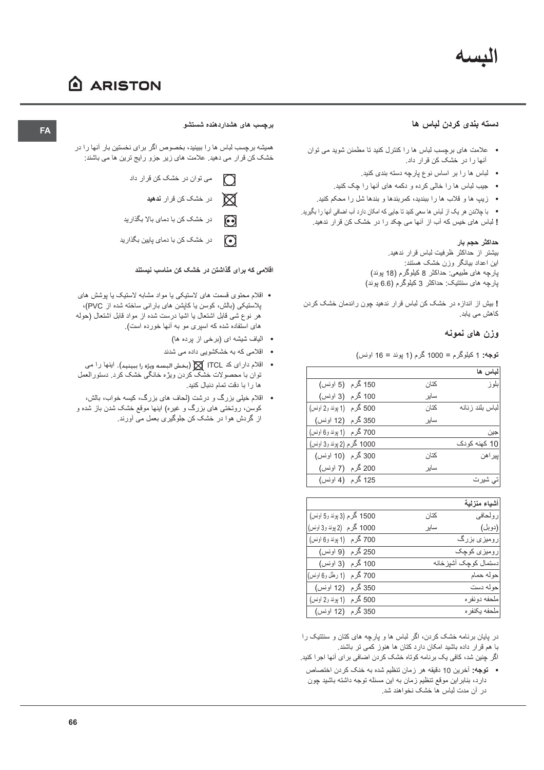## النسبه

## A ARISTON

#### دسته بندی کردن لباس ها

- علامت های برچسب لباس ها را کنترل کنید تا مطمئن شوید می توان آنها را در خشک کن قرار داد.
	- لباس ها را بر اساس نوع پارچه دسته بندی کنید.
	- جیب لباس ها را خالی کرده و دکمه های آنها را چک کنید.
	- زیبِ ها و قلاب ها را ببندید، کمربندها و بندها شل را محکم کنید.

• با چلاندن هر یک از لباس ها سعی کنید تا جایی که امکان دارد آب اضافی آنها را بگیرید. ! لباس های خیس که آب از آنها می چکد را در خشک کن قرار ندهید.

#### حداکثر حجم بار

بیشتر از حداکثر ظرفیت لباس قرار ندهید. این اعداد بیانگر وزن خشک هستند: پارچه های طبیعی: حداکثر 8 کیلوگرم (18 پوند) پارچه های سنتتیک: حداکثر 3 کیلوگرم (6.6 پوند)

! بیش از اندازه در خشک کن لباس قرار ندهید چون راندمان خشک کردن کاهش می یابد.

#### وزن های نمونه

**توجه: 1** کیلوگرم = 1000 گرم (1 پوند = 16 اونس)

|                           |      | لباس ها          |
|---------------------------|------|------------------|
| 150 گرم (5 اونس)          | كتان | بلو ز            |
| 100 گرم (3 اونس)          | سابر |                  |
| 500 گرم (1 پوند و2 اونس)  | كتان | لباس بلند ز نانه |
| 350 گرم (12 اونس)         | ساير |                  |
| 700 گرم (1 پوند و6 اونس)  |      | جين              |
| 1000 گرم (2 پوند و3 اونس) |      | 10 کھنه کو دک    |
| 300 گرم (10 اونس)         | كتان | پيراهن           |
| 200 گرم (7 اونس)          | سابر |                  |
| 125 گرم (4 اونس)          |      | تی شیرت          |

|                           |      | أشياء منزلية           |
|---------------------------|------|------------------------|
| 1500 گرم (3 پوند و5 اونس) | كتان | رولحافي                |
| 1000 گرم (2 پوند و3 اونس) | سابر | (دوبل)                 |
| 700 گرم (1 بوند و6 اونس)  |      | رومیزی بزرگ            |
| 250 گرم  (9 اونس)         |      | رومیزی کوچک            |
| 100 گرم  (3 اونس)         |      | دستمال کو جک آشیز خانه |
| 700 گرم   (1 رطل و6 اونس) |      | حو له حمام             |
| 350 گرم (12 اونس)         |      | حو له دست              |
| 500 گرم (1 پوند و2 اونس)  |      | ملحفه دو نفر ه         |
| 350 گرم (12 اونس)         |      | ملحفه بكنفر ه          |

در پایان برنامه خشک کردن، اگر لباس ها و پارچه های کتان و سنتتیک را با هم قرار داده باشید امکان دارد کتان ها هنوز کمی تر باشند. اگر چنین شد، کافی یک برنامه کوتاه خشک کردن اضافی برای آنها اجرا کنید.

- 
- توجه: أخرين 10 دقيقه هر زمان تنظيم شده به خنك كردن اختصاص دارد، بنابراین موقع تنظیم زمان به این مسئله توجه داشته باشید چون در آن مدت لباس ها خشک نخواهند شد.

#### برچسب های هشداردهنده شستشو

همیشه برچسب لباس ها را ببینید، بخصوص اگر برای نخستین بار آنها را در خشک کن قرار می دهید. علامت های زیر جزو رایج ترین ها می باشند:

- می توان در خشک کن قرار داد  $\bigcap$ 
	- $\boxtimes$ در خشک کن قرار **ندهید**
- در خشک کن با دمای بالا بگذارید  $\odot$
- در خشک کن با دمای پایین بگذارید  $\odot$

#### اقلامی که برای گذاشتن در خشک کن مناسب نیستند

- اقلام محتوی قسمت های لاستیکی یا مواد مشابه لاستیک یا پوشش های پلاستیکی (بالش، کوسن یا کاپشن های بارانی ساخته شده از PVC)، هر نوع شي قابل اشتعال يا اشيا درست شده از مواد قابل اشتعال (حوله های استفاده شده که اسیری مو به آنها خورده است).
	- الياف شيشه اي (برخي از پرده ها)
	- اقلامی که به خشکشویی داده می شدند
- اقلام دار اي كد ITCL ∭ (بخش البسه ويژه را ببينيد). اينها را مي توان با محصولات خشک کردن ویژه خانگی خشک کرد. دستورالعمل ها را با دقت تمام دنبال کنید.
- اقلام خیلی بزرگ و درشت (لحاف های بزرگ، کیسه خواب، بالش، کوسن، روتختی های بزرگ و غیره) اینها موقع خشک شدن باز شده و از گردش هوا در خشک کن جلوگیری بعمل می آورند.

### **FA**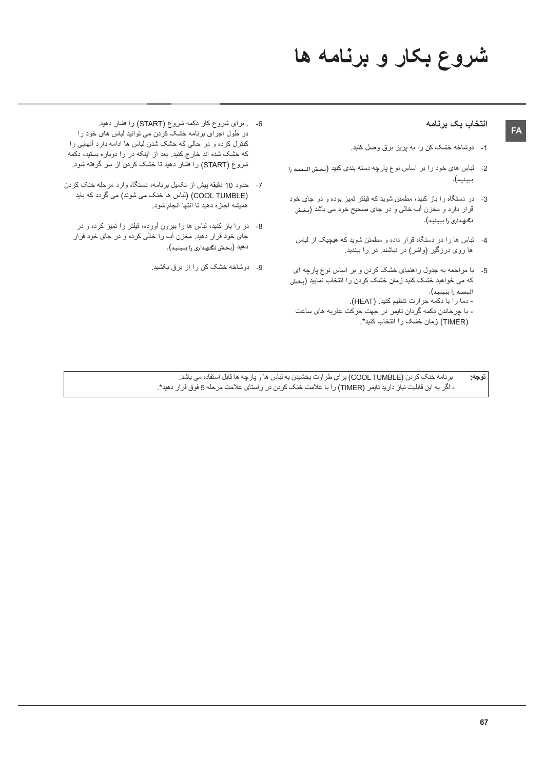# شروع بکار و برنامه ها

#### انتخاب يك برنامه

- 1- دوشاخه خشک کن را به پریز برق وصل کنید.
- 2- لباس های خود را بر اساس نوع پارچه دسته بندی کنید (بخش البسه را ببينيد).
- 3- در دستگاه را باز کنید، مطمئن شوید که فیلتر تمیز بوده و در جای خود قرار دارد و مخزن أب خالبي و در جاي صحيح خود مي باشد (بخش نگهداری را ببینید).
- 4- لباس ها را در دستگاه قرار داده و مطمئن شوید که هیچیک از لباس ها روی درزگیر (واشر) در نباشند. در را ببندید.
- 5- با مراجعه به جدول راهنمای خشک کردن و بر اساس نوع پارچه ای که می خواهید خشک کنید زمان خشک کردن را انتخاب نمایید (بخش البسه را ببينيد). .<br>- دما را با دکمه حرارت تنظیم کنید. (HEAT). - با چرخاندن دکمه گردان تایمر در جهت حرکت عقربه های ساعت
	- (TIMER) زمان خشک را انتخاب کنید\*.
- 6- . برای شروع کار دکمه شروع (START) را فشار دهید. در طول اجرای برنامه خشک کردن می توانید لباس های خود را کنترل کرده و در حالی که خشک شدن لباس ها ادامه دارد أنهایی را که خشک شده اند خارج کنید. بعد از اینکه در را دوباره بستید، دکمه شروع (START) را فُشار دهید تا خشک کردن از سر گرفته شود.
- 7- حدود 10 دقیقه پیش از تکمیل برنامه، دستگاه وارد مرحله خنک کردن (COOL TUMBLE) (لباس ها خنک می شوند) می گردد که باید همیشه اجازه دهید تا انتها انجام شود.
	- 8- در را باز کنید، لباس ها را بیرون أورده، فیلتر را تمیز کرده و در جای خود قرار دهید. مخزن آب را خالی کرده و در جای خود قرار دهيد (بخش نگهداري را ببينيد).
		- 9- دوشاخه خشک کن را از برق بکشید.

بر نامه خنک کردن (COOL TUMBLE) بر ای طر اوت بخشیدن به لباس ها و پارچه ها قابل استفاده می باشد. توجه: - اگر به این قابلیت نیاز دارید تایمر (TIMER) را با علامت خنک کردن در راستای علامت مرحله 5 فوق قرار دهید\*.

## FA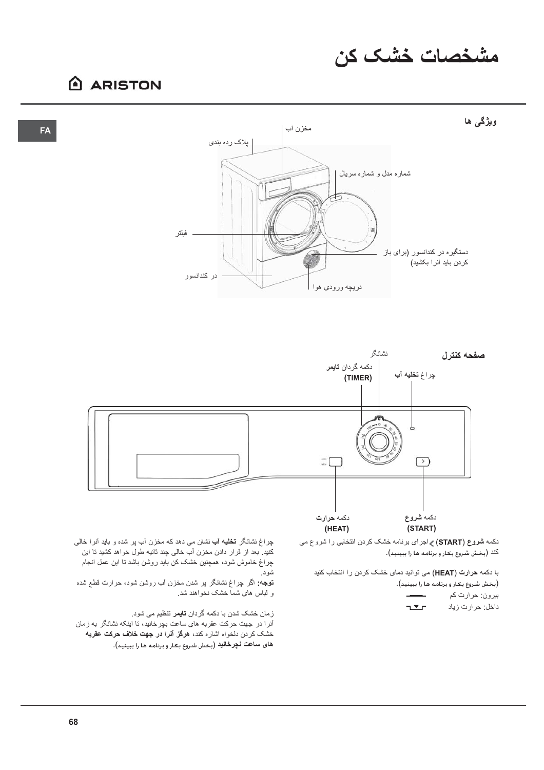# مشخصات خشک کن

## A ARISTON

**FA** 





دکمه شروع (START) > اجراى برنامه خشک کردن انتخابى را شروع مى كَنْد (بخش شَروع بكار و برنامه ها را ببينيد).

با دکمه حرارت (HEAT) می توانید دمای خشک کردن را انتخاب کنید

(بخش شروع بكار و برنامه ها را ببينيد). بيرون: حرارت كم  $T$ داخل: حرارت زياد

چراغ نشانگر **تخلیه آب** نشان می دهد که مخزن آب پر شده و باید آنرا خالی کنید. بعد از قرار دادن مخزن آب خالی چند ثانیه طول خواهد کشید تا این چراغ خاموش شود، همچنین خشک کن باید روشن باشد تا این عمل انجام شود.

**توجه:** اگر چراغ نشانگر پر شدن مخزن آب روشن شود، حرارت قطع شده و لباس های شماً خشک نخواهند شد.

زمان خشک شدن با دکمه گردان **تایمر** تنظیم می شود. أنرا در جهت حرکت عقربه های ساعت بچرخانید، تا اینکه نشانگر به زمان خشک کردن دلخواه اشاره کند، هرگز آنرا در جهت خلاف حرکت عقربه های ساعت نچرخانید (بخش شروع بکار و برنامه ها را ببینید).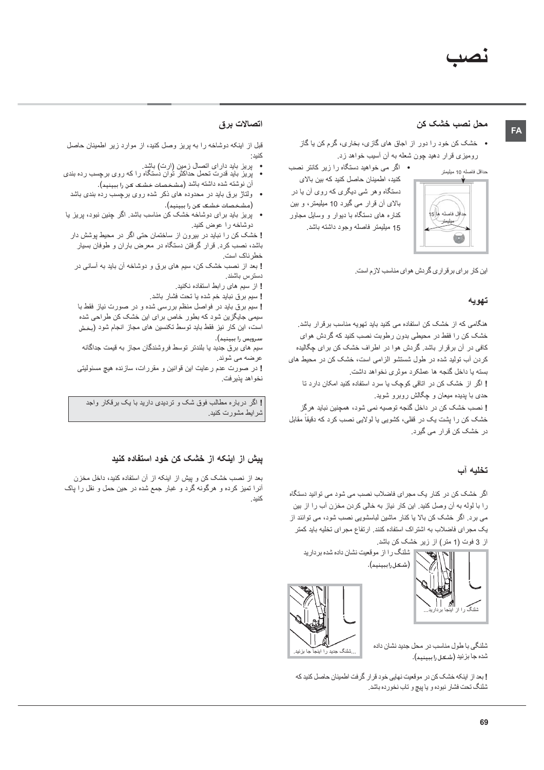## FA

## محل نصب خشک کن

• خشک کن خود را دور از اجاق های گازی، بخاری، گرم کن یا گاز رومیزی قرار دهید چون شعله به آن آسیب خواهد زد.

حداقل فاصله 10 ميليمتر



• اگر می خواهید دستگاه را زیر کانتر نصب كنيد، اطمينان حاصل كنيد كه بين بالاي دستگاه و هر شي ديگري كه روي آن يا در بالای أن قرار می گیرد 10 میلیمتر، و بین کناره های دستگاه با دیوار و وسایل مجاور 15 ميليمتر فاصله وجود داشته باشد.

این کار بر ای بر قراری گردش هوای مناسب لازم است.

#### تهويه

هنگامی که از خشک کن استفاده می کنید باید تهویه مناسب برقرار باشد. خشک کن را فقط در ِ محیطی بدون ر طویت نصب کنید که گر دش هوای کافی در آن برقرار باشد. گردش هوا در اطراف خشک کن برای چگالیده کردن آب تولید شده در طول شستشو الزامی است، خشک کن در محیط های بسته يا داخل گنجه ها عملكرد موثرى نخواهد داشت. ! اگر از خشک کن در اتاقی کوچک یا سرد استفاده کنید امکان دارد تا حدی با پدیده میعان و چگالش روبرو شوید. ! نصب خشک کن در داخل گنجه توصیه نمی شود، همچنین نباید هر گز

خشک کن را پشت یک در قفلی، کشویی یا لولایی نصب کرد که دقیقاً مقابل در خشک کن قرار می گیرد.

## تخليه آب

اگر خشک کن در کنار یک مجرای فاضلاب نصب می شود می توانید دستگاه را با لوله به آن وصل كنيد. اين كار نياز به خالي كردن مخزن آب را از بين می برد. اگر خشک کن بالا یا کنار ماشین لباسشویی نصب شود، می توانند از یک مجرای فاضلاب به اشتراک استفاده کنند. ارتفاع مجرای تخلیه باید کمتر از 3 فوت (1 متر) از زیر خشک کن باشد.

شلنگ را از موقعیت نشان داده شده بردارید





شلنگی با طول مناسب در محل جدید نشان داده شده جا بزنید (شـعـل را سـنـىد).

**!** بعد از اینکه خشک کن در موقعیت نهایی خود قر ار گر فت اطمینان حاصل کنید که شلنگ تحت فشار نبوده و يا پيچ و تاب نخورده باشد.

#### اتصالات برق

قبل از اینکه دوشاخه را به بریز وصل کنید، از موارد زیر اطمینان حاصل كنيد :

- 
- پریز باید دارای اتصال زمین (ارت) باشد.<br>• پریز باید قدرت تحمل حداکثر توان دستگاه را که روی برچسب رده بندی أن نوشته شده داشته باشد (مشخصات خشک کن را ببینید).
	- ولتاژ برق باید در محدوده های ذکر شده روی برچسب رده بندی باشد (مشخصات خشک کن را ببینید).
- پریز باید برای دوشاخه خشک کن مناسب باشد. اگر چنین نبود، پریز یا دوشاخه را عوض کنید.

! خشک کن را نباید در بیرون از ساختمان حتی اگر در محیط پوشش دار باشد، نصب کرد. قرار گرفتن دستگاه در معرض باران و طوفان بسیار خطر ناک است

! بعد از نصب خشک کن، سیم های برق و دوشاخه آن باید به آسانی در دستر س باشند.

- ! از سیم های رابط استفاده نکنید.
- ! سيم برق نبايد خم شده يا تحت فشار باشد. ! سیم برق باید در فواصل منظم بررسی شده و در صورت نیاز فقط با سیمی جایگزین شود که بطور خاص برای این خشک کن طراحی شده
- است، این کار نیز فقط باید توسط تکنسین های مجاز انجام شود (بخش سىرويس را بېينيد).
- سیم های برق جدید یا بلندتر توسط فروشندگان مجاز به قیمت جداگانه عرضه مي شوند.

! در صورت عدم رعایت این قوانین و مقررات، سازنده هیچ مسئولیتی نخواهد يذير فت.

! اگر درباره مطالب فوق شک و تردیدی دارید با یک برقکار واجد شرايط مشورت كنيد.

#### ییش از اینکه از خشک کن خود استفاده کنید

بعد از نصب خشک کن و پیش از اینکه از آن استفاده کنید، داخل مخزن أنرا تمیز کرده و هرگونه گرد و غبار جمع شده در حین حمل و نقل را پاک كنيد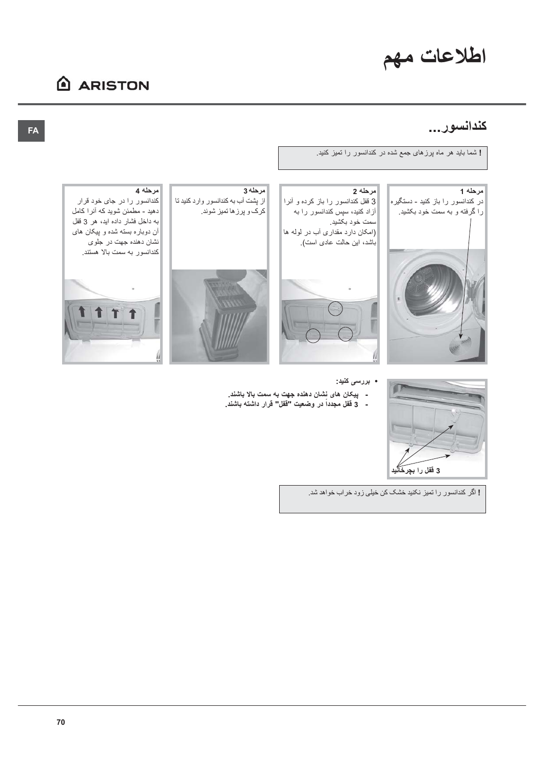# اطلاعات مهم

## **ARISTON**

## كندانسور...

! شما باید هر ماه پرزهای جمع شده در کندانسور را تمیز کنید.





از پشت آب به کندانسور وارد کنید تا کرک و پرزها تمیز شوند.



مرحله 4 کندانسور را در جای خود قرار دهید - مطمئن شوید که آنرا کامل به داخل فشار داده اید، هر 3 قفل آن دوباره بسته شده و پیکان های نشان دهنده جهت در جلوی کندانسور به سمت بالا هستند.



- بررس*ی* کنید:
- پيکان هاي نشان دهنده جهت به سمت بالا باشند. - 3 فَفَل مجدداً در وضعيت "فَفَل" قرار داشته باشند
	-



3 قفل را بچر<del>دَ</del>

 $\Box$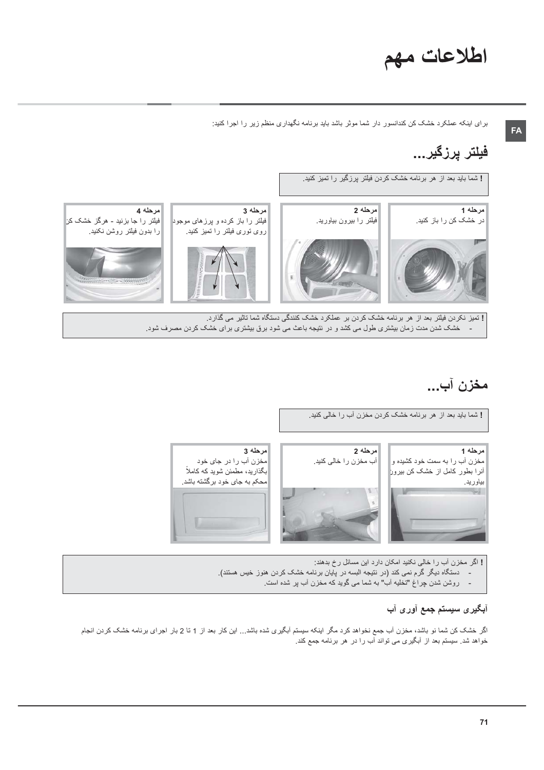# اطلاعات مهم

FA

برای اینکه عملکرد خشک کن کندانسور دار شما موثر باشد باید برنامه نگهداری منظم زیر را اجرا کنید:

## فيلتر پرزگير...



خشک شدن مدت زمان بیشتری طول می کشد و در نتیجه باعث می شود برق بیشتری برای خشک کردن مصرف شود.

## مخزن آب...



! اگر مخزن آب را خالی نکنید امکان دارد این مسائل رخ بدهند: دستگاه دیگر گرم نمی کند (در نتیجه البسه در پایان برنامه خشک کردن هنوز خیس هستند). روشن شدن چراغ "تخلیه آب" به شما می گوید که مخزن آب پر شده است.

## آ**بگیری سیستم جمع آوری آب**

اگر خشک کن شما نو باشد، مخزن آب جمع نخواهد کرد مگر اینکه سیستم آبگیری شده باشد… این کار بعد از 1 تا 2 بار اجرای برنامه خشک کردن انجام خواهد شد. سیستم بعد از آبگیری می تواند آب را در هر برنامه جمع کند.